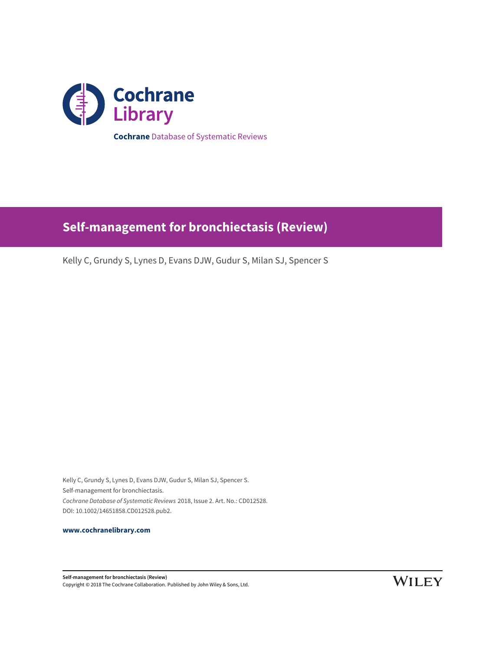

# **Self-management for bronchiectasis (Review)**

Kelly C, Grundy S, Lynes D, Evans DJW, Gudur S, Milan SJ, Spencer S

Kelly C, Grundy S, Lynes D, Evans DJW, Gudur S, Milan SJ, Spencer S. Self-management for bronchiectasis. Cochrane Database of Systematic Reviews 2018, Issue 2. Art. No.: CD012528. DOI: 10.1002/14651858.CD012528.pub2.

**[www.cochranelibrary.com](http://www.cochranelibrary.com)**

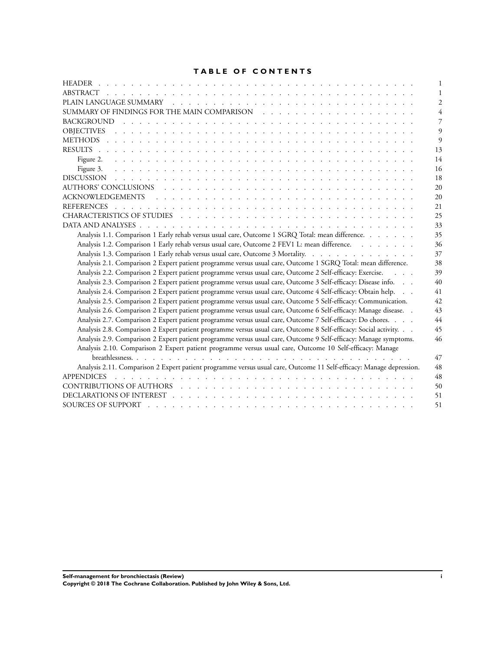## **TABLE OF CONTENTS**

| 1                                                                                                                          |
|----------------------------------------------------------------------------------------------------------------------------|
| 1                                                                                                                          |
| 2                                                                                                                          |
|                                                                                                                            |
|                                                                                                                            |
| $\Omega$                                                                                                                   |
| $\mathbf Q$                                                                                                                |
| 13                                                                                                                         |
| 14                                                                                                                         |
| 16                                                                                                                         |
| 18                                                                                                                         |
| 20                                                                                                                         |
| 20                                                                                                                         |
| 21                                                                                                                         |
| 25                                                                                                                         |
| 33                                                                                                                         |
| 35<br>Analysis 1.1. Comparison 1 Early rehab versus usual care, Outcome 1 SGRQ Total: mean difference.                     |
| 36<br>Analysis 1.2. Comparison 1 Early rehab versus usual care, Outcome 2 FEV1 L: mean difference.                         |
| Analysis 1.3. Comparison 1 Early rehab versus usual care, Outcome 3 Mortality.<br>37                                       |
| Analysis 2.1. Comparison 2 Expert patient programme versus usual care, Outcome 1 SGRQ Total: mean difference.<br>38        |
| Analysis 2.2. Comparison 2 Expert patient programme versus usual care, Outcome 2 Self-efficacy: Exercise.<br>39            |
| 40<br>Analysis 2.3. Comparison 2 Expert patient programme versus usual care, Outcome 3 Self-efficacy: Disease info.        |
| Analysis 2.4. Comparison 2 Expert patient programme versus usual care, Outcome 4 Self-efficacy: Obtain help.<br>41         |
| Analysis 2.5. Comparison 2 Expert patient programme versus usual care, Outcome 5 Self-efficacy: Communication.<br>42       |
| Analysis 2.6. Comparison 2 Expert patient programme versus usual care, Outcome 6 Self-efficacy: Manage disease. .<br>43    |
| Analysis 2.7. Comparison 2 Expert patient programme versus usual care, Outcome 7 Self-efficacy: Do chores.<br>44           |
| 45<br>Analysis 2.8. Comparison 2 Expert patient programme versus usual care, Outcome 8 Self-efficacy: Social activity.     |
| Analysis 2.9. Comparison 2 Expert patient programme versus usual care, Outcome 9 Self-efficacy: Manage symptoms.<br>46     |
| Analysis 2.10. Comparison 2 Expert patient programme versus usual care, Outcome 10 Self-efficacy: Manage                   |
| 47                                                                                                                         |
| Analysis 2.11. Comparison 2 Expert patient programme versus usual care, Outcome 11 Self-efficacy: Manage depression.<br>48 |
| 48<br><b>APPENDICES</b>                                                                                                    |
| 50                                                                                                                         |
| 51                                                                                                                         |
| 51                                                                                                                         |

**Self-management for bronchiectasis (Review) i**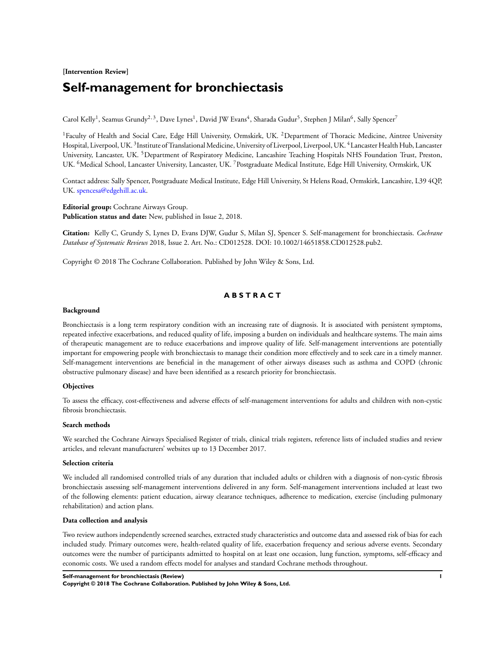## **[Intervention Review]**

# **Self-management for bronchiectasis**

Carol Kelly<sup>1</sup>, Seamus Grundy<sup>2,3</sup>, Dave Lynes<sup>1</sup>, David JW Evans<sup>4</sup>, Sharada Gudur<sup>5</sup>, Stephen J Milan<sup>6</sup>, Sally Spencer<sup>7</sup>

<sup>1</sup>Faculty of Health and Social Care, Edge Hill University, Ormskirk, UK. <sup>2</sup>Department of Thoracic Medicine, Aintree University Hospital, Liverpool, UK. <sup>3</sup>Institute of Translational Medicine, University of Liverpool, Liverpool, UK. <sup>4</sup>Lancaster Health Hub, Lancaster University, Lancaster, UK. <sup>5</sup>Department of Respiratory Medicine, Lancashire Teaching Hospitals NHS Foundation Trust, Preston, UK. <sup>6</sup>Medical School, Lancaster University, Lancaster, UK. <sup>7</sup>Postgraduate Medical Institute, Edge Hill University, Ormskirk, UK

Contact address: Sally Spencer, Postgraduate Medical Institute, Edge Hill University, St Helens Road, Ormskirk, Lancashire, L39 4QP, UK. [spencesa@edgehill.ac.uk.](mailto:spencesa@edgehill.ac.uk)

**Editorial group:** Cochrane Airways Group. **Publication status and date:** New, published in Issue 2, 2018.

**Citation:** Kelly C, Grundy S, Lynes D, Evans DJW, Gudur S, Milan SJ, Spencer S. Self-management for bronchiectasis. *Cochrane Database of Systematic Reviews* 2018, Issue 2. Art. No.: CD012528. DOI: 10.1002/14651858.CD012528.pub2.

Copyright © 2018 The Cochrane Collaboration. Published by John Wiley & Sons, Ltd.

## **A B S T R A C T**

#### **Background**

Bronchiectasis is a long term respiratory condition with an increasing rate of diagnosis. It is associated with persistent symptoms, repeated infective exacerbations, and reduced quality of life, imposing a burden on individuals and healthcare systems. The main aims of therapeutic management are to reduce exacerbations and improve quality of life. Self-management interventions are potentially important for empowering people with bronchiectasis to manage their condition more effectively and to seek care in a timely manner. Self-management interventions are beneficial in the management of other airways diseases such as asthma and COPD (chronic obstructive pulmonary disease) and have been identified as a research priority for bronchiectasis.

### **Objectives**

To assess the efficacy, cost-effectiveness and adverse effects of self-management interventions for adults and children with non-cystic fibrosis bronchiectasis.

### **Search methods**

We searched the Cochrane Airways Specialised Register of trials, clinical trials registers, reference lists of included studies and review articles, and relevant manufacturers' websites up to 13 December 2017.

## **Selection criteria**

We included all randomised controlled trials of any duration that included adults or children with a diagnosis of non-cystic fibrosis bronchiectasis assessing self-management interventions delivered in any form. Self-management interventions included at least two of the following elements: patient education, airway clearance techniques, adherence to medication, exercise (including pulmonary rehabilitation) and action plans.

### **Data collection and analysis**

Two review authors independently screened searches, extracted study characteristics and outcome data and assessed risk of bias for each included study. Primary outcomes were, health-related quality of life, exacerbation frequency and serious adverse events. Secondary outcomes were the number of participants admitted to hospital on at least one occasion, lung function, symptoms, self-efficacy and economic costs. We used a random effects model for analyses and standard Cochrane methods throughout.

**Self-management for bronchiectasis (Review) 1**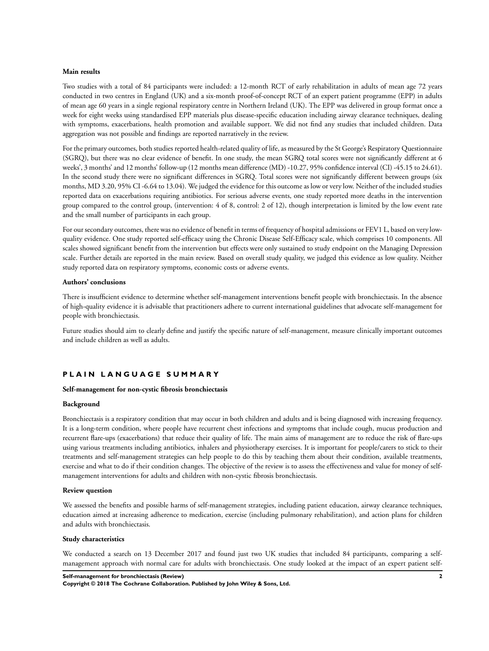### **Main results**

Two studies with a total of 84 participants were included: a 12-month RCT of early rehabilitation in adults of mean age 72 years conducted in two centres in England (UK) and a six-month proof-of-concept RCT of an expert patient programme (EPP) in adults of mean age 60 years in a single regional respiratory centre in Northern Ireland (UK). The EPP was delivered in group format once a week for eight weeks using standardised EPP materials plus disease-specific education including airway clearance techniques, dealing with symptoms, exacerbations, health promotion and available support. We did not find any studies that included children. Data aggregation was not possible and findings are reported narratively in the review.

For the primary outcomes, both studies reported health-related quality of life, as measured by the St George's Respiratory Questionnaire (SGRQ), but there was no clear evidence of benefit. In one study, the mean SGRQ total scores were not significantly different at 6 weeks', 3 months' and 12 months' follow-up (12 months mean difference (MD) -10.27, 95% confidence interval (CI) -45.15 to 24.61). In the second study there were no significant differences in SGRQ. Total scores were not significantly different between groups (six months, MD 3.20, 95% CI -6.64 to 13.04). We judged the evidence for this outcome as low or very low. Neither of the included studies reported data on exacerbations requiring antibiotics. For serious adverse events, one study reported more deaths in the intervention group compared to the control group, (intervention: 4 of 8, control: 2 of 12), though interpretation is limited by the low event rate and the small number of participants in each group.

For our secondary outcomes, there was no evidence of benefit in terms of frequency of hospital admissions or FEV1 L, based on very lowquality evidence. One study reported self-efficacy using the Chronic Disease Self-Efficacy scale, which comprises 10 components. All scales showed significant benefit from the intervention but effects were only sustained to study endpoint on the Managing Depression scale. Further details are reported in the main review. Based on overall study quality, we judged this evidence as low quality. Neither study reported data on respiratory symptoms, economic costs or adverse events.

#### **Authors' conclusions**

There is insufficient evidence to determine whether self-management interventions benefit people with bronchiectasis. In the absence of high-quality evidence it is advisable that practitioners adhere to current international guidelines that advocate self-management for people with bronchiectasis.

Future studies should aim to clearly define and justify the specific nature of self-management, measure clinically important outcomes and include children as well as adults.

## **P L A I N L A N G U A G E S U M M A R Y**

### **Self-management for non-cystic fibrosis bronchiectasis**

### **Background**

Bronchiectasis is a respiratory condition that may occur in both children and adults and is being diagnosed with increasing frequency. It is a long-term condition, where people have recurrent chest infections and symptoms that include cough, mucus production and recurrent flare-ups (exacerbations) that reduce their quality of life. The main aims of management are to reduce the risk of flare-ups using various treatments including antibiotics, inhalers and physiotherapy exercises. It is important for people/carers to stick to their treatments and self-management strategies can help people to do this by teaching them about their condition, available treatments, exercise and what to do if their condition changes. The objective of the review is to assess the effectiveness and value for money of selfmanagement interventions for adults and children with non-cystic fibrosis bronchiectasis.

#### **Review question**

We assessed the benefits and possible harms of self-management strategies, including patient education, airway clearance techniques, education aimed at increasing adherence to medication, exercise (including pulmonary rehabilitation), and action plans for children and adults with bronchiectasis.

#### **Study characteristics**

We conducted a search on 13 December 2017 and found just two UK studies that included 84 participants, comparing a selfmanagement approach with normal care for adults with bronchiectasis. One study looked at the impact of an expert patient self-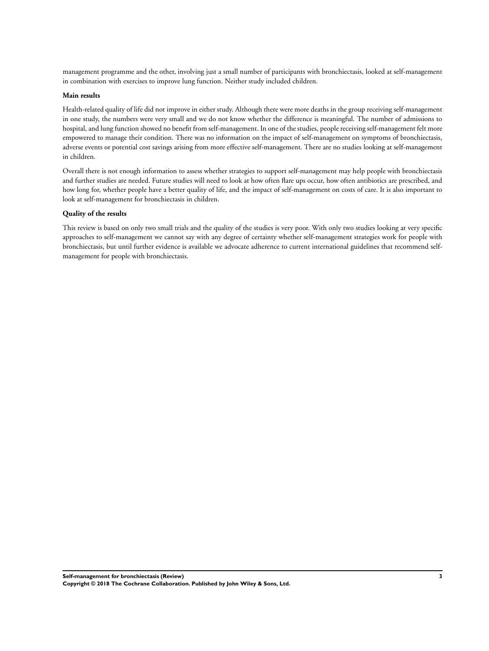management programme and the other, involving just a small number of participants with bronchiectasis, looked at self-management in combination with exercises to improve lung function. Neither study included children.

## **Main results**

Health-related quality of life did not improve in either study. Although there were more deaths in the group receiving self-management in one study, the numbers were very small and we do not know whether the difference is meaningful. The number of admissions to hospital, and lung function showed no benefit from self-management. In one of the studies, people receiving self-management felt more empowered to manage their condition. There was no information on the impact of self-management on symptoms of bronchiectasis, adverse events or potential cost savings arising from more effective self-management. There are no studies looking at self-management in children.

Overall there is not enough information to assess whether strategies to support self-management may help people with bronchiectasis and further studies are needed. Future studies will need to look at how often flare ups occur, how often antibiotics are prescribed, and how long for, whether people have a better quality of life, and the impact of self-management on costs of care. It is also important to look at self-management for bronchiectasis in children.

## **Quality of the results**

This review is based on only two small trials and the quality of the studies is very poor. With only two studies looking at very specific approaches to self-management we cannot say with any degree of certainty whether self-management strategies work for people with bronchiectasis, but until further evidence is available we advocate adherence to current international guidelines that recommend selfmanagement for people with bronchiectasis.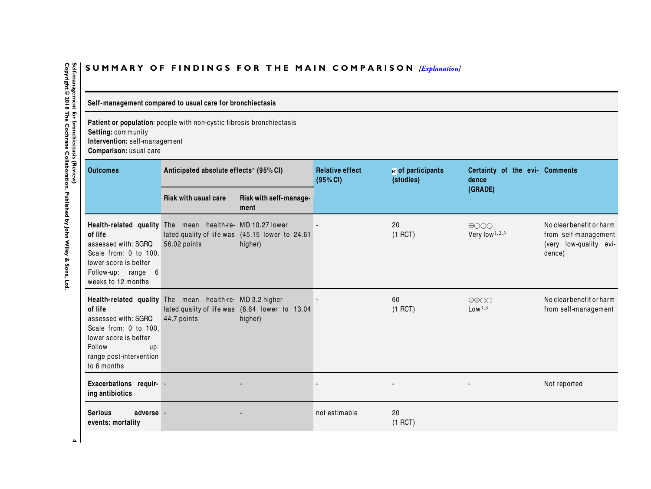# <span id="page-5-0"></span>SUMMARY OF FINDINGS FOR THE MAIN COMPARISON *[\[Explanation\]](http://www.thecochranelibrary.com/view/0/SummaryFindings.html)*

## **Self-management compared to usual care for bronchiectasis**

**Patient or population**: people with non-cystic <sup>f</sup> ibrosis bronchiectasis **Setting:** community **Intervention:** self-management

**Comparison:** usual care

| <b>Outcomes</b>                                                                                                                             | Anticipated absolute effects* (95% CI)                                         |                                                            | <b>Relative effect</b><br>(95% CI) | № of participants<br>(studies) | Certainty of the evi- Comments<br>dence                 |                                                                                      |
|---------------------------------------------------------------------------------------------------------------------------------------------|--------------------------------------------------------------------------------|------------------------------------------------------------|------------------------------------|--------------------------------|---------------------------------------------------------|--------------------------------------------------------------------------------------|
|                                                                                                                                             | <b>Risk with usual care</b>                                                    | Risk with self-manage-<br>ment                             |                                    |                                | (GRADE)                                                 |                                                                                      |
| of life<br>assessed with: SGRQ<br>Scale from: 0 to 100.<br>lower score is better<br>Follow-up: range 6<br>weeks to 12 months                | Health-related quality The mean health-re- MD 10.27 lower<br>56.02 points      | lated quality of life was (45.15 lower to 24.61<br>higher) |                                    | 20<br>$(1$ RCT)                | $\bigoplus$<br>Very low $1,2,3$                         | No clear benefit or harm<br>from self-management<br>(very low-quality evi-<br>dence) |
| of life<br>assessed with: SGRQ<br>Scale from: 0 to 100,<br>lower score is better<br>Follow<br>up:<br>range post-intervention<br>to 6 months | <b>Health-related quality</b> The mean health-re- MD 3.2 higher<br>44.7 points | lated quality of life was (6.64 lower to 13.04<br>higher)  |                                    | 60<br>$(1$ RCT)                | $\oplus \oplus \bigcirc \bigcirc$<br>Low <sup>1,3</sup> | No clear benefit or harm<br>from self-management                                     |
| Exacerbations requir- -<br>ing antibiotics                                                                                                  |                                                                                |                                                            |                                    |                                |                                                         | Not reported                                                                         |
| adverse -<br><b>Serious</b><br>events: mortality                                                                                            |                                                                                |                                                            | not estimable                      | 20<br>$(1$ RCT)                |                                                         |                                                                                      |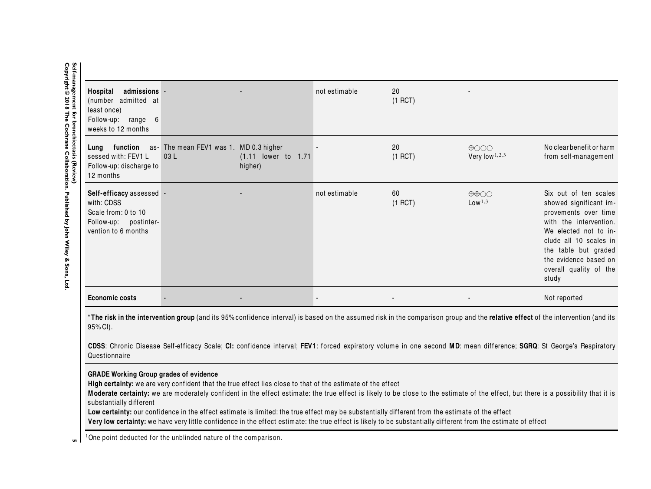| admissions -<br>Hospital<br>(number admitted at<br>least once)<br>Follow-up: range 6<br>weeks to 12 months       |                                                                                     | not estimable | 20<br>(1 RCT)   | $\overline{\phantom{a}}$                                |                                                                                                                                                                                                                                          |
|------------------------------------------------------------------------------------------------------------------|-------------------------------------------------------------------------------------|---------------|-----------------|---------------------------------------------------------|------------------------------------------------------------------------------------------------------------------------------------------------------------------------------------------------------------------------------------------|
| function<br>Lung<br>sessed with: FEV1 L<br>Follow-up: discharge to<br>12 months                                  | as- The mean FEV1 was 1. MD 0.3 higher<br>03 L<br>$(1.11)$ lower to 1.71<br>higher) |               | 20<br>$(1$ RCT) | $\bigoplus$ OOO<br>Very low $1,2,3$                     | No clear benefit or harm<br>from self-management                                                                                                                                                                                         |
| Self-efficacy assessed -<br>with: CDSS<br>Scale from: 0 to 10<br>postinter-<br>Follow-up:<br>vention to 6 months |                                                                                     | not estimable | 60<br>$(1$ RCT) | $\oplus \oplus \bigcirc \bigcirc$<br>Low <sup>1,3</sup> | Six out of ten scales<br>showed significant im-<br>provements over time<br>with the intervention.<br>We elected not to in-<br>clude all 10 scales in<br>the table but graded<br>the evidence based on<br>overall quality of the<br>study |
| <b>Economic costs</b>                                                                                            |                                                                                     |               | $\blacksquare$  |                                                         | Not reported                                                                                                                                                                                                                             |

\***The risk in the intervention group** (and its 95% confidence interval) is based on the assumed risk in the comparison group and the **relative effect** of the intervention (and its<br>ครช. CN 95% CI).

**CDSS**: Chronic Disease Self-efficacy Scale; CI: confidence interval; FEV1: forced expiratory volume in one second MD: mean difference; SGRQ: St George's Respiratory **Questionnaire** 

## **GRADE Working Group grades of evidence**

High certainty: we are very confident that the true effect lies close to that of the estimate of the effect

Moderate certainty: we are moderately confident in the effect estimate: the true effect is likely to be close to the estimate of the effect, but there is a possibility that it is substantially different

Low certainty: our confidence in the effect estimate is limited: the true effect may be substantially different from the estimate of the effect

Very low certainty: we have very little confidence in the effect estimate: the true effect is likely to be substantially different from the estimate of effect

1 **<sup>5</sup>**One point deducted for the unblinded nature of the comparison.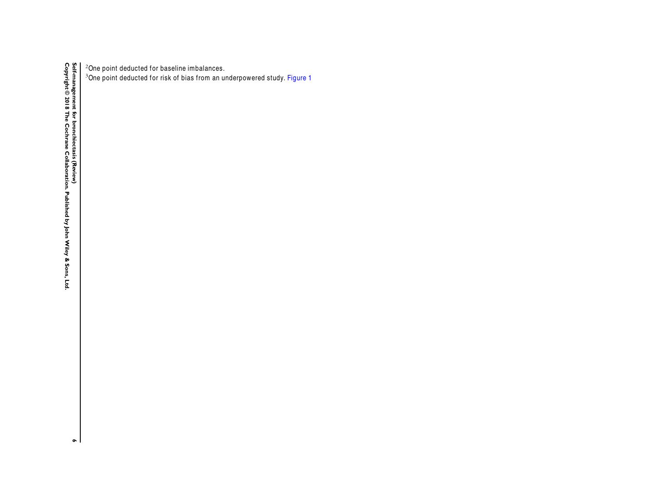|  | $\frac{2}{3}$ $\sqrt{ }$ $\frac{2}{3}$ One point deducted for baseline imbalances. |
|--|------------------------------------------------------------------------------------|
|--|------------------------------------------------------------------------------------|

 $^3$ One point deducted for risk of bias from an underpowered study. Figure 1

Self-management for bronchiectasis (Review)<br>Copyright © 2018 The Cochrane Collaboration. Published by John Wiley & Sons, Ltd. **Copyright © 2018 The Cochrane Collaboration. Published by J Self-management for bronchiectasis (Review) ohn Wiley & Sons, Ltd.**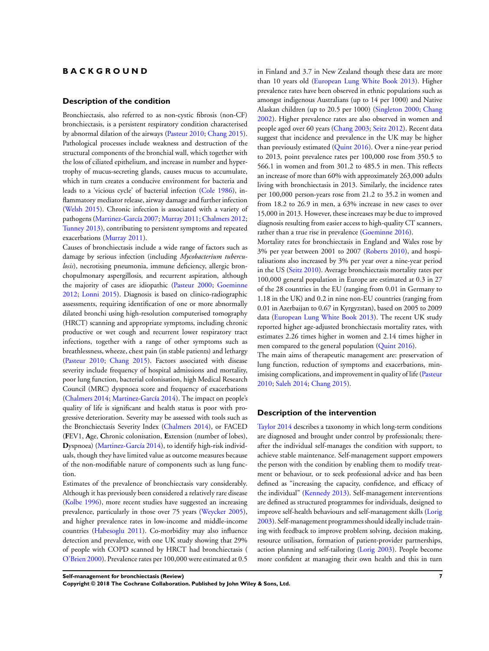## <span id="page-8-0"></span>**B A C K G R O U N D**

#### **Description of the condition**

Bronchiectasis, also referred to as non-cystic fibrosis (non-CF) bronchiectasis, is a persistent respiratory condition characterised by abnormal dilation of the airways [\(Pasteur 2010](#page-22-0); [Chang 2015](#page-22-0)). Pathological processes include weakness and destruction of the structural components of the bronchial wall, which together with the loss of ciliated epithelium, and increase in number and hypertrophy of mucus-secreting glands, causes mucus to accumulate, which in turn creates a conducive environment for bacteria and leads to a 'vicious cycle' of bacterial infection [\(Cole 1986\)](#page-22-0), inflammatory mediator release, airway damage and further infection [\(Welsh 2015\)](#page-22-0). Chronic infection is associated with a variety of pathogens ([Martinez-García 2007;](#page-22-0) [Murray 2011](#page-22-0); [Chalmers 2012;](#page-22-0) [Tunney 2013\)](#page-22-0), contributing to persistent symptoms and repeated exacerbations ([Murray 2011](#page-22-0)).

Causes of bronchiectasis include a wide range of factors such as damage by serious infection (including *Mycobacterium tuberculosis*), necrotising pneumonia, immune deficiency, allergic bronchopulmonary aspergillosis, and recurrent aspiration, although the majority of cases are idiopathic [\(Pasteur 2000](#page-22-0); [Goeminne](#page-22-0) [2012](#page-22-0); [Lonni 2015](#page-22-0)). Diagnosis is based on clinico-radiographic assessments, requiring identification of one or more abnormally dilated bronchi using high-resolution computerised tomography (HRCT) scanning and appropriate symptoms, including chronic productive or wet cough and recurrent lower respiratory tract infections, together with a range of other symptoms such as breathlessness, wheeze, chest pain (in stable patients) and lethargy [\(Pasteur 2010;](#page-22-0) [Chang 2015\)](#page-22-0). Factors associated with disease severity include frequency of hospital admissions and mortality, poor lung function, bacterial colonisation, high Medical Research Council (MRC) dyspnoea score and frequency of exacerbations [\(Chalmers 2014](#page-22-0); [Martinez-García 2014\)](#page-22-0). The impact on people's quality of life is significant and health status is poor with progressive deterioration. Severity may be assessed with tools such as the Bronchiectasis Severity Index [\(Chalmers 2014\)](#page-22-0), or FACED (**F**EV1, **A**ge, **C**hronic colonisation, **E**xtension (number of lobes), **D**yspnoea) ([Martinez-García 2014\)](#page-22-0), to identify high-risk individuals, though they have limited value as outcome measures because of the non-modifiable nature of components such as lung function.

Estimates of the prevalence of bronchiectasis vary considerably. Although it has previously been considered a relatively rare disease [\(Kolbe 1996\)](#page-22-0), more recent studies have suggested an increasing prevalence, particularly in those over 75 years [\(Weycker 2005](#page-22-0)), and higher prevalence rates in low-income and middle-income countries ([Habesoglu 2011](#page-22-0)). Co-morbidity may also influence detection and prevalence, with one UK study showing that 29% of people with COPD scanned by HRCT had bronchiectasis ( [O'Brien 2000\)](#page-22-0). Prevalence rates per 100,000 were estimated at 0.5 in Finland and 3.7 in New Zealand though these data are more than 10 years old ([European Lung White Book 2013](#page-22-0)). Higher prevalence rates have been observed in ethnic populations such as amongst indigenous Australians (up to 14 per 1000) and Native Alaskan children (up to 20.5 per 1000) ([Singleton 2000](#page-22-0); [Chang](#page-22-0) [2002](#page-22-0)). Higher prevalence rates are also observed in women and people aged over 60 years ([Chang 2003](#page-22-0); [Seitz 2012](#page-22-0)). Recent data suggest that incidence and prevalence in the UK may be higher than previously estimated ([Quint 2016\)](#page-22-0). Over a nine-year period to 2013, point prevalence rates per 100,000 rose from 350.5 to 566.1 in women and from 301.2 to 485.5 in men. This reflects an increase of more than 60% with approximately 263,000 adults living with bronchiectasis in 2013. Similarly, the incidence rates per 100,000 person-years rose from 21.2 to 35.2 in women and from 18.2 to 26.9 in men, a 63% increase in new cases to over 15,000 in 2013. However, these increases may be due to improved diagnosis resulting from easier access to high-quality CT scanners, rather than a true rise in prevalence ([Goeminne 2016](#page-22-0)).

Mortality rates for bronchiectasis in England and Wales rose by 3% per year between 2001 to 2007 [\(Roberts 2010\)](#page-22-0), and hospitalisations also increased by 3% per year over a nine-year period in the US [\(Seitz 2010\)](#page-22-0). Average bronchiectasis mortality rates per 100,000 general population in Europe are estimated at 0.3 in 27 of the 28 countries in the EU (ranging from 0.01 in Germany to 1.18 in the UK) and 0.2 in nine non-EU countries (ranging from 0.01 in Azerbaijan to 0.67 in Kyrgyzstan), based on 2005 to 2009 data [\(European Lung White Book 2013\)](#page-22-0). The recent UK study reported higher age-adjusted bronchiectasis mortality rates, with estimates 2.26 times higher in women and 2.14 times higher in men compared to the general population [\(Quint 2016\)](#page-22-0).

The main aims of therapeutic management are: preservation of lung function, reduction of symptoms and exacerbations, minimising complications, and improvement in quality of life [\(Pasteur](#page-22-0) [2010](#page-22-0); [Saleh 2014](#page-22-0); [Chang 2015](#page-22-0)).

## **Description of the intervention**

[Taylor 2014](#page-22-0) describes a taxonomy in which long-term conditions are diagnosed and brought under control by professionals; thereafter the individual self-manages the condition with support, to achieve stable maintenance. Self-management support empowers the person with the condition by enabling them to modify treatment or behaviour, or to seek professional advice and has been defined as "increasing the capacity, confidence, and efficacy of the individual" ([Kennedy 2013](#page-22-0)). Self-management interventions are defined as structured programmes for individuals, designed to improve self-health behaviours and self-management skills [\(Lorig](#page-22-0) [2003](#page-22-0)). Self-management programmes should ideally include training with feedback to improve problem solving, decision making, resource utilisation, formation of patient-provider partnerships, action planning and self-tailoring ([Lorig 2003](#page-22-0)). People become more confident at managing their own health and this in turn

**Self-management for bronchiectasis (Review) 7**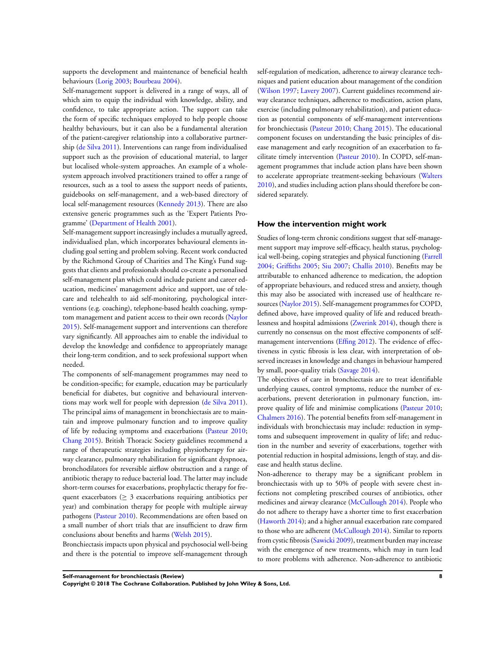supports the development and maintenance of beneficial health behaviours ([Lorig 2003;](#page-22-0) [Bourbeau 2004](#page-22-0)).

Self-management support is delivered in a range of ways, all of which aim to equip the individual with knowledge, ability, and confidence, to take appropriate action. The support can take the form of specific techniques employed to help people choose healthy behaviours, but it can also be a fundamental alteration of the patient-caregiver relationship into a collaborative partnership ([de Silva 2011](#page-22-0)). Interventions can range from individualised support such as the provision of educational material, to larger but localised whole-system approaches. An example of a wholesystem approach involved practitioners trained to offer a range of resources, such as a tool to assess the support needs of patients, guidebooks on self-management, and a web-based directory of local self-management resources [\(Kennedy 2013\)](#page-22-0). There are also extensive generic programmes such as the 'Expert Patients Programme' ([Department of Health 2001\)](#page-22-0).

Self-management support increasingly includes a mutually agreed, individualised plan, which incorporates behavioural elements including goal setting and problem solving. Recent work conducted by the Richmond Group of Charities and The King's Fund suggests that clients and professionals should co-create a personalised self-management plan which could include patient and career education, medicines' management advice and support, use of telecare and telehealth to aid self-monitoring, psychological interventions (e.g. coaching), telephone-based health coaching, symptom management and patient access to their own records [\(Naylor](#page-22-0) [2015](#page-22-0)). Self-management support and interventions can therefore vary significantly. All approaches aim to enable the individual to develop the knowledge and confidence to appropriately manage their long-term condition, and to seek professional support when needed.

The components of self-management programmes may need to be condition-specific; for example, education may be particularly beneficial for diabetes, but cognitive and behavioural interventions may work well for people with depression [\(de Silva 2011](#page-22-0)). The principal aims of management in bronchiectasis are to maintain and improve pulmonary function and to improve quality of life by reducing symptoms and exacerbations ([Pasteur 2010;](#page-22-0) [Chang 2015](#page-22-0)). British Thoracic Society guidelines recommend a range of therapeutic strategies including physiotherapy for airway clearance, pulmonary rehabilitation for significant dyspnoea, bronchodilators for reversible airflow obstruction and a range of antibiotic therapy to reduce bacterial load. The latter may include short-term courses for exacerbations, prophylactic therapy for frequent exacerbators ( $\geq$  3 exacerbations requiring antibiotics per year) and combination therapy for people with multiple airway pathogens ([Pasteur 2010](#page-22-0)). Recommendations are often based on a small number of short trials that are insufficient to draw firm conclusions about benefits and harms [\(Welsh 2015\)](#page-22-0).

Bronchiectasis impacts upon physical and psychosocial well-being and there is the potential to improve self-management through self-regulation of medication, adherence to airway clearance techniques and patient education about management of the condition [\(Wilson 1997](#page-22-0); [Lavery 2007\)](#page-22-0). Current guidelines recommend airway clearance techniques, adherence to medication, action plans, exercise (including pulmonary rehabilitation), and patient education as potential components of self-management interventions for bronchiectasis ([Pasteur 2010](#page-22-0); [Chang 2015\)](#page-22-0). The educational component focuses on understanding the basic principles of disease management and early recognition of an exacerbation to facilitate timely intervention ([Pasteur 2010](#page-22-0)). In COPD, self-management programmes that include action plans have been shown to accelerate appropriate treatment-seeking behaviours [\(Walters](#page-22-0) [2010](#page-22-0)), and studies including action plans should therefore be considered separately.

#### **How the intervention might work**

Studies of long-term chronic conditions suggest that self-management support may improve self-efficacy, health status, psychological well-being, coping strategies and physical functioning [\(Farrell](#page-22-0) [2004](#page-22-0); [Griffiths 2005;](#page-22-0) [Siu 2007;](#page-22-0) [Challis 2010](#page-22-0)). Benefits may be attributable to enhanced adherence to medication, the adoption of appropriate behaviours, and reduced stress and anxiety, though this may also be associated with increased use of healthcare resources [\(Naylor 2015\)](#page-22-0). Self-management programmes for COPD, defined above, have improved quality of life and reduced breathlessness and hospital admissions [\(Zwerink 2014\)](#page-22-0), though there is currently no consensus on the most effective components of selfmanagement interventions ([Effing 2012](#page-22-0)). The evidence of effectiveness in cystic fibrosis is less clear, with interpretation of observed increases in knowledge and changes in behaviour hampered by small, poor-quality trials ([Savage 2014\)](#page-22-0).

The objectives of care in bronchiectasis are to treat identifiable underlying causes, control symptoms, reduce the number of exacerbations, prevent deterioration in pulmonary function, improve quality of life and minimise complications [\(Pasteur 2010;](#page-22-0) [Chalmers 2016](#page-22-0)). The potential benefits from self-management in individuals with bronchiectasis may include: reduction in symptoms and subsequent improvement in quality of life; and reduction in the number and severity of exacerbations, together with potential reduction in hospital admissions, length of stay, and disease and health status decline.

Non-adherence to therapy may be a significant problem in bronchiectasis with up to 50% of people with severe chest infections not completing prescribed courses of antibiotics, other medicines and airway clearance [\(McCullough 2014](#page-22-0)). People who do not adhere to therapy have a shorter time to first exacerbation [\(Haworth 2014](#page-22-0)); and a higher annual exacerbation rate compared to those who are adherent ([McCullough 2014](#page-22-0)). Similar to reports from cystic fibrosis ([Sawicki 2009\)](#page-22-0), treatment burden may increase with the emergence of new treatments, which may in turn lead to more problems with adherence. Non-adherence to antibiotic

**Self-management for bronchiectasis (Review) 8**

**Copyright © 2018 The Cochrane Collaboration. Published by John Wiley & Sons, Ltd.**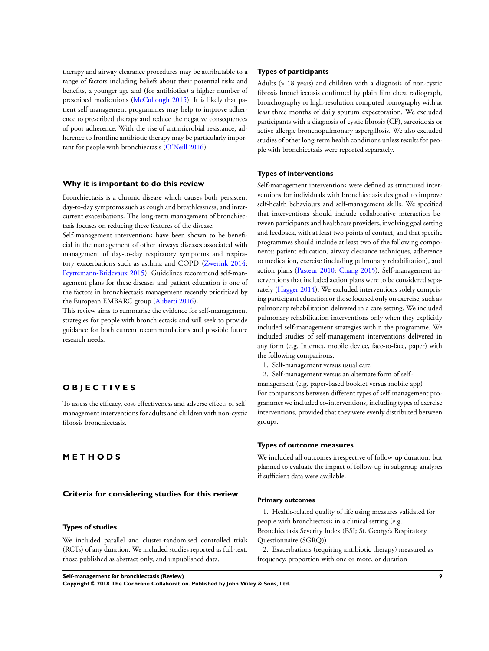therapy and airway clearance procedures may be attributable to a range of factors including beliefs about their potential risks and benefits, a younger age and (for antibiotics) a higher number of prescribed medications [\(McCullough 2015](#page-22-0)). It is likely that patient self-management programmes may help to improve adherence to prescribed therapy and reduce the negative consequences of poor adherence. With the rise of antimicrobial resistance, adherence to frontline antibiotic therapy may be particularly important for people with bronchiectasis [\(O'Neill 2016](#page-22-0)).

#### **Why it is important to do this review**

Bronchiectasis is a chronic disease which causes both persistent day-to-day symptoms such as cough and breathlessness, and intercurrent exacerbations. The long-term management of bronchiectasis focuses on reducing these features of the disease.

Self-management interventions have been shown to be beneficial in the management of other airways diseases associated with management of day-to-day respiratory symptoms and respiratory exacerbations such as asthma and COPD [\(Zwerink 2014;](#page-22-0) [Peytremann-Bridevaux 2015](#page-22-0)). Guidelines recommend self-management plans for these diseases and patient education is one of the factors in bronchiectasis management recently prioritised by the European EMBARC group [\(Aliberti 2016\)](#page-22-0).

This review aims to summarise the evidence for self-management strategies for people with bronchiectasis and will seek to provide guidance for both current recommendations and possible future research needs.

## **O B J E C T I V E S**

To assess the efficacy, cost-effectiveness and adverse effects of selfmanagement interventions for adults and children with non-cystic fibrosis bronchiectasis.

## **M E T H O D S**

### **Criteria for considering studies for this review**

## **Types of studies**

We included parallel and cluster-randomised controlled trials (RCTs) of any duration. We included studies reported as full-text, those published as abstract only, and unpublished data.

**Self-management for bronchiectasis (Review) 9**

**Copyright © 2018 The Cochrane Collaboration. Published by John Wiley & Sons, Ltd.**

#### **Types of participants**

Adults (> 18 years) and children with a diagnosis of non-cystic fibrosis bronchiectasis confirmed by plain film chest radiograph, bronchography or high-resolution computed tomography with at least three months of daily sputum expectoration. We excluded participants with a diagnosis of cystic fibrosis (CF), sarcoidosis or active allergic bronchopulmonary aspergillosis. We also excluded studies of other long-term health conditions unless results for people with bronchiectasis were reported separately.

#### **Types of interventions**

Self-management interventions were defined as structured interventions for individuals with bronchiectasis designed to improve self-health behaviours and self-management skills. We specified that interventions should include collaborative interaction between participants and healthcare providers, involving goal setting and feedback, with at least two points of contact, and that specific programmes should include at least two of the following components: patient education, airway clearance techniques, adherence to medication, exercise (including pulmonary rehabilitation), and action plans [\(Pasteur 2010](#page-22-0); [Chang 2015\)](#page-22-0). Self-management interventions that included action plans were to be considered separately ([Hagger 2014](#page-22-0)). We excluded interventions solely comprising participant education or those focused only on exercise, such as pulmonary rehabilitation delivered in a care setting. We included pulmonary rehabilitation interventions only when they explicitly included self-management strategies within the programme. We included studies of self-management interventions delivered in any form (e.g. Internet, mobile device, face-to-face, paper) with the following comparisons.

- 1. Self-management versus usual care
- 2. Self-management versus an alternate form of self-

management (e.g. paper-based booklet versus mobile app) For comparisons between different types of self-management programmes we included co-interventions, including types of exercise interventions, provided that they were evenly distributed between groups.

#### **Types of outcome measures**

We included all outcomes irrespective of follow-up duration, but planned to evaluate the impact of follow-up in subgroup analyses if sufficient data were available.

#### **Primary outcomes**

1. Health-related quality of life using measures validated for people with bronchiectasis in a clinical setting (e.g. Bronchiectasis Severity Index (BSI; St. George's Respiratory Questionnaire (SGRQ))

2. Exacerbations (requiring antibiotic therapy) measured as frequency, proportion with one or more, or duration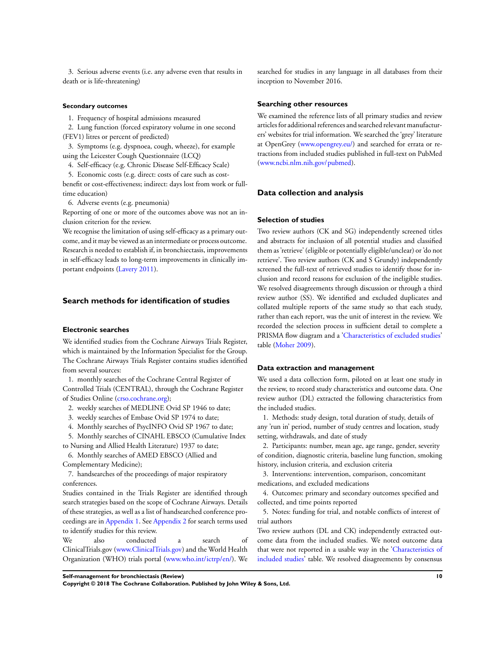3. Serious adverse events (i.e. any adverse even that results in death or is life-threatening)

#### **Secondary outcomes**

1. Frequency of hospital admissions measured

2. Lung function (forced expiratory volume in one second (FEV1) litres or percent of predicted)

3. Symptoms (e.g. dyspnoea, cough, wheeze), for example using the Leicester Cough Questionnaire (LCQ)

4. Self-efficacy (e.g. Chronic Disease Self-Efficacy Scale)

5. Economic costs (e.g. direct: costs of care such as costbenefit or cost-effectiveness; indirect: days lost from work or fulltime education)

6. Adverse events (e.g. pneumonia)

Reporting of one or more of the outcomes above was not an inclusion criterion for the review.

We recognise the limitation of using self-efficacy as a primary outcome, and it may be viewed as an intermediate or process outcome. Research is needed to establish if, in bronchiectasis, improvements in self-efficacy leads to long-term improvements in clinically important endpoints ([Lavery 2011](#page-22-0)).

## **Search methods for identification of studies**

### **Electronic searches**

We identified studies from the Cochrane Airways Trials Register, which is maintained by the Information Specialist for the Group. The Cochrane Airways Trials Register contains studies identified from several sources:

1. monthly searches of the Cochrane Central Register of

Controlled Trials (CENTRAL), through the Cochrane Register of Studies Online ([crso.cochrane.org](http://crso.cochrane.org/));

2. weekly searches of MEDLINE Ovid SP 1946 to date;

3. weekly searches of Embase Ovid SP 1974 to date;

4. Monthly searches of PsycINFO Ovid SP 1967 to date;

5. Monthly searches of CINAHL EBSCO (Cumulative Index

to Nursing and Allied Health Literature) 1937 to date; 6. Monthly searches of AMED EBSCO (Allied and Complementary Medicine);

7. handsearches of the proceedings of major respiratory conferences.

Studies contained in the Trials Register are identified through search strategies based on the scope of Cochrane Airways. Details of these strategies, as well as a list of handsearched conference proceedings are in [Appendix 1.](#page-49-0) See [Appendix 2](#page-51-0) for search terms used to identify studies for this review.

We also conducted a search of ClinicalTrials.gov ([www.ClinicalTrials.gov\)](http://www.ClinicalTrials.gov) and the World Health Organization (WHO) trials portal ([www.who.int/ictrp/en/](http://www.who.int/ictrp/en/)). We

searched for studies in any language in all databases from their inception to November 2016.

## **Searching other resources**

We examined the reference lists of all primary studies and review articles for additional references and searched relevant manufacturers' websites for trial information. We searched the 'grey' literature at OpenGrey ([www.opengrey.eu/](http://www.opengrey.eu/)) and searched for errata or retractions from included studies published in full-text on PubMed [\(www.ncbi.nlm.nih.gov/pubmed](http://www.ncbi.nlm.nih.gov/pubmed)).

## **Data collection and analysis**

### **Selection of studies**

Two review authors (CK and SG) independently screened titles and abstracts for inclusion of all potential studies and classified them as 'retrieve' (eligible or potentially eligible/unclear) or 'do not retrieve'. Two review authors (CK and S Grundy) independently screened the full-text of retrieved studies to identify those for inclusion and record reasons for exclusion of the ineligible studies. We resolved disagreements through discussion or through a third review author (SS). We identified and excluded duplicates and collated multiple reports of the same study so that each study, rather than each report, was the unit of interest in the review. We recorded the selection process in sufficient detail to complete a PRISMA flow diagram and a '[Characteristics of excluded studies](#page-32-0)' table [\(Moher 2009\)](#page-22-0).

#### **Data extraction and management**

We used a data collection form, piloted on at least one study in the review, to record study characteristics and outcome data. One review author (DL) extracted the following characteristics from the included studies.

1. Methods: study design, total duration of study, details of any 'run in' period, number of study centres and location, study setting, withdrawals, and date of study

2. Participants: number, mean age, age range, gender, severity of condition, diagnostic criteria, baseline lung function, smoking history, inclusion criteria, and exclusion criteria

3. Interventions: intervention, comparison, concomitant medications, and excluded medications

4. Outcomes: primary and secondary outcomes specified and collected, and time points reported

5. Notes: funding for trial, and notable conflicts of interest of trial authors

Two review authors (DL and CK) independently extracted outcome data from the included studies. We noted outcome data that were not reported in a usable way in the '[Characteristics of](#page-27-0) [included studies'](#page-27-0) table. We resolved disagreements by consensus

**Self-management for bronchiectasis (Review) 10**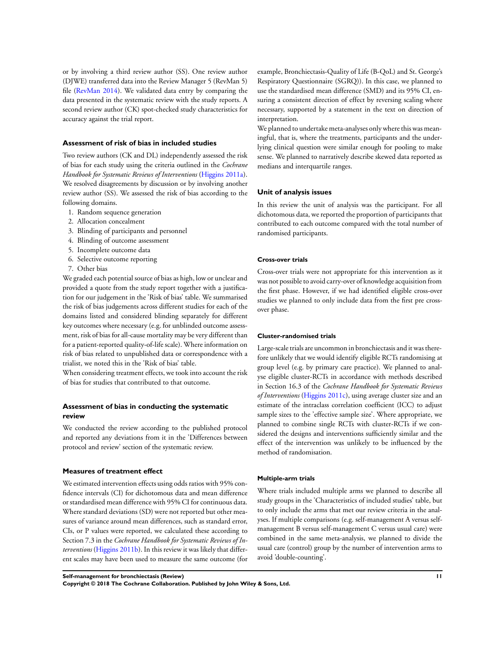or by involving a third review author (SS). One review author (DJWE) transferred data into the Review Manager 5 (RevMan 5) file ([RevMan 2014](#page-22-0)). We validated data entry by comparing the data presented in the systematic review with the study reports. A second review author (CK) spot-checked study characteristics for accuracy against the trial report.

#### **Assessment of risk of bias in included studies**

Two review authors (CK and DL) independently assessed the risk of bias for each study using the criteria outlined in the *Cochrane Handbook for Systematic Reviews of Interventions* ([Higgins 2011a](#page-22-0)). We resolved disagreements by discussion or by involving another review author (SS). We assessed the risk of bias according to the following domains.

- 1. Random sequence generation
- 2. Allocation concealment
- 3. Blinding of participants and personnel
- 4. Blinding of outcome assessment
- 5. Incomplete outcome data
- 6. Selective outcome reporting
- 7. Other bias

We graded each potential source of bias as high, low or unclear and provided a quote from the study report together with a justification for our judgement in the 'Risk of bias' table. We summarised the risk of bias judgements across different studies for each of the domains listed and considered blinding separately for different key outcomes where necessary (e.g. for unblinded outcome assessment, risk of bias for all-cause mortality may be very different than for a patient-reported quality-of-life scale). Where information on risk of bias related to unpublished data or correspondence with a trialist, we noted this in the 'Risk of bias' table.

When considering treatment effects, we took into account the risk of bias for studies that contributed to that outcome.

## **Assessment of bias in conducting the systematic review**

We conducted the review according to the published protocol and reported any deviations from it in the 'Differences between protocol and review' section of the systematic review.

### **Measures of treatment effect**

We estimated intervention effects using odds ratios with 95% confidence intervals (CI) for dichotomous data and mean difference or standardised mean difference with 95% CI for continuous data. Where standard deviations (SD) were not reported but other measures of variance around mean differences, such as standard error, CIs, or P values were reported, we calculated these according to Section 7.3 in the *Cochrane Handbook for Systematic Reviews of Interventions* ([Higgins 2011b](#page-22-0)). In this review it was likely that different scales may have been used to measure the same outcome (for example, Bronchiectasis-Quality of Life (B-QoL) and St. George's Respiratory Questionnaire (SGRQ)). In this case, we planned to use the standardised mean difference (SMD) and its 95% CI, ensuring a consistent direction of effect by reversing scaling where necessary, supported by a statement in the text on direction of interpretation.

We planned to undertake meta-analyses only where this was meaningful, that is, where the treatments, participants and the underlying clinical question were similar enough for pooling to make sense. We planned to narratively describe skewed data reported as medians and interquartile ranges.

#### **Unit of analysis issues**

In this review the unit of analysis was the participant. For all dichotomous data, we reported the proportion of participants that contributed to each outcome compared with the total number of randomised participants.

#### **Cross-over trials**

Cross-over trials were not appropriate for this intervention as it was not possible to avoid carry-over of knowledge acquisition from the first phase. However, if we had identified eligible cross-over studies we planned to only include data from the first pre crossover phase.

#### **Cluster-randomised trials**

Large-scale trials are uncommon in bronchiectasis and it was therefore unlikely that we would identify eligible RCTs randomising at group level (e.g. by primary care practice). We planned to analyse eligible cluster-RCTs in accordance with methods described in Section 16.3 of the *Cochrane Handbook for Systematic Reviews of Interventions* [\(Higgins 2011c\)](#page-22-0), using average cluster size and an estimate of the intraclass correlation coefficient (ICC) to adjust sample sizes to the 'effective sample size'. Where appropriate, we planned to combine single RCTs with cluster-RCTs if we considered the designs and interventions sufficiently similar and the effect of the intervention was unlikely to be influenced by the method of randomisation.

#### **Multiple-arm trials**

Where trials included multiple arms we planned to describe all study groups in the 'Characteristics of included studies' table, but to only include the arms that met our review criteria in the analyses. If multiple comparisons (e.g. self-management A versus selfmanagement B versus self-management C versus usual care) were combined in the same meta-analysis, we planned to divide the usual care (control) group by the number of intervention arms to avoid 'double-counting'.

**Self-management for bronchiectasis (Review) 11**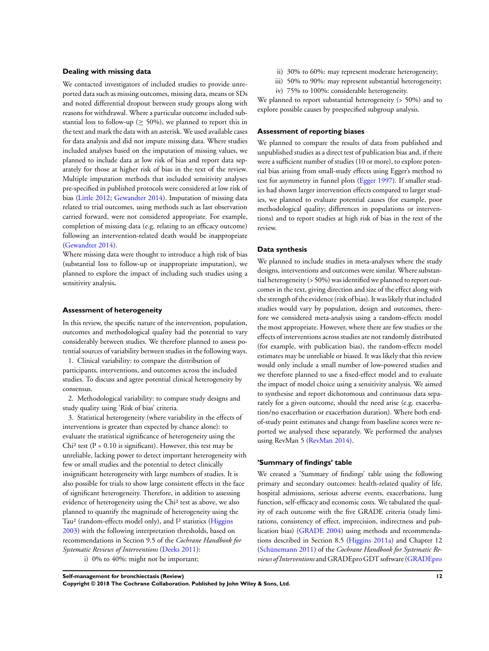## **Dealing with missing data**

We contacted investigators of included studies to provide unreported data such as missing outcomes, missing data, means or SDs and noted differential dropout between study groups along with reasons for withdrawal. Where a particular outcome included substantial loss to follow-up ( $\geq$  50%), we planned to report this in the text and mark the data with an asterisk. We used available cases for data analysis and did not impute missing data. Where studies included analyses based on the imputation of missing values, we planned to include data at low risk of bias and report data separately for those at higher risk of bias in the text of the review. Multiple imputation methods that included sensitivity analyses pre-specified in published protocols were considered at low risk of bias [\(Little 2012](#page-22-0); [Gewandter 2014](#page-22-0)). Imputation of missing data related to trial outcomes, using methods such as last observation carried forward, were not considered appropriate. For example, completion of missing data (e.g. relating to an efficacy outcome) following an intervention-related death would be inappropriate [\(Gewandter 2014\)](#page-22-0).

Where missing data were thought to introduce a high risk of bias (substantial loss to follow-up or inappropriate imputation), we planned to explore the impact of including such studies using a sensitivity analysis**.**

### **Assessment of heterogeneity**

In this review, the specific nature of the intervention, population, outcomes and methodological quality had the potential to vary considerably between studies. We therefore planned to assess potential sources of variability between studies in the following ways.

1. Clinical variability: to compare the distribution of participants, interventions, and outcomes across the included studies. To discuss and agree potential clinical heterogeneity by consensus.

2. Methodological variability: to compare study designs and study quality using 'Risk of bias' criteria.

3. Statistical heterogeneity (where variability in the effects of interventions is greater than expected by chance alone): to evaluate the statistical significance of heterogeneity using the Chi<sup>2</sup> test ( $P = 0.10$  is significant). However, this test may be unreliable, lacking power to detect important heterogeneity with few or small studies and the potential to detect clinically insignificant heterogeneity with large numbers of studies. It is also possible for trials to show large consistent effects in the face of significant heterogeneity. Therefore, in addition to assessing evidence of heterogeneity using the Chi² test as above, we also planned to quantify the magnitude of heterogeneity using the Tau² (random-effects model only), and I² statistics [\(Higgins](#page-22-0) [2003](#page-22-0)) with the following interpretation thresholds, based on recommendations in Section 9.5 of the *Cochrane Handbook for Systematic Reviews of Interventions* [\(Deeks 2011\)](#page-22-0):

- iii) 50% to 90%: may represent substantial heterogeneity;
- iv) 75% to 100%: considerable heterogeneity.

We planned to report substantial heterogeneity (> 50%) and to explore possible causes by prespecified subgroup analysis.

### **Assessment of reporting biases**

We planned to compare the results of data from published and unpublished studies as a direct test of publication bias and, if there were a sufficient number of studies (10 or more), to explore potential bias arising from small-study effects using Egger's method to test for asymmetry in funnel plots [\(Egger 1997\)](#page-22-0). If smaller studies had shown larger intervention effects compared to larger studies, we planned to evaluate potential causes (for example, poor methodological quality; differences in populations or interventions) and to report studies at high risk of bias in the text of the review.

#### **Data synthesis**

We planned to include studies in meta-analyses where the study designs, interventions and outcomes were similar. Where substantial heterogeneity (> 50%) was identified we planned to report outcomes in the text, giving direction and size of the effect along with the strength of the evidence (risk of bias). It was likely that included studies would vary by population, design and outcomes, therefore we considered meta-analysis using a random-effects model the most appropriate. However, where there are few studies or the effects of interventions across studies are not randomly distributed (for example, with publication bias), the random-effects model estimates may be unreliable or biased. It was likely that this review would only include a small number of low-powered studies and we therefore planned to use a fixed-effect model and to evaluate the impact of model choice using a sensitivity analysis. We aimed to synthesise and report dichotomous and continuous data separately for a given outcome, should the need arise (e.g. exacerbation/no exacerbation or exacerbation duration). Where both endof-study point estimates and change from baseline scores were reported we analysed these separately. We performed the analyses using RevMan 5 [\(RevMan 2014](#page-22-0)).

### **'Summary of findings' table**

We created a 'Summary of findings' table using the following primary and secondary outcomes: health-related quality of life, hospital admissions, serious adverse events, exacerbations, lung function, self-efficacy and economic costs*.* We tabulated the quality of each outcome with the five GRADE criteria (study limitations, consistency of effect, imprecision, indirectness and publication bias) ([GRADE 2004\)](#page-22-0) using methods and recommendations described in Section 8.5 [\(Higgins 2011a](#page-22-0)) and Chapter 12 [\(Schünemann 2011\)](#page-22-0) of the *Cochrane Handbook for Systematic Reviews of Interventions* and GRADEpro GDT software ([GRADEpro](#page-22-0)

i) 0% to 40%: might not be important;

**Self-management for bronchiectasis (Review) 12**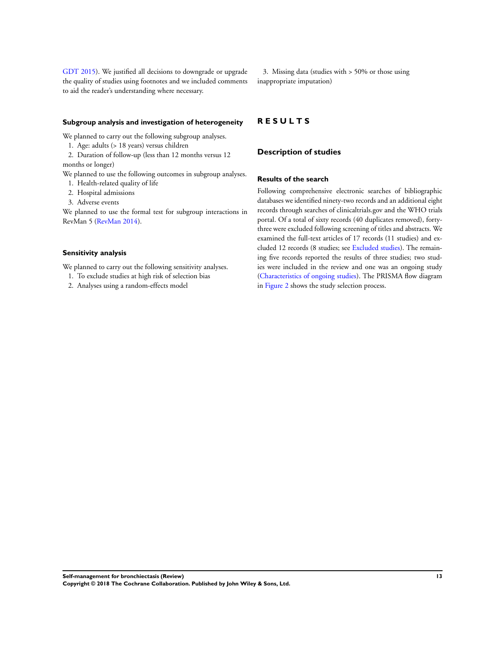[GDT 2015](#page-22-0)). We justified all decisions to downgrade or upgrade the quality of studies using footnotes and we included comments to aid the reader's understanding where necessary.

## **Subgroup analysis and investigation of heterogeneity**

We planned to carry out the following subgroup analyses.

- 1. Age: adults (> 18 years) versus children
- 2. Duration of follow-up (less than 12 months versus 12 months or longer)
- We planned to use the following outcomes in subgroup analyses.
- 1. Health-related quality of life
- 2. Hospital admissions
- 3. Adverse events

We planned to use the formal test for subgroup interactions in RevMan 5 ([RevMan 2014\)](#page-22-0).

### **Sensitivity analysis**

We planned to carry out the following sensitivity analyses.

- 1. To exclude studies at high risk of selection bias
- 2. Analyses using a random-effects model

3. Missing data (studies with > 50% or those using inappropriate imputation)

## **R E S U L T S**

## **Description of studies**

### **Results of the search**

Following comprehensive electronic searches of bibliographic databases we identified ninety-two records and an additional eight records through searches of clinicaltrials.gov and the WHO trials portal. Of a total of sixty records (40 duplicates removed), fortythree were excluded following screening of titles and abstracts. We examined the full-text articles of 17 records (11 studies) and excluded 12 records (8 studies; see [Excluded studies\)](#page-16-0). The remaining five records reported the results of three studies; two studies were included in the review and one was an ongoing study [\(Characteristics of ongoing studies\)](#page-32-0). The PRISMA flow diagram in [Figure 2](#page-15-0) shows the study selection process.

**Self-management for bronchiectasis (Review) 13 Copyright © 2018 The Cochrane Collaboration. Published by John Wiley & Sons, Ltd.**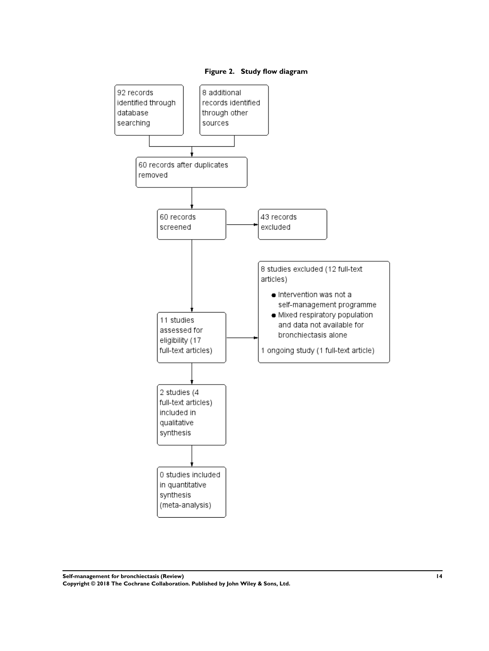<span id="page-15-0"></span>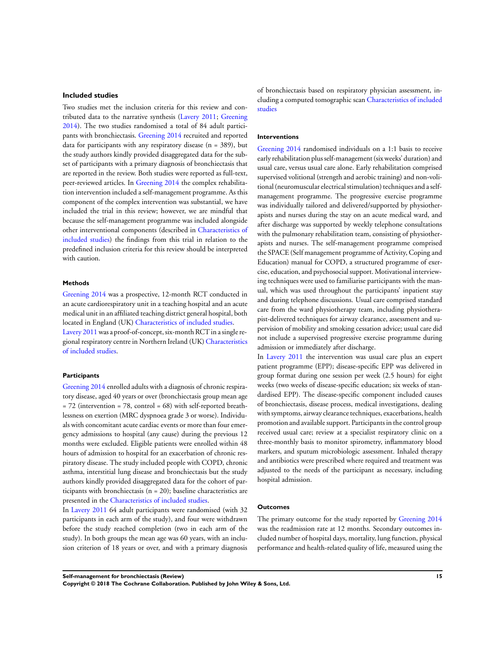## <span id="page-16-0"></span>**Included studies**

Two studies met the inclusion criteria for this review and contributed data to the narrative synthesis [\(Lavery 2011;](#page-22-0) [Greening](#page-22-0) [2014](#page-22-0)). The two studies randomised a total of 84 adult participants with bronchiectasis. [Greening 2014](#page-22-0) recruited and reported data for participants with any respiratory disease ( $n = 389$ ), but the study authors kindly provided disaggregated data for the subset of participants with a primary diagnosis of bronchiectasis that are reported in the review. Both studies were reported as full-text, peer-reviewed articles. In [Greening 2014](#page-22-0) the complex rehabilitation intervention included a self-management programme. As this component of the complex intervention was substantial, we have included the trial in this review; however, we are mindful that because the self-management programme was included alongside other interventional components (described in [Characteristics of](#page-27-0) [included studies](#page-27-0)) the findings from this trial in relation to the predefined inclusion criteria for this review should be interpreted with caution.

#### **Methods**

[Greening 2014](#page-22-0) was a prospective, 12-month RCT conducted in an acute cardiorespiratory unit in a teaching hospital and an acute medical unit in an affiliated teaching district general hospital, both located in England (UK) [Characteristics of included studies](#page-27-0). [Lavery 2011](#page-22-0) was a proof-of-concept, six-month RCT in a single re-gional respiratory centre in Northern Ireland (UK) [Characteristics](#page-27-0) [of included studies](#page-27-0).

### **Participants**

[Greening 2014](#page-22-0) enrolled adults with a diagnosis of chronic respiratory disease, aged 40 years or over (bronchiectasis group mean age  $= 72$  (intervention  $= 78$ , control  $= 68$ ) with self-reported breathlessness on exertion (MRC dyspnoea grade 3 or worse). Individuals with concomitant acute cardiac events or more than four emergency admissions to hospital (any cause) during the previous 12 months were excluded. Eligible patients were enrolled within 48 hours of admission to hospital for an exacerbation of chronic respiratory disease. The study included people with COPD, chronic asthma, interstitial lung disease and bronchiectasis but the study authors kindly provided disaggregated data for the cohort of participants with bronchiectasis (n = 20); baseline characteristics are presented in the [Characteristics of included studies](#page-27-0).

In [Lavery 2011](#page-22-0) 64 adult participants were randomised (with 32 participants in each arm of the study), and four were withdrawn before the study reached completion (two in each arm of the study). In both groups the mean age was 60 years, with an inclusion criterion of 18 years or over, and with a primary diagnosis of bronchiectasis based on respiratory physician assessment, including a computed tomographic scan [Characteristics of included](#page-27-0) [studies](#page-27-0)

#### **Interventions**

[Greening 2014](#page-22-0) randomised individuals on a 1:1 basis to receive early rehabilitation plus self-management (six weeks' duration) and usual care, versus usual care alone. Early rehabilitation comprised supervised volitional (strength and aerobic training) and non-volitional (neuromuscular electrical stimulation) techniques and a selfmanagement programme. The progressive exercise programme was individually tailored and delivered/supported by physiotherapists and nurses during the stay on an acute medical ward, and after discharge was supported by weekly telephone consultations with the pulmonary rehabilitation team, consisting of physiotherapists and nurses. The self-management programme comprised the SPACE (Self management programme of Activity, Coping and Education) manual for COPD, a structured programme of exercise, education, and psychosocial support. Motivational interviewing techniques were used to familiarise participants with the manual, which was used throughout the participants' inpatient stay and during telephone discussions. Usual care comprised standard care from the ward physiotherapy team, including physiotherapist-delivered techniques for airway clearance, assessment and supervision of mobility and smoking cessation advice; usual care did not include a supervised progressive exercise programme during admission or immediately after discharge.

In [Lavery 2011](#page-22-0) the intervention was usual care plus an expert patient programme (EPP); disease-specific EPP was delivered in group format during one session per week (2.5 hours) for eight weeks (two weeks of disease-specific education; six weeks of standardised EPP). The disease-specific component included causes of bronchiectasis, disease process, medical investigations, dealing with symptoms, airway clearance techniques, exacerbations, health promotion and available support. Participants in the control group received usual care; review at a specialist respiratory clinic on a three-monthly basis to monitor spirometry, inflammatory blood markers, and sputum microbiologic assessment. Inhaled therapy and antibiotics were prescribed where required and treatment was adjusted to the needs of the participant as necessary, including hospital admission.

#### **Outcomes**

The primary outcome for the study reported by [Greening 2014](#page-22-0) was the readmission rate at 12 months. Secondary outcomes included number of hospital days, mortality, lung function, physical performance and health-related quality of life, measured using the

**Self-management for bronchiectasis (Review) 15**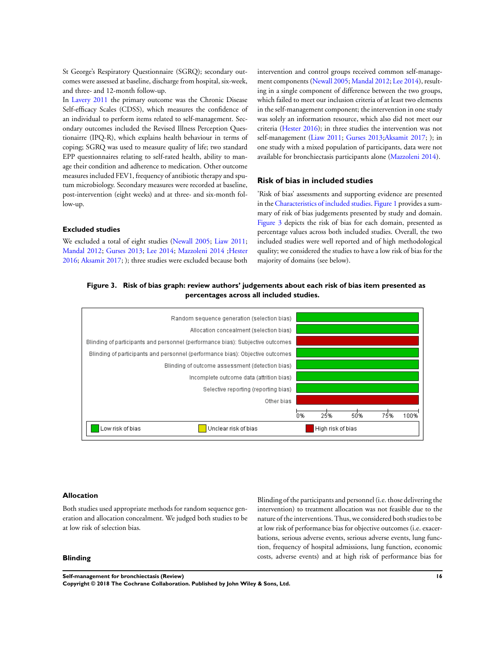St George's Respiratory Questionnaire (SGRQ); secondary outcomes were assessed at baseline, discharge from hospital, six-week, and three- and 12-month follow-up.

In [Lavery 2011](#page-22-0) the primary outcome was the Chronic Disease Self-efficacy Scales (CDSS), which measures the confidence of an individual to perform items related to self-management. Secondary outcomes included the Revised Illness Perception Questionairre (IPQ-R), which explains health behaviour in terms of coping; SGRQ was used to measure quality of life; two standard EPP questionnaires relating to self-rated health, ability to manage their condition and adherence to medication. Other outcome measures included FEV1, frequency of antibiotic therapy and sputum microbiology. Secondary measures were recorded at baseline, post-intervention (eight weeks) and at three- and six-month follow-up.

intervention and control groups received common self-management components [\(Newall 2005;](#page-22-0) [Mandal 2012](#page-22-0); [Lee 2014\)](#page-22-0), resulting in a single component of difference between the two groups, which failed to meet our inclusion criteria of at least two elements in the self-management component; the intervention in one study was solely an information resource, which also did not meet our criteria [\(Hester 2016\)](#page-22-0); in three studies the intervention was not self-management [\(Liaw 2011;](#page-22-0) [Gurses 2013;Aksamit 2017;](#page-22-0) ); in one study with a mixed population of participants, data were not available for bronchiectasis participants alone ([Mazzoleni 2014\)](#page-22-0).

## **Risk of bias in included studies**

## **Excluded studies**

We excluded a total of eight studies [\(Newall 2005;](#page-22-0) [Liaw 2011;](#page-22-0) [Mandal 2012;](#page-22-0) [Gurses 2013;](#page-22-0) [Lee 2014;](#page-22-0) [Mazzoleni 2014](#page-22-0) [;Hester](#page-22-0) [2016](#page-22-0); [Aksamit 2017;](#page-22-0) ); three studies were excluded because both

'Risk of bias' assessments and supporting evidence are presented in the [Characteristics of included studies](#page-27-0). Figure 1 provides a summary of risk of bias judgements presented by study and domain. Figure 3 depicts the risk of bias for each domain, presented as percentage values across both included studies. Overall, the two included studies were well reported and of high methodological quality; we considered the studies to have a low risk of bias for the majority of domains (see below).

## **Figure 3. Risk of bias graph: review authors' judgements about each risk of bias item presented as percentages across all included studies.**



#### **Allocation**

Both studies used appropriate methods for random sequence generation and allocation concealment. We judged both studies to be at low risk of selection bias.

### **Blinding**

Blinding of the participants and personnel (i.e. those delivering the intervention) to treatment allocation was not feasible due to the nature of the interventions. Thus, we considered both studies to be at low risk of performance bias for objective outcomes (i.e. exacerbations, serious adverse events, serious adverse events, lung function, frequency of hospital admissions, lung function, economic costs, adverse events) and at high risk of performance bias for

**Self-management for bronchiectasis (Review) 16**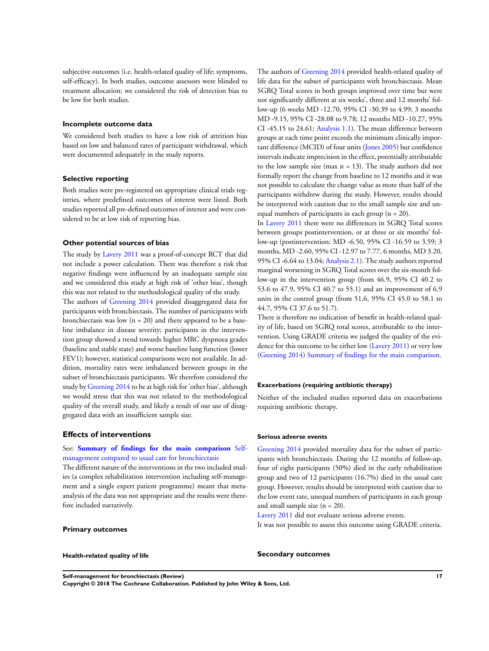subjective outcomes (i.e. health-related quality of life; symptoms, self-efficacy). In both studies, outcome assessors were blinded to treatment allocation; we considered the risk of detection bias to be low for both studies.

#### **Incomplete outcome data**

We considered both studies to have a low risk of attrition bias based on low and balanced rates of participant withdrawal, which were documented adequately in the study reports.

#### **Selective reporting**

Both studies were pre-registered on appropriate clinical trials registries, where predefined outcomes of interest were listed. Both studies reported all pre-defined outcomes of interest and were considered to be at low risk of reporting bias.

## **Other potential sources of bias**

The study by [Lavery 2011](#page-22-0) was a proof-of-concept RCT that did not include a power calculation. There was therefore a risk that negative findings were influenced by an inadequate sample size and we considered this study at high risk of 'other bias', though this was not related to the methodological quality of the study. The authors of [Greening 2014](#page-22-0) provided disaggregated data for participants with bronchiectasis. The number of participants with bronchiectasis was low (n = 20) and there appeared to be a baseline imbalance in disease severity; participants in the intervention group showed a trend towards higher MRC dyspnoea grades (baseline and stable state) and worse baseline lung function (lower FEV1); however, statistical comparisons were not available. In addition, mortality rates were imbalanced between groups in the subset of bronchiectasis participants. We therefore considered the study by [Greening 2014](#page-22-0) to be at high risk for 'other bias', although we would stress that this was not related to the methodological quality of the overall study, and likely a result of our use of disaggregated data with an insufficient sample size.

## **Effects of interventions**

## See: **[Summary of findings for the main comparison](#page-5-0)** [Self](#page-5-0)[management compared to usual care for bronchiectasis](#page-5-0)

The different nature of the interventions in the two included studies (a complex rehabilitation intervention including self-management and a single expert patient programme) meant that metaanalysis of the data was not appropriate and the results were therefore included narratively.

#### **Primary outcomes**

The authors of [Greening 2014](#page-22-0) provided health-related quality of life data for the subset of participants with bronchiectasis. Mean SGRQ Total scores in both groups improved over time but were not significantly different at six weeks', three and 12 months' follow-up (6 weeks MD -12.70, 95% CI -30.39 to 4.99; 3 months MD -9.15, 95% CI -28.08 to 9.78; 12 months MD -10.27, 95% CI -45.15 to 24.61; [Analysis 1.1](#page-36-0)). The mean difference between groups at each time point exceeds the minimum clinically important difference (MCID) of four units [\(Jones 2005](#page-22-0)) but confidence intervals indicate imprecision in the effect, potentially attributable to the low sample size (max n = 13). The study authors did not formally report the change from baseline to 12 months and it was not possible to calculate the change value as more than half of the participants withdrew during the study. However, results should be interpreted with caution due to the small sample size and unequal numbers of participants in each group  $(n = 20)$ .

In [Lavery 2011](#page-22-0) there were no differences in SGRQ Total scores between groups postintervention, or at three or six months' follow-up (postintervention: MD -6.50, 95% CI -16.59 to 3.59; 3 months, MD -2.60, 95% CI -12.97 to 7.77, 6 months, MD 3.20, 95% CI -6.64 to 13.04; [Analysis 2.1\)](#page-39-0). The study authors reported marginal worsening in SGRQ Total scores over the six-month follow-up in the intervention group (from 46.9, 95% CI 40.2 to 53.6 to 47.9, 95% CI 40.7 to 55.1) and an improvement of 6.9 units in the control group (from 51.6, 95% CI 45.0 to 58.1 to 44.7, 95% CI 37.6 to 51.7).

There is therefore no indication of benefit in health-related quality of life, based on SGRQ total scores, attributable to the intervention. Using GRADE criteria we judged the quality of the evidence for this outcome to be either low [\(Lavery 2011](#page-22-0)) or very low [\(Greening 2014\)](#page-22-0) [Summary of findings for the main comparison](#page-5-0).

## **Exacerbations (requiring antibiotic therapy)**

Neither of the included studies reported data on exacerbations requiring antibiotic therapy.

#### **Serious adverse events**

[Greening 2014](#page-22-0) provided mortality data for the subset of participants with bronchiectasis. During the 12 months of follow-up, four of eight participants (50%) died in the early rehabilitation group and two of 12 participants (16.7%) died in the usual care group. However, results should be interpreted with caution due to the low event rate, unequal numbers of participants in each group and small sample size  $(n = 20)$ .

[Lavery 2011](#page-22-0) did not evaluate serious adverse events. It was not possible to assess this outcome using GRADE criteria.

**Health-related quality of life**

**Secondary outcomes**

**Self-management for bronchiectasis (Review) 17**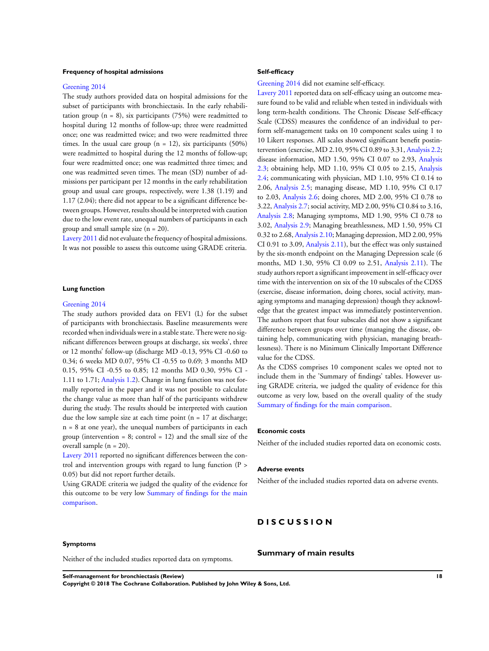#### **Frequency of hospital admissions**

### [Greening 2014](#page-22-0)

The study authors provided data on hospital admissions for the subset of participants with bronchiectasis. In the early rehabilitation group  $(n = 8)$ , six participants (75%) were readmitted to hospital during 12 months of follow-up; three were readmitted once; one was readmitted twice; and two were readmitted three times. In the usual care group  $(n = 12)$ , six participants (50%) were readmitted to hospital during the 12 months of follow-up; four were readmitted once; one was readmitted three times; and one was readmitted seven times. The mean (SD) number of admissions per participant per 12 months in the early rehabilitation group and usual care groups, respectively, were 1.38 (1.19) and 1.17 (2.04); there did not appear to be a significant difference between groups. However, results should be interpreted with caution due to the low event rate, unequal numbers of participants in each group and small sample size  $(n = 20)$ .

[Lavery 2011](#page-22-0) did not evaluate the frequency of hospital admissions. It was not possible to assess this outcome using GRADE criteria.

#### **Lung function**

#### [Greening 2014](#page-22-0)

The study authors provided data on FEV1 (L) for the subset of participants with bronchiectasis. Baseline measurements were recorded when individuals were in a stable state. There were no significant differences between groups at discharge, six weeks', three or 12 months' follow-up (discharge MD -0.13, 95% CI -0.60 to 0.34; 6 weeks MD 0.07, 95% CI -0.55 to 0.69; 3 months MD 0.15, 95% CI -0.55 to 0.85; 12 months MD 0.30, 95% CI - 1.11 to 1.71; [Analysis 1.2](#page-37-0)). Change in lung function was not formally reported in the paper and it was not possible to calculate the change value as more than half of the participants withdrew during the study. The results should be interpreted with caution due the low sample size at each time point  $(n = 17$  at discharge;  $n = 8$  at one year), the unequal numbers of participants in each group (intervention = 8; control = 12) and the small size of the overall sample (n = 20).

[Lavery 2011](#page-22-0) reported no significant differences between the control and intervention groups with regard to lung function (P > 0.05) but did not report further details.

Using GRADE criteria we judged the quality of the evidence for this outcome to be very low [Summary of findings for the main](#page-5-0) [comparison.](#page-5-0)

#### **Symptoms**

Neither of the included studies reported data on symptoms.

**Self-efficacy**

[Greening 2014](#page-22-0) did not examine self-efficacy.

[Lavery 2011](#page-22-0) reported data on self-efficacy using an outcome measure found to be valid and reliable when tested in individuals with long term-health conditions. The Chronic Disease Self-efficacy Scale (CDSS) measures the confidence of an individual to perform self-management tasks on 10 component scales using 1 to 10 Likert responses. All scales showed significant benefit postintervention (exercise, MD 2.10, 95% CI 0.89 to 3.31, [Analysis 2.2;](#page-40-0) disease information, MD 1.50, 95% CI 0.07 to 2.93, [Analysis](#page-41-0) [2.3](#page-41-0); obtaining help, MD 1.10, 95% CI 0.05 to 2.15, [Analysis](#page-42-0) [2.4](#page-42-0); communicating with physician, MD 1.10, 95% CI 0.14 to 2.06, [Analysis 2.5](#page-43-0); managing disease, MD 1.10, 95% CI 0.17 to 2.03, [Analysis 2.6](#page-44-0); doing chores, MD 2.00, 95% CI 0.78 to 3.22, [Analysis 2.7](#page-45-0); social activity, MD 2.00, 95% CI 0.84 to 3.16, [Analysis 2.8;](#page-46-0) Managing symptoms, MD 1.90, 95% CI 0.78 to 3.02, [Analysis 2.9;](#page-47-0) Managing breathlessness, MD 1.50, 95% CI 0.32 to 2.68, [Analysis 2.10](#page-48-0); Managing depression, MD 2.00, 95% CI 0.91 to 3.09, [Analysis 2.11](#page-49-0)), but the effect was only sustained by the six-month endpoint on the Managing Depression scale (6 months, MD 1.30, 95% CI 0.09 to 2.51, [Analysis 2.11\)](#page-49-0). The study authors report a significant improvement in self-efficacy over time with the intervention on six of the 10 subscales of the CDSS (exercise, disease information, doing chores, social activity, managing symptoms and managing depression) though they acknowledge that the greatest impact was immediately postintervention. The authors report that four subscales did not show a significant difference between groups over time (managing the disease, obtaining help, communicating with physician, managing breathlessness). There is no Minimum Clinically Important Difference value for the CDSS.

As the CDSS comprises 10 component scales we opted not to include them in the 'Summary of findings' tables. However using GRADE criteria, we judged the quality of evidence for this outcome as very low, based on the overall quality of the study [Summary of findings for the main comparison.](#page-5-0)

#### **Economic costs**

Neither of the included studies reported data on economic costs.

#### **Adverse events**

Neither of the included studies reported data on adverse events.

## **D I S C U S S I O N**

**Summary of main results**

**Self-management for bronchiectasis (Review) 18**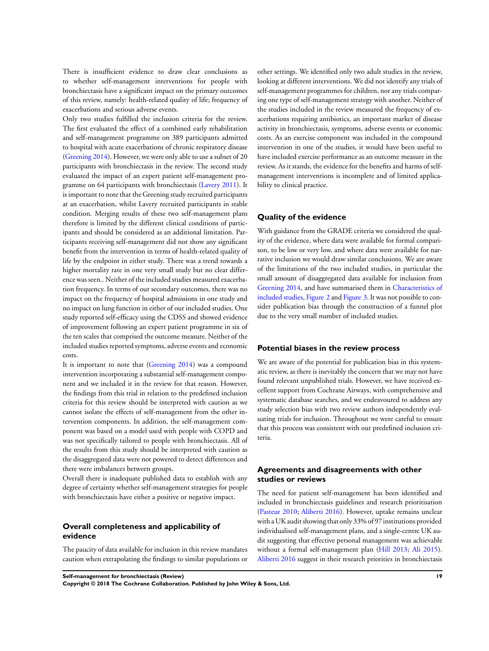There is insufficient evidence to draw clear conclusions as to whether self-management interventions for people with bronchiectasis have a significant impact on the primary outcomes of this review, namely: health-related quality of life; frequency of exacerbations and serious adverse events.

Only two studies fulfilled the inclusion criteria for the review. The first evaluated the effect of a combined early rehabilitation and self-management programme on 389 participants admitted to hospital with acute exacerbations of chronic respiratory disease [\(Greening 2014](#page-22-0)). However, we were only able to use a subset of 20 participants with bronchiectasis in the review. The second study evaluated the impact of an expert patient self-management programme on 64 participants with bronchiectasis ([Lavery 2011](#page-22-0)). It is important to note that the Greening study recruited participants at an exacerbation, whilst Lavery recruited participants in stable condition. Merging results of these two self-management plans therefore is limited by the different clinical conditions of participants and should be considered as an additional limitation. Participants receiving self-management did not show any significant benefit from the intervention in terms of health-related quality of life by the endpoint in either study. There was a trend towards a higher mortality rate in one very small study but no clear difference was seen.. Neither of the included studies measured exacerbation frequency. In terms of our secondary outcomes, there was no impact on the frequency of hospital admissions in one study and no impact on lung function in either of our included studies. One study reported self-efficacy using the CDSS and showed evidence of improvement following an expert patient programme in six of the ten scales that comprised the outcome measure. Neither of the included studies reported symptoms, adverse events and economic costs.

It is important to note that ([Greening 2014\)](#page-22-0) was a compound intervention incorporating a substantial self-management component and we included it in the review for that reason. However, the findings from this trial in relation to the predefined inclusion criteria for this review should be interpreted with caution as we cannot isolate the effects of self-management from the other intervention components. In addition, the self-management component was based on a model used with people with COPD and was not specifically tailored to people with bronchiectasis. All of the results from this study should be interpreted with caution as the disaggregated data were not powered to detect differences and there were imbalances between groups.

Overall there is inadequate published data to establish with any degree of certainty whether self-management strategies for people with bronchiectasis have either a positive or negative impact.

## **Overall completeness and applicability of evidence**

The paucity of data available for inclusion in this review mandates caution when extrapolating the findings to similar populations or other settings. We identified only two adult studies in the review, looking at different interventions. We did not identify any trials of self-management programmes for children, nor any trials comparing one type of self-management strategy with another. Neither of the studies included in the review measured the frequency of exacerbations requiring antibiotics, an important marker of disease activity in bronchiectasis, symptoms, adverse events or economic costs. As an exercise component was included in the compound intervention in one of the studies, it would have been useful to have included exercise performance as an outcome measure in the review. As it stands, the evidence for the benefits and harms of selfmanagement interventions is incomplete and of limited applicability to clinical practice.

## **Quality of the evidence**

With guidance from the GRADE criteria we considered the quality of the evidence, where data were available for formal comparison, to be low or very low, and where data were available for narrative inclusion we would draw similar conclusions. We are aware of the limitations of the two included studies, in particular the small amount of disaggregated data available for inclusion from [Greening 2014,](#page-22-0) and have summarised them in [Characteristics of](#page-27-0) [included studies,](#page-27-0) [Figure 2](https://archie.cochrane.org/sections/documents/view?version=z1706071232489051314296169902722%26format=REVMAN#FIG-02) and [Figure 3.](https://archie.cochrane.org/sections/documents/view?version=z1706071232489051314296169902722%26format=REVMAN#FIG-03) It was not possible to consider publication bias through the construction of a funnel plot due to the very small number of included studies.

## **Potential biases in the review process**

We are aware of the potential for publication bias in this systematic review, as there is inevitably the concern that we may not have found relevant unpublished trials. However, we have received excellent support from Cochrane Airways, with comprehensive and systematic database searches, and we endeavoured to address any study selection bias with two review authors independently evaluating trials for inclusion. Throughout we were careful to ensure that this process was consistent with our predefined inclusion criteria.

## **Agreements and disagreements with other studies or reviews**

The need for patient self-management has been identified and included in bronchiectasis guidelines and research prioritisation [\(Pasteur 2010;](#page-22-0) [Aliberti 2016\)](#page-22-0). However, uptake remains unclear with a UK audit showing that only 33% of 97 institutions provided individualised self-management plans, and a single-centre UK audit suggesting that effective personal management was achievable without a formal self-management plan ([Hill 2013;](#page-22-0) [Ali 2015](#page-22-0)). [Aliberti 2016](#page-22-0) suggest in their research priorities in bronchiectasis

**Self-management for bronchiectasis (Review) 19**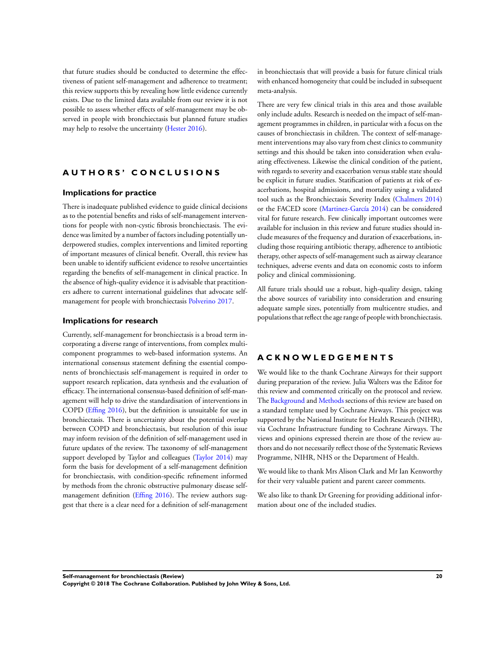that future studies should be conducted to determine the effectiveness of patient self-management and adherence to treatment; this review supports this by revealing how little evidence currently exists. Due to the limited data available from our review it is not possible to assess whether effects of self-management may be observed in people with bronchiectasis but planned future studies may help to resolve the uncertainty [\(Hester 2016](#page-22-0)).

## **A U T H O R S ' C O N C L U S I O N S**

### **Implications for practice**

There is inadequate published evidence to guide clinical decisions as to the potential benefits and risks of self-management interventions for people with non-cystic fibrosis bronchiectasis. The evidence was limited by a number of factors including potentially underpowered studies, complex interventions and limited reporting of important measures of clinical benefit. Overall, this review has been unable to identify sufficient evidence to resolve uncertainties regarding the benefits of self-management in clinical practice. In the absence of high-quality evidence it is advisable that practitioners adhere to current international guidelines that advocate selfmanagement for people with bronchiectasis [Polverino 2017.](#page-22-0)

### **Implications for research**

Currently, self-management for bronchiectasis is a broad term incorporating a diverse range of interventions, from complex multicomponent programmes to web-based information systems. An international consensus statement defining the essential components of bronchiectasis self-management is required in order to support research replication, data synthesis and the evaluation of efficacy. The international consensus-based definition of self-management will help to drive the standardisation of interventions in COPD [\(Effing 2016\)](#page-22-0), but the definition is unsuitable for use in bronchiectasis. There is uncertainty about the potential overlap between COPD and bronchiectasis, but resolution of this issue may inform revision of the definition of self-management used in future updates of the review. The taxonomy of self-management support developed by Taylor and colleagues [\(Taylor 2014\)](#page-22-0) may form the basis for development of a self-management definition for bronchiectasis, with condition-specific refinement informed by methods from the chronic obstructive pulmonary disease selfmanagement definition [\(Effing 2016\)](#page-22-0). The review authors suggest that there is a clear need for a definition of self-management in bronchiectasis that will provide a basis for future clinical trials with enhanced homogeneity that could be included in subsequent meta-analysis.

There are very few clinical trials in this area and those available only include adults. Research is needed on the impact of self-management programmes in children, in particular with a focus on the causes of bronchiectasis in children. The context of self-management interventions may also vary from chest clinics to community settings and this should be taken into consideration when evaluating effectiveness. Likewise the clinical condition of the patient, with regards to severity and exacerbation versus stable state should be explicit in future studies. Statification of patients at risk of exacerbations, hospital admissions, and mortality using a validated tool such as the Bronchiectasis Severity Index ([Chalmers 2014](#page-22-0)) or the FACED score ([Martinez-García 2014\)](#page-22-0) can be considered vital for future research. Few clinically important outcomes were available for inclusion in this review and future studies should include measures of the frequency and duration of exacerbations, including those requiring antibiotic therapy, adherence to antibiotic therapy, other aspects of self-management such as airway clearance techniques, adverse events and data on economic costs to inform policy and clinical commissioning.

All future trials should use a robust, high-quality design, taking the above sources of variability into consideration and ensuring adequate sample sizes, potentially from multicentre studies, and populations that reflect the age range of people with bronchiectasis.

## **A C K N O W L E D G E M E N T S**

We would like to the thank Cochrane Airways for their support during preparation of the review. Julia Walters was the Editor for this review and commented critically on the protocol and review. The [Background](#page-8-0) and [Methods](#page-8-0) sections of this review are based on a standard template used by Cochrane Airways. This project was supported by the National Institute for Health Research (NIHR), via Cochrane Infrastructure funding to Cochrane Airways. The views and opinions expressed therein are those of the review authors and do not necessarily reflect those of the Systematic Reviews Programme, NIHR, NHS or the Department of Health.

We would like to thank Mrs Alison Clark and Mr Ian Kenworthy for their very valuable patient and parent career comments.

We also like to thank Dr Greening for providing additional information about one of the included studies.

**Self-management for bronchiectasis (Review) 20**

**Copyright © 2018 The Cochrane Collaboration. Published by John Wiley & Sons, Ltd.**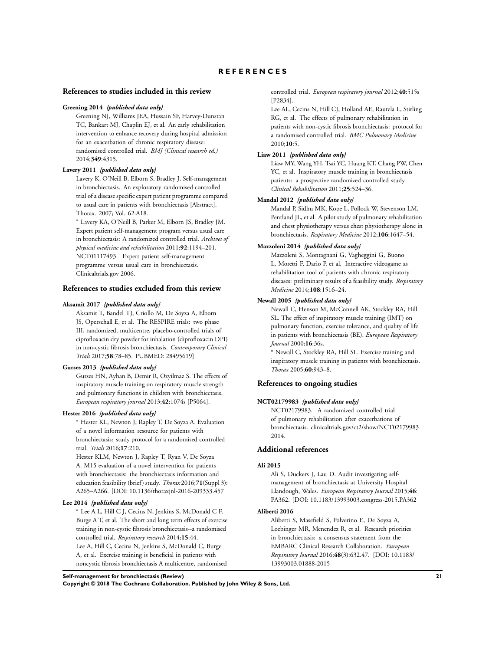## **R E F E R E N C E S**

### <span id="page-22-0"></span>**References to studies included in this review**

## **Greening 2014** *{published data only}*

Greening NJ, Williams JEA, Hussain SF, Harvey-Dunstan TC, Bankart MJ, Chaplin EJ, et al. An early rehabilitation intervention to enhance recovery during hospital admission for an exacerbation of chronic respiratory disease: randomised controlled trial. *BMJ (Clinical research ed.)* 2014;**349**:4315.

### **Lavery 2011** *{published data only}*

Lavery K, O'Neill B, Elborn S, Bradley J. Self-management in bronchiectasis. An exploratory randomised controlled trial of a disease specific expert patient programme compared to usual care in patients with bronchiectasis [Abstract]. Thorax. 2007; Vol. 62:A18.

<sup>∗</sup> Lavery KA, O'Neill B, Parker M, Elborn JS, Bradley JM. Expert patient self-management program versus usual care in bronchiectasis: A randomized controlled trial. *Archives of physical medicine and rehabilitation* 2011;**92**:1194–201. NCT01117493. Expert patient self-management programme versus usual care in bronchiectasis. Clinicaltrials.gov 2006.

## **References to studies excluded from this review**

#### **Aksamit 2017** *{published data only}*

Aksamit T, Bandel TJ, Criollo M, De Soyza A, Elborn JS, Operschall E, et al. The RESPIRE trials: two phase III, randomized, multicentre, placebo-controlled trials of ciprofloxacin dry powder for inhalation (diprofloxacin DPI) in non-cystic fibrosis bronchiectasis. *Contemporary Clinical Trials* 2017;**58**:78–85. PUBMED: 28495619]

### **Gurses 2013** *{published data only}*

Gurses HN, Ayhan B, Demir R, Ozyilmaz S. The effects of inspiratory muscle training on respiratory muscle strength and pulmonary functions in children with bronchiectasis. *European respiratory journal* 2013;**42**:1074s [P5064].

### **Hester 2016** *{published data only}*

<sup>∗</sup> Hester KL, Newton J, Rapley T, De Soyza A. Evaluation of a novel information resource for patients with bronchiectasis: study protocol for a randomised controlled trial. *Trials* 2016;**17**:210.

Hester KLM, Newton J, Rapley T, Ryan V, De Soyza A. M15 evaluation of a novel intervention for patients with bronchiectasis: the bronchiectasis information and education feasibility (brief) study. *Thorax* 2016;71(Suppl 3): A265–A266. [DOI: 10.1136/thoraxjnl-2016-209333.457

#### **Lee 2014** *{published data only}*

<sup>∗</sup> Lee A L, Hill C J, Cecins N, Jenkins S, McDonald C F, Burge A T, et al. The short and long term effects of exercise training in non-cystic fibrosis bronchiectasis--a randomised controlled trial. *Respiratory research* 2014;**15**:44. Lee A, Hill C, Cecins N, Jenkins S, McDonald C, Burge A, et al. Exercise training is beneficial in patients with noncystic fibrosis bronchiectasis A multicentre, randomised

controlled trial. *European respiratory journal* 2012;**40**:515s [P2834].

Lee AL, Cecins N, Hill CJ, Holland AE, Rautela L, Stirling RG, et al. The effects of pulmonary rehabilitation in patients with non-cystic fibrosis bronchiectasis: protocol for a randomised controlled trial. *BMC Pulmonary Medicine* 2010;**10**:5.

### **Liaw 2011** *{published data only}*

Liaw MY, Wang YH, Tsai YC, Huang KT, Chang PW, Chen YC, et al. Inspiratory muscle training in bronchiectasis patients: a prospective randomized controlled study. *Clinical Rehabilitation* 2011;**25**:524–36.

### **Mandal 2012** *{published data only}*

Mandal P, Sidhu MK, Kope L, Pollock W, Stevenson LM, Pentland JL, et al. A pilot study of pulmonary rehabilitation and chest physiotherapy versus chest physiotherapy alone in bronchiectasis. *Respiratory Medicine* 2012;**106**:1647–54.

### **Mazzoleni 2014** *{published data only}*

Mazzoleni S, Montagnani G, Vagheggini G, Buono L, Moretti F, Dario P, et al. Interactive videogame as rehabilitation tool of patients with chronic respiratory diseases: preliminary results of a feasibility study. *Respiratory Medicine* 2014;**108**:1516–24.

#### **Newall 2005** *{published data only}*

Newall C, Henson M, McConnell AK, Stockley RA, Hill SL. The effect of inspiratory muscle training (IMT) on pulmonary function, exercise tolerance, and quality of life in patients with bronchiectasis (BE). *European Respiratory Journal* 2000;**16**:36s.

<sup>∗</sup> Newall C, Stockley RA, Hill SL. Exercise training and inspiratory muscle training in patients with bronchiectasis. *Thorax* 2005;**60**:943–8.

## **References to ongoing studies**

### **NCT02179983** *{published data only}*

NCT02179983. A randomized controlled trial of pulmonary rehabilitation after exacerbations of bronchiectasis. clinicaltrials.gov/ct2/show/NCT02179983 2014.

### **Additional references**

#### **Ali 2015**

Ali S, Duckers J, Lau D. Audit investigating selfmanagement of bronchiectasis at University Hospital Llandough, Wales. *European Respiratory Journal* 2015;**46**: PA362. [DOI: 10.1183/13993003.congress-2015.PA362

#### **Aliberti 2016**

Aliberti S, Masefield S, Polverino E, De Soyza A, Loebinger MR, Menendez R, et al. Research priorities in bronchiectasis: a consensus statement from the EMBARC Clinical Research Collaboration. *European Respiratory Journal* 2016;**48**(3):632.47. [DOI: 10.1183/ 13993003.01888-2015

**Self-management for bronchiectasis (Review) 21**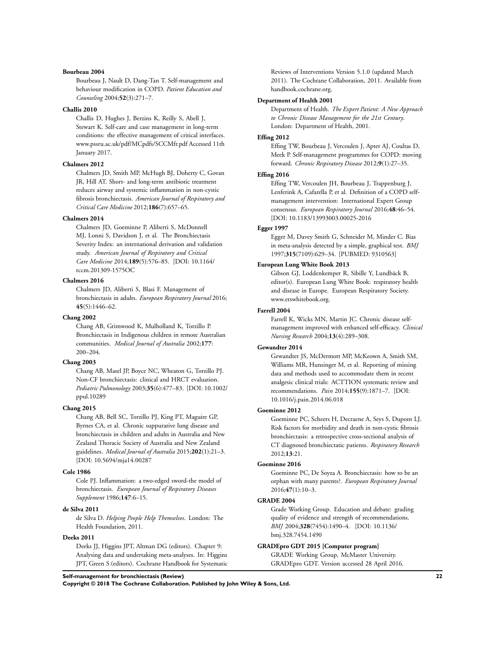#### **Bourbeau 2004**

Bourbeau J, Nault D, Dang-Tan T. Self-management and behaviour modification in COPD. *Patient Education and Counseling* 2004;**52**(3):271–7.

#### **Challis 2010**

Challis D, Hughes J, Berzins K, Reilly S, Abell J, Stewart K. Self-care and case management in long-term conditions: the effective management of critical interfaces. www.pssru.ac.uk/pdf/MCpdfs/SCCMfr.pdf Accessed 11th January 2017.

#### **Chalmers 2012**

Chalmers JD, Smith MP, McHugh BJ, Doherty C, Govan JR, Hill AT. Short- and long-term antibiotic treatment reduces airway and systemic inflammation in non-cystic fibrosis bronchiectasis. *American Journal of Respiratory and Critical Care Medicine* 2012;**186**(7):657–65.

#### **Chalmers 2014**

Chalmers JD, Goeminne P, Aliberti S, McDonnell MJ, Lonni S, Davidson J, et al. The Bronchiectasis Severity Index: an international derivation and validation study. *American Journal of Respiratory and Critical Care Medicine* 2014;**189**(5):576–85. [DOI: 10.1164/ rccm.201309-1575OC

### **Chalmers 2016**

Chalmers JD, Aliberti S, Blasi F. Management of bronchiectasis in adults. *European Respiratory Journal* 2016; **45**(5):1446–62.

#### **Chang 2002**

Chang AB, Grimwood K, Mulholland K, Torzillo P. Bronchiectasis in Indigenous children in remote Australian communities. *Medical Journal of Australia* 2002;**177**: 200–204.

#### **Chang 2003**

Chang AB, Masel JP, Boyce NC, Wheaton G, Torzillo PJ. Non-CF bronchiectasis: clinical and HRCT evaluation. *Pediatric Pulmonology* 2003;**35**(6):477–83. [DOI: 10.1002/ ppul.10289

### **Chang 2015**

Chang AB, Bell SC, Torzillo PJ, King PT, Maguire GP, Byrnes CA, et al. Chronic suppurative lung disease and bronchiectasis in children and adults in Australia and New Zealand Thoracic Society of Australia and New Zealand guidelines. *Medical Journal of Australia* 2015;**202**(1):21–3. [DOI: 10.5694/mja14.00287

#### **Cole 1986**

Cole PJ. Inflammation: a two-edged sword-the model of bronchiectasis. *European Journal of Respiratory Diseases Supplement* 1986;**147**:6–15.

### **de Silva 2011**

de Silva D. *Helping People Help Themselves*. London: The Health Foundation, 2011.

### **Deeks 2011**

Deeks JJ, Higgins JPT, Altman DG (editors). Chapter 9: Analysing data and undertaking meta-analyses. In: Higgins JPT, Green S (editors). Cochrane Handbook for Systematic Reviews of Interventions Version 5.1.0 (updated March 2011). The Cochrane Collaboration, 2011. Available from handbook.cochrane.org.

## **Department of Health 2001**

Department of Health. *The Expert Patient: A New Approach to Chronic Disease Management for the 21st Century*. London: Department of Health, 2001.

#### **Effing 2012**

Effing TW, Bourbeau J, Vercoulen J, Apter AJ, Coultas D, Meek P. Self-management programmes for COPD: moving forward. *Chronic Respiratory Disease* 2012;**9**(1):27–35.

### **Effing 2016**

Effing TW, Vercoulen JH, Bourbeau J, Trappenburg J, Lenferink A, Cafarella P, et al. Definition of a COPD selfmanagement intervention: International Expert Group consensus. *European Respiratory Journal* 2016;**48**:46–54. [DOI: 10.1183/13993003.00025-2016

#### **Egger 1997**

Egger M, Davey Smith G, Schneider M, Minder C. Bias in meta-analysis detected by a simple, graphical test. *BMJ* 1997;**315**(7109):629–34. [PUBMED: 9310563]

## **European Lung White Book 2013**

Gibson GJ, Loddenkemper R, Sibille Y, Lundbäck B, editor(s). European Lung White Book: respiratory health and disease in Europe. European Respiratory Society. www.erswhitebook.org.

#### **Farrell 2004**

Farrell K, Wicks MN, Martin JC. Chronic disease selfmanagement improved with enhanced self-efficacy. *Clinical Nursing Research* 2004;**13**(4):289–308.

#### **Gewandter 2014**

Gewandter JS, McDermott MP, McKeown A, Smith SM, Williams MR, Hunsinger M, et al. Reporting of missing data and methods used to accommodate them in recent analgesic clinical trials: ACTTION systematic review and recommendations. *Pain* 2014;**155**(9):1871–7. [DOI: 10.1016/j.pain.2014.06.018

### **Goeminne 2012**

Goeminne PC, Scheers H, Decraene A, Seys S, Dupont LJ. Risk factors for morbidity and death in non-cystic fibrosis bronchiectasis: a retrospective cross-sectional analysis of CT diagnosed bronchiectatic patients. *Respiratory Research* 2012;**13**:21.

#### **Goeminne 2016**

Goeminne PC, De Soyza A. Bronchiectasis: how to be an orphan with many parents?. *European Respiratory Journal* 2016;**47**(1):10–3.

### **GRADE 2004**

Grade Working Group. Education and debate: grading quality of evidence and strength of recommendations. *BMJ* 2004;**328**(7454):1490–4. [DOI: 10.1136/ bmj.328.7454.1490

### **GRADEpro GDT 2015 [Computer program]**

GRADE Working Group, McMaster University. GRADEpro GDT. Version accessed 28 April 2016.

**Self-management for bronchiectasis (Review) 22**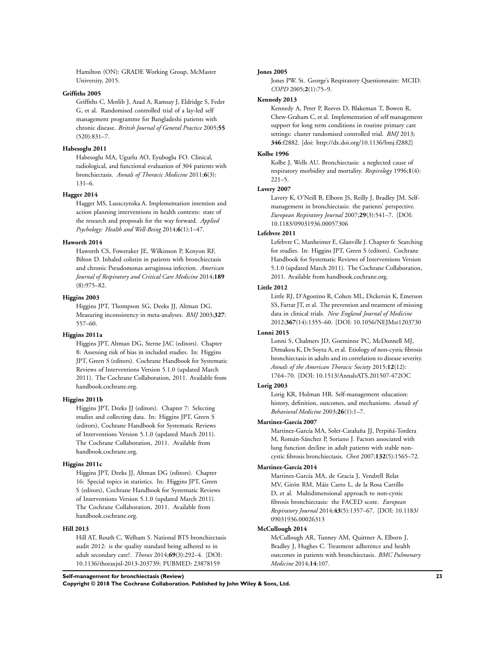Hamilton (ON): GRADE Working Group, McMaster University, 2015.

#### **Griffiths 2005**

Griffiths C, Motlib J, Azad A, Ramsay J, Eldridge S, Feder G, et al. Randomised controlled trial of a lay-led self management programme for Bangladeshi patients with chronic disease. *British Journal of General Practice* 2005;**55** (520):831–7.

### **Habesoglu 2011**

Habesoglu MA, Ugurlu AO, Eyuboglu FO. Clinical, radiological, and functional evaluation of 304 patients with bronchiectasis. *Annals of Thoracic Medicine* 2011;**6**(3): 131–6.

#### **Hagger 2014**

Hagger MS, Luszczynska A. Implementation intention and action planning interventions in health contexts: state of the research and proposals for the way forward. *Applied Psychology: Health and Well-Being* 2014;**6**(1):1–47.

### **Haworth 2014**

Haworth CS, Foweraker JE, Wilkinson P, Kenyon RF, Bilton D. Inhaled colistin in patients with bronchiectasis and chronic Pseudomonas aeruginosa infection. *American Journal of Respiratory and Critical Care Medicine* 2014;**189** (8):975–82.

#### **Higgins 2003**

Higgins JPT, Thompson SG, Deeks JJ, Altman DG. Measuring inconsistency in meta-analyses. *BMJ* 2003;**327**: 557–60.

## **Higgins 2011a**

Higgins JPT, Altman DG, Sterne JAC (editors). Chapter 8: Assessing risk of bias in included studies. In: Higgins JPT, Green S (editors). Cochrane Handbook for Systematic Reviews of Interventions Version 5.1.0 (updated March 2011). The Cochrane Collaboration, 2011. Available from handbook.cochrane.org.

## **Higgins 2011b**

Higgins JPT, Deeks JJ (editors). Chapter 7: Selecting studies and collecting data. In: Higgins JPT, Green S (editors), Cochrane Handbook for Systematic Reviews of Interventions Version 5.1.0 (updated March 2011). The Cochrane Collaboration, 2011. Available from handbook.cochrane.org.

### **Higgins 2011c**

Higgins JPT, Deeks JJ, Altman DG (editors). Chapter 16: Special topics in statistics. In: Higgins JPT, Green S (editors), Cochrane Handbook for Systematic Reviews of Interventions Version 5.1.0 (updated March 2011). The Cochrane Collaboration, 2011. Available from handbook.cochrane.org.

### **Hill 2013**

Hill AT, Routh C, Welham S. National BTS bronchiectasis audit 2012: is the quality standard being adhered to in adult secondary care?. *Thorax* 2014;**69**(3):292–4. [DOI: 10.1136/thoraxjnl-2013-203739; PUBMED: 23878159

#### **Jones 2005**

Jones PW. St. George's Respiratory Questionnaire: MCID. *COPD* 2005;**2**(1):75–9.

#### **Kennedy 2013**

Kennedy A, Peter P, Reeves D, Blakeman T, Bowen R, Chew-Graham C, et al. Implementation of self management support for long term conditions in routine primary care settings: cluster randomised controlled trial. *BMJ* 2013; **346**:f2882. [doi: http://dx.doi.org/10.1136/bmj.f2882]

#### **Kolbe 1996**

Kolbe J, Wells AU. Bronchiectasis: a neglected cause of respiratory morbidity and mortality. *Respirology* 1996;**1**(4): 221–5.

### **Lavery 2007**

Lavery K, O'Neill B, Elborn JS, Reilly J, Bradley JM. Selfmanagement in bronchiectasis: the patients' perspective. *European Respiratory Journal* 2007;**29**(3):541–7. [DOI: 10.1183/09031936.00057306

## **Lefebvre 2011**

Lefebvre C, Manheimer E, Glanville J. Chapter 6: Searching for studies. In: Higgins JPT, Green S (editors). Cochrane Handbook for Systematic Reviews of Interventions Version 5.1.0 (updated March 2011). The Cochrane Collaboration, 2011. Available from handbook.cochrane.org.

#### **Little 2012**

Little RJ, D'Agostino R, Cohen ML, Dickersin K, Emerson SS, Farrar JT, et al. The prevention and treatment of missing data in clinical trials. *New England Journal of Medicine* 2012;**367**(14):1355–60. [DOI: 10.1056/NEJMsr1203730

#### **Lonni 2015**

Lonni S, Chalmers JD, Goeminne PC, McDonnell MJ, Dimakou K, De Soyza A, et al. Etiology of non-cystic fibrosis bronchiectasis in adults and its correlation to disease severity. *Annals of the American Thoracic Society* 2015;**12**(12): 1764–70. [DOI: 10.1513/AnnalsATS.201507-472OC

#### **Lorig 2003**

Lorig KR, Holman HR. Self-management education: history, definition, outcomes, and mechanisms. *Annals of Behavioral Medicine* 2003;**26**(1):1–7.

#### **Martinez-García 2007**

Martinez-García MA, Soler-Cataluña JJ, Perpiñá-Tordera M, Román-Sánchez P, Soriano J. Factors associated with lung function decline in adult patients with stable noncystic fibrosis bronchiectasis. *Chest* 2007;**132**(5):1565–72.

#### **Martinez-García 2014**

Martinez-García MA, de Gracia J, Vendrell Relat MV, Girón RM, Máiz Carro L, de la Rosa Carrillo D, et al. Multidimensional approach to non-cystic fibrosis bronchiectasis: the FACED score. *European Respiratory Journal* 2014;**43**(5):1357–67. [DOI: 10.1183/ 09031936.00026313

## **McCullough 2014**

McCullough AR, Tunney AM, Quittner A, Elborn J, Bradley J, Hughes C. Treatment adherence and health outcomes in patients with bronchiectasis. *BMC Pulmonary Medicine* 2014;**14**:107.

#### **Self-management for bronchiectasis (Review) 23**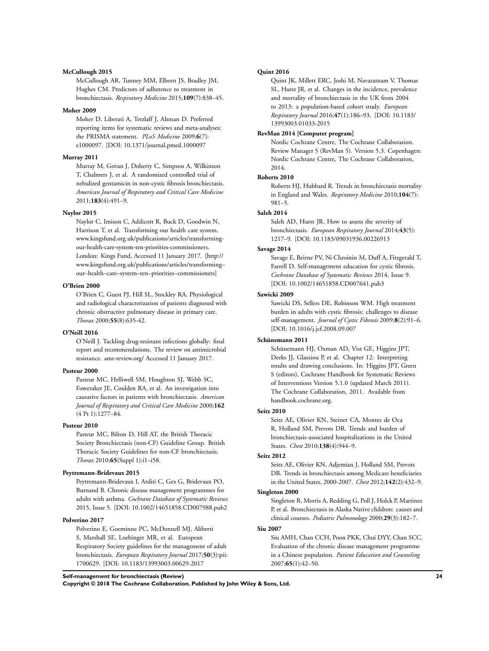#### **McCullough 2015**

McCullough AR, Tunney MM, Elborn JS, Bradley JM, Hughes CM. Predictors of adherence to treatment in bronchiectasis. *Respiratory Medicine* 2015;**109**(7):838–45.

#### **Moher 2009**

Moher D, Liberati A, Tetzlaff J, Altman D. Preferred reporting items for systematic reviews and meta-analyses: the PRISMA statement. *PLoS Medicine* 2009;**6**(7): e1000097. [DOI: 10.1371/journal.pmed.1000097

#### **Murray 2011**

Murray M, Govan J, Doherty C, Simpson A, Wilkinson T, Chalmers J, et al. A randomized controlled trial of nebulized gentamicin in non-cystic fibrosis bronchiectasis. *American Journal of Respiratory and Critical Care Medicine* 2011;**183**(4):491–9.

### **Naylor 2015**

Naylor C, Imison C, Addicott R, Buck D, Goodwin N, Harrison T, et al. Transforming our health care system. www.kingsfund.org.uk/publications/articles/transformingour-health-care-system-ten-priorities-commissioners. London: Kings Fund, Accessed 11 January 2017. [http:// www.kingsfund.org.uk/publications/articles/transforming– our–health–care–system–ten–priorities–commissioners]

#### **O'Brien 2000**

O'Brien C, Guest PJ, Hill SL, Stockley RA. Physiological and radiological characterization of patients diagnosed with chronic obstructive pulmonary disease in primary care. *Thorax* 2000;**55**(8):635-42.

#### **O'Neill 2016**

O'Neill J. Tackling drug-resistant infections globally: final report and recommendations. The review on antimicrobial resistance. amr-review.org/ Accessed 11 January 2017.

#### **Pasteur 2000**

Pasteur MC, Helliwell SM, Houghton SJ, Webb SC, Foweraker JE, Coulden RA, et al. An investigation into causative factors in patients with bronchiectasis. *American Journal of Respiratory and Critical Care Medicine* 2000;**162** (4 Pt 1):1277–84.

#### **Pasteur 2010**

Pasteur MC, Bilton D, Hill AT, the British Thoracic Society Bronchiectasis (non-CF) Guideline Group. British Thoracic Society Guidelines for non-CF bronchiectasis. *Thorax* 2010;**65**(Suppl 1):i1–i58.

### **Peytremann-Bridevaux 2015**

Peytremann-Bridevaux I, Arditi C, Gex G, Bridevaux PO, Burnand B. Chronic disease management programmes for adults with asthma. *Cochrane Database of Systematic Reviews* 2015, Issue 5. [DOI: 10.1002/14651858.CD007988.pub2

#### **Polverino 2017**

Polverino E, Goeminne PC, McDonnell MJ, Aliberti S, Marshall SE, Loebinger MR, et al. European Respiratory Society guidelines for the management of adult bronchiectasis. *European Respiratory Journal* 2017;**50**(3):pii: 1700629. [DOI: 10.1183/13993003.00629-2017

#### **Quint 2016**

Quint JK, Millett ERC, Joshi M, Navaratnam V, Thomas SL, Hurst JR, et al. Changes in the incidence, prevalence and mortality of bronchiectasis in the UK from 2004 to 2013: a population-based cohort study. *European Respiratory Journal* 2016;**47**(1):186–93. [DOI: 10.1183/ 13993003.01033-2015

#### **RevMan 2014 [Computer program]**

Nordic Cochrane Centre, The Cochrane Collaboration. Review Manager 5 (RevMan 5). Version 5.3. Copenhagen: Nordic Cochrane Centre, The Cochrane Collaboration, 2014.

#### **Roberts 2010**

Roberts HJ, Hubbard R. Trends in bronchiectasis mortality in England and Wales. *Respiratory Medicine* 2010;**104**(7): 981–5.

#### **Saleh 2014**

Saleh AD, Hurst JR. How to assess the severity of bronchiectasis. *European Respiratory Journal* 2014;**43**(5): 1217–9. [DOI: 10.1183/09031936.00226913

### **Savage 2014**

Savage E, Beirne PV, Ni Chroinin M, Duff A, Fitzgerald T, Farrell D. Self-management education for cystic fibrosis. *Cochrane Database of Systematic Reviews* 2014, Issue 9. [DOI: 10.1002/14651858.CD007641.pub3

#### **Sawicki 2009**

Sawicki DS, Sellers DE, Robinson WM. High treatment burden in adults with cystic fibrosis: challenges to disease self-management. *Journal of Cystic Fibrosis* 2009;**8**(2):91–6. [DOI: 10.1016/j.jcf.2008.09.007

#### **Schünemann 2011**

Schünemann HJ, Oxman AD, Vist GE, Higgins JPT, Deeks JJ, Glasziou P, et al. Chapter 12: Interpreting results and drawing conclusions. In: Higgins JPT, Green S (editors), Cochrane Handbook for Systematic Reviews of Interventions Version 5.1.0 (updated March 2011). The Cochrane Collaboration, 2011. Available from handbook.cochrane.org.

#### **Seitz 2010**

Seitz AE, Olivier KN, Steiner CA, Montes de Oca R, Holland SM, Prevots DR. Trends and burden of bronchiectasis-associated hospitalizations in the United States. *Chest* 2010;**138**(4):944–9.

#### **Seitz 2012**

Seitz AE, Olivier KN, Adjemian J, Holland SM, Prevots DR. Trends in bronchiectasis among Medicare beneficiaries in the United States, 2000-2007. *Chest* 2012;**142**(2):432–9.

#### **Singleton 2000**

Singleton R, Morris A, Redding G, Poll J, Holck P, Martinez P, et al. Bronchiectasis in Alaska Native children: causes and clinical courses. *Pediatric Pulmonology* 2000;**29**(3):182–7.

### **Siu 2007**

Siu AMH, Chan CCH, Poon PKK, Chui DYY, Chan SCC. Evaluation of the chronic disease management programme in a Chinese population. *Patient Education and Counseling* 2007;**65**(1):42–50.

**Self-management for bronchiectasis (Review) 24**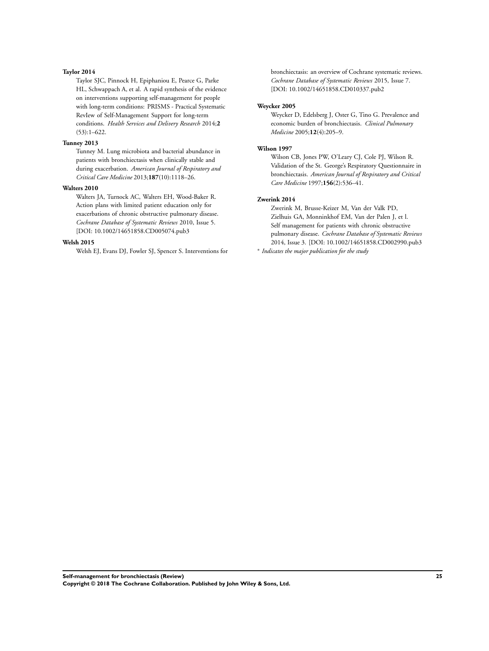## **Taylor 2014**

Taylor SJC, Pinnock H, Epiphaniou E, Pearce G, Parke HL, Schwappach A, et al. A rapid synthesis of the evidence on interventions supporting self-management for people with long-term conditions: PRISMS - Practical Systematic RevIew of Self-Management Support for long-term conditions. *Health Services and Delivery Research* 2014;**2** (53):1–622.

## **Tunney 2013**

Tunney M. Lung microbiota and bacterial abundance in patients with bronchiectasis when clinically stable and during exacerbation. *American Journal of Respiratory and Critical Care Medicine* 2013;**187**(10):1118–26.

## **Walters 2010**

Walters JA, Turnock AC, Walters EH, Wood-Baker R. Action plans with limited patient education only for exacerbations of chronic obstructive pulmonary disease. *Cochrane Database of Systematic Reviews* 2010, Issue 5. [DOI: 10.1002/14651858.CD005074.pub3

### **Welsh 2015**

Welsh EJ, Evans DJ, Fowler SJ, Spencer S. Interventions for

bronchiectasis: an overview of Cochrane systematic reviews. *Cochrane Database of Systematic Reviews* 2015, Issue 7. [DOI: 10.1002/14651858.CD010337.pub2

#### **Weycker 2005**

Weycker D, Edelsberg J, Oster G, Tino G. Prevalence and economic burden of bronchiectasis. *Clinical Pulmonary Medicine* 2005;**12**(4):205–9.

### **Wilson 1997**

Wilson CB, Jones PW, O'Leary CJ, Cole PJ, Wilson R. Validation of the St. George's Respiratory Questionnaire in bronchiectasis. *American Journal of Respiratory and Critical Care Medicine* 1997;**156**(2):536–41.

#### **Zwerink 2014**

Zwerink M, Brusse-Keizer M, Van der Valk PD, Zielhuis GA, Monninkhof EM, Van der Palen J, et l. Self management for patients with chronic obstructive pulmonary disease. *Cochrane Database of Systematic Reviews* 2014, Issue 3. [DOI: 10.1002/14651858.CD002990.pub3

∗ *Indicates the major publication for the study*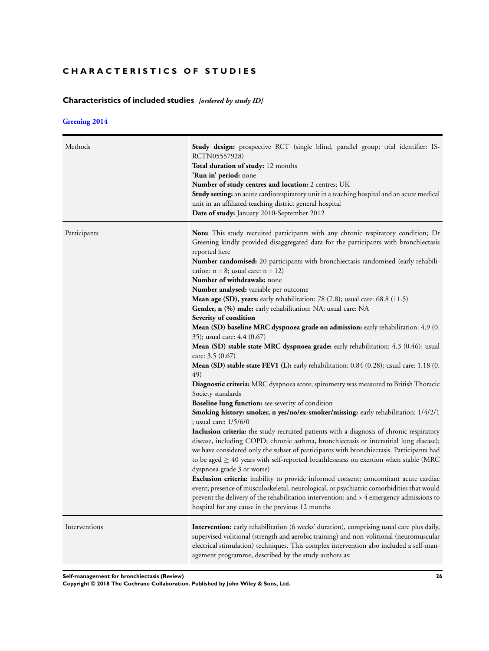## <span id="page-27-0"></span>**CHARACTERISTICS OF STUDIES**

## **Characteristics of included studies** *[ordered by study ID]*

## **[Greening 2014](#page-22-0)**

| Methods       | Study design: prospective RCT (single blind, parallel group; trial identifier: IS-<br>RCTN05557928)<br>Total duration of study: 12 months<br>'Run in' period: none<br><b>Number of study centres and location:</b> 2 centres; UK<br>Study setting: an acute cardiorespiratory unit in a teaching hospital and an acute medical<br>unit in an affiliated teaching district general hospital<br>Date of study: January 2010-September 2012                                                                                                                                                                                                                                                                                                                                                                                                                                                                                                                                                                                                                                                                                                                                                                                                                                                                                                                                                                                                                                                                                                                                                                                                                                                                                                                                                                                                                                                                                                                                                                              |
|---------------|-----------------------------------------------------------------------------------------------------------------------------------------------------------------------------------------------------------------------------------------------------------------------------------------------------------------------------------------------------------------------------------------------------------------------------------------------------------------------------------------------------------------------------------------------------------------------------------------------------------------------------------------------------------------------------------------------------------------------------------------------------------------------------------------------------------------------------------------------------------------------------------------------------------------------------------------------------------------------------------------------------------------------------------------------------------------------------------------------------------------------------------------------------------------------------------------------------------------------------------------------------------------------------------------------------------------------------------------------------------------------------------------------------------------------------------------------------------------------------------------------------------------------------------------------------------------------------------------------------------------------------------------------------------------------------------------------------------------------------------------------------------------------------------------------------------------------------------------------------------------------------------------------------------------------------------------------------------------------------------------------------------------------|
| Participants  | <b>Note:</b> This study recruited participants with any chronic respiratory condition; Dr<br>Greening kindly provided disaggregated data for the participants with bronchiectasis<br>reported here<br><b>Number randomised:</b> 20 participants with bronchiectasis randomised (early rehabili-<br>tation: $n = 8$ ; usual care: $n = 12$ )<br><b>Number of withdrawals:</b> none<br>Number analysed: variable per outcome<br><b>Mean age (SD), years:</b> early rehabilitation: 78 $(7.8)$ ; usual care: 68.8 $(11.5)$<br>Gender, n (%) male: early rehabilitation: NA; usual care: NA<br>Severity of condition<br><b>Mean (SD) baseline MRC dyspnoea grade on admission:</b> early rehabilitation: 4.9 (0.<br>35); usual care: 4.4 (0.67)<br><b>Mean (SD) stable state MRC dyspnoea grade:</b> early rehabilitation: 4.3 (0.46); usual<br>care: $3.5(0.67)$<br><b>Mean (SD) stable state FEV1 (L):</b> early rehabilitation: $0.84$ (0.28); usual care: $1.18$ (0.<br>49)<br><b>Diagnostic criteria:</b> MRC dyspnoea score; spirometry was measured to British Thoracic<br>Society standards<br>Baseline lung function: see severity of condition<br>Smoking history: smoker, n yes/no/ex-smoker/missing: early rehabilitation: 1/4/2/1<br>; usual care: 1/5/6/0<br>Inclusion criteria: the study recruited patients with a diagnosis of chronic respiratory<br>disease, including COPD; chronic asthma, bronchiectasis or interstitial lung disease);<br>we have considered only the subset of participants with bronchiectasis. Participants had<br>to be aged $\geq 40$ years with self-reported breathlessness on exertion when stable (MRC<br>dyspnoea grade 3 or worse)<br>Exclusion criteria: inability to provide informed consent; concomitant acute cardiac<br>event; presence of musculoskeletal, neurological, or psychiatric comorbidities that would<br>prevent the delivery of the rehabilitation intervention; and > 4 emergency admissions to<br>hospital for any cause in the previous 12 months |
| Interventions | Intervention: early rehabilitation (6 weeks' duration), comprising usual care plus daily,<br>supervised volitional (strength and aerobic training) and non-volitional (neuromuscular<br>electrical stimulation) techniques. This complex intervention also included a self-man-<br>agement programme, described by the study authors as:                                                                                                                                                                                                                                                                                                                                                                                                                                                                                                                                                                                                                                                                                                                                                                                                                                                                                                                                                                                                                                                                                                                                                                                                                                                                                                                                                                                                                                                                                                                                                                                                                                                                              |

**Self-management for bronchiectasis (Review) 26**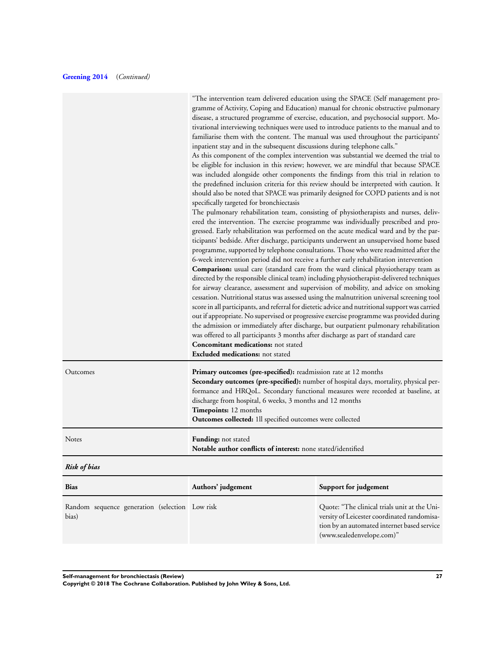## **[Greening 2014](#page-22-0)** (*Continued)*

|                                                             | "The intervention team delivered education using the SPACE (Self management pro-                                                                                                                                                                                                                                                                                                                                                                                                                                                                                                                                                                                                                                                                                                                                                                                                                                                                                                                                                                                                                                                                                                                                                                                                                                                                                                                                                                                                                                                                                                                                                                                                                                                                                                                                                                 |
|-------------------------------------------------------------|--------------------------------------------------------------------------------------------------------------------------------------------------------------------------------------------------------------------------------------------------------------------------------------------------------------------------------------------------------------------------------------------------------------------------------------------------------------------------------------------------------------------------------------------------------------------------------------------------------------------------------------------------------------------------------------------------------------------------------------------------------------------------------------------------------------------------------------------------------------------------------------------------------------------------------------------------------------------------------------------------------------------------------------------------------------------------------------------------------------------------------------------------------------------------------------------------------------------------------------------------------------------------------------------------------------------------------------------------------------------------------------------------------------------------------------------------------------------------------------------------------------------------------------------------------------------------------------------------------------------------------------------------------------------------------------------------------------------------------------------------------------------------------------------------------------------------------------------------|
|                                                             | gramme of Activity, Coping and Education) manual for chronic obstructive pulmonary<br>disease, a structured programme of exercise, education, and psychosocial support. Mo-<br>tivational interviewing techniques were used to introduce patients to the manual and to                                                                                                                                                                                                                                                                                                                                                                                                                                                                                                                                                                                                                                                                                                                                                                                                                                                                                                                                                                                                                                                                                                                                                                                                                                                                                                                                                                                                                                                                                                                                                                           |
|                                                             | familiarise them with the content. The manual was used throughout the participants'<br>inpatient stay and in the subsequent discussions during telephone calls."                                                                                                                                                                                                                                                                                                                                                                                                                                                                                                                                                                                                                                                                                                                                                                                                                                                                                                                                                                                                                                                                                                                                                                                                                                                                                                                                                                                                                                                                                                                                                                                                                                                                                 |
|                                                             | As this component of the complex intervention was substantial we deemed the trial to<br>be eligible for inclusion in this review; however, we are mindful that because SPACE<br>was included alongside other components the findings from this trial in relation to<br>the predefined inclusion criteria for this review should be interpreted with caution. It<br>should also be noted that SPACE was primarily designed for COPD patients and is not<br>specifically targeted for bronchiectasis<br>The pulmonary rehabilitation team, consisting of physiotherapists and nurses, deliv-<br>ered the intervention. The exercise programme was individually prescribed and pro-<br>gressed. Early rehabilitation was performed on the acute medical ward and by the par-<br>ticipants' bedside. After discharge, participants underwent an unsupervised home based<br>programme, supported by telephone consultations. Those who were readmitted after the<br>6-week intervention period did not receive a further early rehabilitation intervention<br>Comparison: usual care (standard care from the ward clinical physiotherapy team as<br>directed by the responsible clinical team) including physiotherapist-delivered techniques<br>for airway clearance, assessment and supervision of mobility, and advice on smoking<br>cessation. Nutritional status was assessed using the malnutrition universal screening tool<br>score in all participants, and referral for dietetic advice and nutritional support was carried<br>out if appropriate. No supervised or progressive exercise programme was provided during<br>the admission or immediately after discharge, but outpatient pulmonary rehabilitation<br>was offered to all participants 3 months after discharge as part of standard care<br>Concomitant medications: not stated |
|                                                             | <b>Excluded medications:</b> not stated                                                                                                                                                                                                                                                                                                                                                                                                                                                                                                                                                                                                                                                                                                                                                                                                                                                                                                                                                                                                                                                                                                                                                                                                                                                                                                                                                                                                                                                                                                                                                                                                                                                                                                                                                                                                          |
| Outcomes                                                    | Primary outcomes (pre-specified): readmission rate at 12 months<br>Secondary outcomes (pre-specified): number of hospital days, mortality, physical per-<br>formance and HRQoL. Secondary functional measures were recorded at baseline, at<br>discharge from hospital, 6 weeks, 3 months and 12 months<br>Timepoints: 12 months<br>Outcomes collected: 1ll specified outcomes were collected                                                                                                                                                                                                                                                                                                                                                                                                                                                                                                                                                                                                                                                                                                                                                                                                                                                                                                                                                                                                                                                                                                                                                                                                                                                                                                                                                                                                                                                    |
| Notes                                                       | Funding: not stated<br>Notable author conflicts of interest: none stated/identified                                                                                                                                                                                                                                                                                                                                                                                                                                                                                                                                                                                                                                                                                                                                                                                                                                                                                                                                                                                                                                                                                                                                                                                                                                                                                                                                                                                                                                                                                                                                                                                                                                                                                                                                                              |
| $\mathbf{r} \cdot \mathbf{r}$ $\mathbf{r} \cdot \mathbf{r}$ |                                                                                                                                                                                                                                                                                                                                                                                                                                                                                                                                                                                                                                                                                                                                                                                                                                                                                                                                                                                                                                                                                                                                                                                                                                                                                                                                                                                                                                                                                                                                                                                                                                                                                                                                                                                                                                                  |

### *Risk of bias*

| <b>Bias</b>                                             | Authors' judgement | Support for judgement                                                                                                                                                   |
|---------------------------------------------------------|--------------------|-------------------------------------------------------------------------------------------------------------------------------------------------------------------------|
| Random sequence generation (selection Low risk<br>bias) |                    | Quote: "The clinical trials unit at the Uni-<br>versity of Leicester coordinated randomisa-<br>tion by an automated internet based service<br>(www.sealedenvelope.com)" |

**Self-management for bronchiectasis (Review) 27**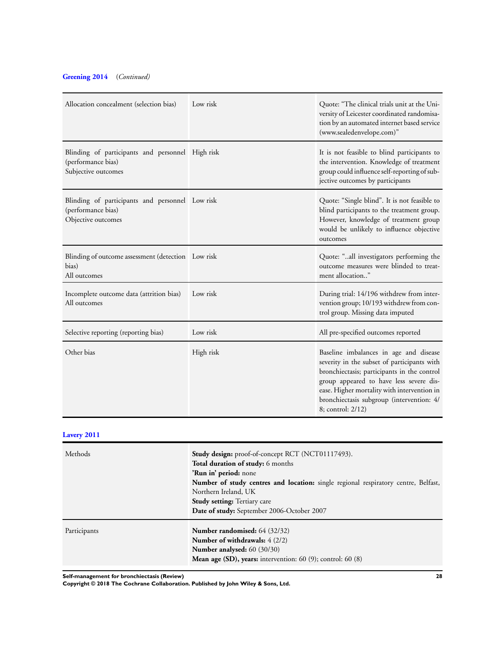## **[Greening 2014](#page-22-0)** (*Continued)*

| Allocation concealment (selection bias)                                                       | Low risk  | Quote: "The clinical trials unit at the Uni-<br>versity of Leicester coordinated randomisa-<br>tion by an automated internet based service<br>(www.sealedenvelope.com)"                                                                                                                          |
|-----------------------------------------------------------------------------------------------|-----------|--------------------------------------------------------------------------------------------------------------------------------------------------------------------------------------------------------------------------------------------------------------------------------------------------|
| Blinding of participants and personnel High risk<br>(performance bias)<br>Subjective outcomes |           | It is not feasible to blind participants to<br>the intervention. Knowledge of treatment<br>group could influence self-reporting of sub-<br>jective outcomes by participants                                                                                                                      |
| Blinding of participants and personnel Low risk<br>(performance bias)<br>Objective outcomes   |           | Quote: "Single blind". It is not feasible to<br>blind participants to the treatment group.<br>However, knowledge of treatment group<br>would be unlikely to influence objective<br>outcomes                                                                                                      |
| Blinding of outcome assessment (detection Low risk<br>bias)<br>All outcomes                   |           | Quote: "all investigators performing the<br>outcome measures were blinded to treat-<br>ment allocation"                                                                                                                                                                                          |
| Incomplete outcome data (attrition bias)<br>All outcomes                                      | Low risk  | During trial: 14/196 withdrew from inter-<br>vention group; 10/193 withdrew from con-<br>trol group. Missing data imputed                                                                                                                                                                        |
| Selective reporting (reporting bias)                                                          | Low risk  | All pre-specified outcomes reported                                                                                                                                                                                                                                                              |
| Other bias                                                                                    | High risk | Baseline imbalances in age and disease<br>severity in the subset of participants with<br>bronchiectasis; participants in the control<br>group appeared to have less severe dis-<br>ease. Higher mortality with intervention in<br>bronchiectasis subgroup (intervention: 4/<br>8; control: 2/12) |

## **[Lavery 2011](#page-22-0)**

| Methods      | Study design: proof-of-concept RCT (NCT01117493).<br>Total duration of study: 6 months<br>'Run in' period: none<br>Number of study centres and location: single regional respiratory centre, Belfast,<br>Northern Ireland, UK<br><b>Study setting:</b> Tertiary care<br>Date of study: September 2006-October 2007 |
|--------------|--------------------------------------------------------------------------------------------------------------------------------------------------------------------------------------------------------------------------------------------------------------------------------------------------------------------|
| Participants | <b>Number randomised:</b> 64 (32/32)<br>Number of withdrawals: $4(2/2)$<br><b>Number analysed:</b> 60 (30/30)<br>Mean age (SD), years: intervention: 60 (9); control: 60 (8)                                                                                                                                       |

**Self-management for bronchiectasis (Review) 28**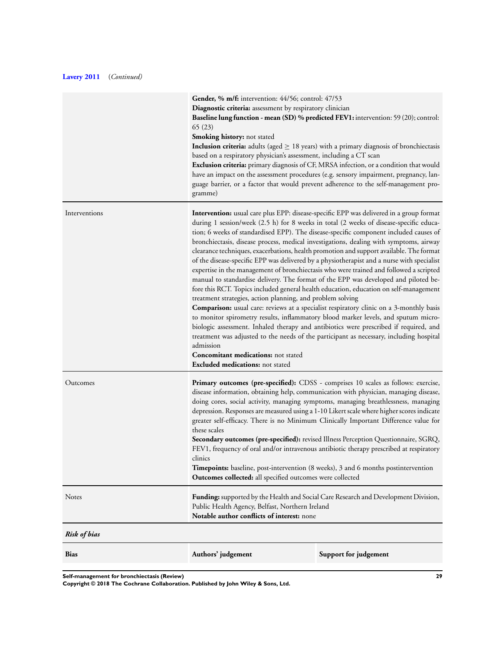## **[Lavery 2011](#page-22-0)** (*Continued)*

| <b>Risk of bias</b><br><b>Bias</b> | Authors' judgement                                                                                                                                                                                                                                                                                                                                                                                                                                                                                                                                                                                                                                                                                                                                                                                                                                                                                                                                                                                                                                                                                                                                                                                                                                                                                                                                                               | Support for judgement |
|------------------------------------|----------------------------------------------------------------------------------------------------------------------------------------------------------------------------------------------------------------------------------------------------------------------------------------------------------------------------------------------------------------------------------------------------------------------------------------------------------------------------------------------------------------------------------------------------------------------------------------------------------------------------------------------------------------------------------------------------------------------------------------------------------------------------------------------------------------------------------------------------------------------------------------------------------------------------------------------------------------------------------------------------------------------------------------------------------------------------------------------------------------------------------------------------------------------------------------------------------------------------------------------------------------------------------------------------------------------------------------------------------------------------------|-----------------------|
| Notes                              | <b>Funding:</b> supported by the Health and Social Care Research and Development Division,<br>Public Health Agency, Belfast, Northern Ireland<br>Notable author conflicts of interest: none                                                                                                                                                                                                                                                                                                                                                                                                                                                                                                                                                                                                                                                                                                                                                                                                                                                                                                                                                                                                                                                                                                                                                                                      |                       |
| Outcomes                           | Primary outcomes (pre-specified): CDSS - comprises 10 scales as follows: exercise,<br>disease information, obtaining help, communication with physician, managing disease,<br>doing cores, social activity, managing symptoms, managing breathlessness, managing<br>depression. Responses are measured using a 1-10 Likert scale where higher scores indicate<br>greater self-efficacy. There is no Minimum Clinically Important Difference value for<br>these scales<br>Secondary outcomes (pre-specified): revised Illness Perception Questionnaire, SGRQ,<br>FEV1, frequency of oral and/or intravenous antibiotic therapy prescribed at respiratory<br>clinics<br><b>Timepoints:</b> baseline, post-intervention (8 weeks), 3 and 6 months postintervention<br>Outcomes collected: all specified outcomes were collected                                                                                                                                                                                                                                                                                                                                                                                                                                                                                                                                                     |                       |
| Interventions                      | <b>Intervention:</b> usual care plus EPP: disease-specific EPP was delivered in a group format<br>during 1 session/week (2.5 h) for 8 weeks in total (2 weeks of disease-specific educa-<br>tion; 6 weeks of standardised EPP). The disease-specific component included causes of<br>bronchiectasis, disease process, medical investigations, dealing with symptoms, airway<br>clearance techniques, exacerbations, health promotion and support available. The format<br>of the disease-specific EPP was delivered by a physiotherapist and a nurse with specialist<br>expertise in the management of bronchiectasis who were trained and followed a scripted<br>manual to standardise delivery. The format of the EPP was developed and piloted be-<br>fore this RCT. Topics included general health education, education on self-management<br>treatment strategies, action planning, and problem solving<br>Comparison: usual care: reviews at a specialist respiratory clinic on a 3-monthly basis<br>to monitor spirometry results, inflammatory blood marker levels, and sputum micro-<br>biologic assessment. Inhaled therapy and antibiotics were prescribed if required, and<br>treatment was adjusted to the needs of the participant as necessary, including hospital<br>admission<br>Concomitant medications: not stated<br><b>Excluded medications:</b> not stated |                       |
|                                    | <b>Gender,</b> % $m/f$ : intervention: 44/56; control: 47/53<br>Diagnostic criteria: assessment by respiratory clinician<br><b>Baseline lung function - mean (SD) % predicted FEV1:</b> intervention: 59 (20); control:<br>65(23)<br>Smoking history: not stated<br><b>Inclusion criteria:</b> adults (aged $\geq$ 18 years) with a primary diagnosis of bronchiectasis<br>based on a respiratory physician's assessment, including a CT scan<br>Exclusion criteria: primary diagnosis of CF, MRSA infection, or a condition that would<br>have an impact on the assessment procedures (e.g. sensory impairment, pregnancy, lan-<br>guage barrier, or a factor that would prevent adherence to the self-management pro-<br>gramme)                                                                                                                                                                                                                                                                                                                                                                                                                                                                                                                                                                                                                                               |                       |
|                                    |                                                                                                                                                                                                                                                                                                                                                                                                                                                                                                                                                                                                                                                                                                                                                                                                                                                                                                                                                                                                                                                                                                                                                                                                                                                                                                                                                                                  |                       |

**Self-management for bronchiectasis (Review) 29**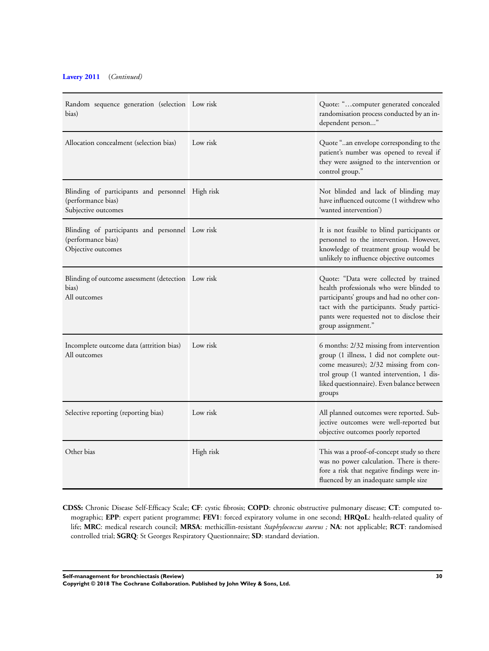## **[Lavery 2011](#page-22-0)** (*Continued)*

| Random sequence generation (selection Low risk<br>bias)                                       |           | Quote: "computer generated concealed<br>randomisation process conducted by an in-<br>dependent person"                                                                                                                                             |
|-----------------------------------------------------------------------------------------------|-----------|----------------------------------------------------------------------------------------------------------------------------------------------------------------------------------------------------------------------------------------------------|
| Allocation concealment (selection bias)                                                       | Low risk  | Quote "an envelope corresponding to the<br>patient's number was opened to reveal if<br>they were assigned to the intervention or<br>control group."                                                                                                |
| Blinding of participants and personnel High risk<br>(performance bias)<br>Subjective outcomes |           | Not blinded and lack of blinding may<br>have influenced outcome (1 withdrew who<br>'wanted intervention')                                                                                                                                          |
| Blinding of participants and personnel Low risk<br>(performance bias)<br>Objective outcomes   |           | It is not feasible to blind participants or<br>personnel to the intervention. However,<br>knowledge of treatment group would be<br>unlikely to influence objective outcomes                                                                        |
| Blinding of outcome assessment (detection Low risk<br>bias)<br>All outcomes                   |           | Quote: "Data were collected by trained<br>health professionals who were blinded to<br>participants' groups and had no other con-<br>tact with the participants. Study partici-<br>pants were requested not to disclose their<br>group assignment." |
| Incomplete outcome data (attrition bias)<br>All outcomes                                      | Low risk  | 6 months: 2/32 missing from intervention<br>group (1 illness, 1 did not complete out-<br>come measures); 2/32 missing from con-<br>trol group (1 wanted intervention, 1 dis-<br>liked questionnaire). Even balance between<br>groups               |
| Selective reporting (reporting bias)                                                          | Low risk  | All planned outcomes were reported. Sub-<br>jective outcomes were well-reported but<br>objective outcomes poorly reported                                                                                                                          |
| Other bias                                                                                    | High risk | This was a proof-of-concept study so there<br>was no power calculation. There is there-<br>fore a risk that negative findings were in-<br>fluenced by an inadequate sample size                                                                    |

**CDSS:** Chronic Disease Self-Efficacy Scale; **CF**: cystic fibrosis; **COPD**: chronic obstructive pulmonary disease; **CT**: computed tomographic; **EPP**: expert patient programme; **FEV1**: forced expiratory volume in one second; **HRQoL**: health-related quality of life; **MRC**: medical research council; **MRSA**: methicillin-resistant *Staphylococcus aureus ;* **NA**: not applicable; **RCT**: randomised controlled trial; **SGRQ**: St Georges Respiratory Questionnaire; **SD**: standard deviation.

**Self-management for bronchiectasis (Review) 30**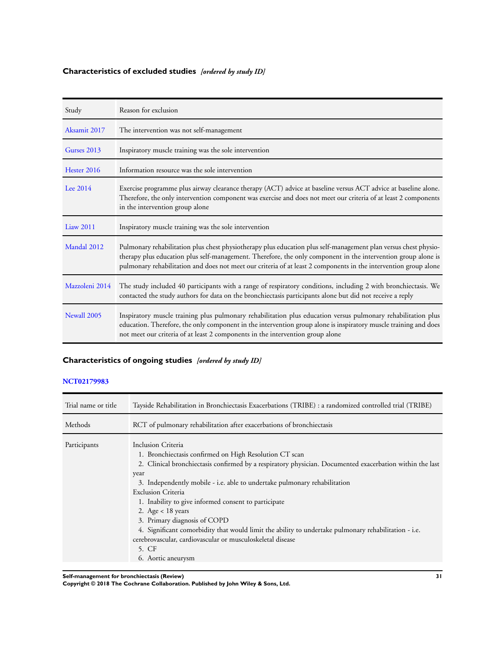## <span id="page-32-0"></span>**Characteristics of excluded studies** *[ordered by study ID]*

| Study            | Reason for exclusion                                                                                                                                                                                                                                                                                                                                 |
|------------------|------------------------------------------------------------------------------------------------------------------------------------------------------------------------------------------------------------------------------------------------------------------------------------------------------------------------------------------------------|
| Aksamit 2017     | The intervention was not self-management                                                                                                                                                                                                                                                                                                             |
| Gurses 2013      | Inspiratory muscle training was the sole intervention                                                                                                                                                                                                                                                                                                |
| Hester 2016      | Information resource was the sole intervention                                                                                                                                                                                                                                                                                                       |
| Lee 2014         | Exercise programme plus airway clearance therapy (ACT) advice at baseline versus ACT advice at baseline alone.<br>Therefore, the only intervention component was exercise and does not meet our criteria of at least 2 components<br>in the intervention group alone                                                                                 |
| <b>Liaw 2011</b> | Inspiratory muscle training was the sole intervention                                                                                                                                                                                                                                                                                                |
| Mandal 2012      | Pulmonary rehabilitation plus chest physiotherapy plus education plus self-management plan versus chest physio-<br>therapy plus education plus self-management. Therefore, the only component in the intervention group alone is<br>pulmonary rehabilitation and does not meet our criteria of at least 2 components in the intervention group alone |
| Mazzoleni 2014   | The study included 40 participants with a range of respiratory conditions, including 2 with bronchiectasis. We<br>contacted the study authors for data on the bronchiectasis participants alone but did not receive a reply                                                                                                                          |
| Newall 2005      | Inspiratory muscle training plus pulmonary rehabilitation plus education versus pulmonary rehabilitation plus<br>education. Therefore, the only component in the intervention group alone is inspiratory muscle training and does<br>not meet our criteria of at least 2 components in the intervention group alone                                  |

## **Characteristics of ongoing studies** *[ordered by study ID]*

## **[NCT02179983](#page-22-0)**

| Trial name or title | Tayside Rehabilitation in Bronchiectasis Exacerbations (TRIBE) : a randomized controlled trial (TRIBE)                                                                                                                                                                                                                                                                                                                                                                                                                                                                                                                         |
|---------------------|--------------------------------------------------------------------------------------------------------------------------------------------------------------------------------------------------------------------------------------------------------------------------------------------------------------------------------------------------------------------------------------------------------------------------------------------------------------------------------------------------------------------------------------------------------------------------------------------------------------------------------|
| Methods             | RCT of pulmonary rehabilitation after exacerbations of bronchiectasis                                                                                                                                                                                                                                                                                                                                                                                                                                                                                                                                                          |
| Participants        | Inclusion Criteria<br>1. Bronchiectasis confirmed on High Resolution CT scan<br>2. Clinical bronchiectasis confirmed by a respiratory physician. Documented exacerbation within the last<br>year<br>3. Independently mobile - i.e. able to undertake pulmonary rehabilitation<br><b>Exclusion Criteria</b><br>1. Inability to give informed consent to participate<br>2. Age $<$ 18 years<br>3. Primary diagnosis of COPD<br>4. Significant comorbidity that would limit the ability to undertake pulmonary rehabilitation - i.e.<br>cerebrovascular, cardiovascular or musculoskeletal disease<br>5. CF<br>6. Aortic aneurysm |

**Self-management for bronchiectasis (Review) 31**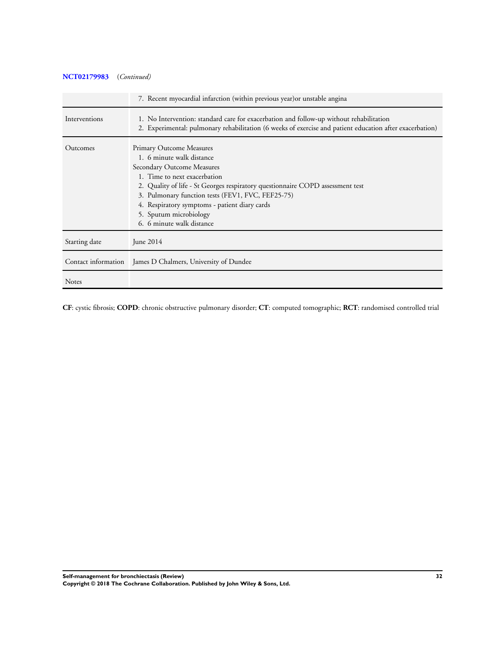## **[NCT02179983](#page-22-0)** (*Continued)*

|               | 7. Recent myocardial infarction (within previous year) or unstable angina                                                                                                                                                                                                                                                                                          |
|---------------|--------------------------------------------------------------------------------------------------------------------------------------------------------------------------------------------------------------------------------------------------------------------------------------------------------------------------------------------------------------------|
| Interventions | 1. No Intervention: standard care for exacerbation and follow-up without rehabilitation<br>2. Experimental: pulmonary rehabilitation (6 weeks of exercise and patient education after exacerbation)                                                                                                                                                                |
| Outcomes      | Primary Outcome Measures<br>1. 6 minute walk distance<br>Secondary Outcome Measures<br>1. Time to next exacerbation<br>2. Quality of life - St Georges respiratory questionnaire COPD assessment test<br>3. Pulmonary function tests (FEV1, FVC, FEF25-75)<br>4. Respiratory symptoms - patient diary cards<br>5. Sputum microbiology<br>6. 6 minute walk distance |
| Starting date | June $2014$                                                                                                                                                                                                                                                                                                                                                        |
|               | Contact information James D Chalmers, University of Dundee                                                                                                                                                                                                                                                                                                         |
| <b>Notes</b>  |                                                                                                                                                                                                                                                                                                                                                                    |

**CF**: cystic fibrosis; **COPD**: chronic obstructive pulmonary disorder; **CT**: computed tomographic; **RCT**: randomised controlled trial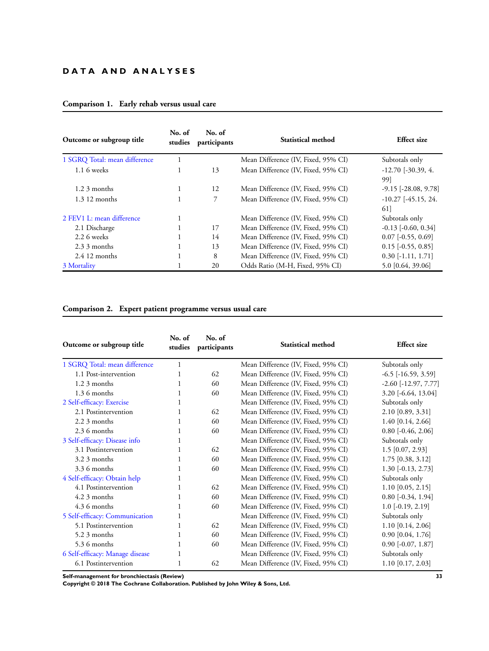## **D A T A A N D A N A L Y S E S**

| No. of<br>Outcome or subgroup title<br>studies |  | No. of<br>participants | <b>Statistical method</b>           | <b>Effect</b> size               |
|------------------------------------------------|--|------------------------|-------------------------------------|----------------------------------|
| 1 SGRQ Total: mean difference                  |  |                        | Mean Difference (IV, Fixed, 95% CI) | Subtotals only                   |
| $1.16$ weeks                                   |  | 13                     | Mean Difference (IV, Fixed, 95% CI) | $-12.70$ [ $-30.39, 4$ ]<br>99]  |
| $1.2.3$ months                                 |  | 12                     | Mean Difference (IV, Fixed, 95% CI) | $-9.15$ [ $-28.08, 9.78$ ]       |
| $1.312$ months                                 |  | 7                      | Mean Difference (IV, Fixed, 95% CI) | $-10.27$ $[-45.15, 24]$ .<br>61] |
| 2 FEV1 L: mean difference                      |  |                        | Mean Difference (IV, Fixed, 95% CI) | Subtotals only                   |
| 2.1 Discharge                                  |  | 17                     | Mean Difference (IV, Fixed, 95% CI) | $-0.13$ $[-0.60, 0.34]$          |
| 2.2 6 weeks                                    |  | 14                     | Mean Difference (IV, Fixed, 95% CI) | $0.07$ [ $-0.55$ , $0.69$ ]      |
| $2.3 \text{ 3 months}$                         |  | 13                     | Mean Difference (IV, Fixed, 95% CI) | $0.15$ [-0.55, 0.85]             |
| 2.4 12 months                                  |  | 8                      | Mean Difference (IV, Fixed, 95% CI) | $0.30$ [-1.11, 1.71]             |
| 3 Mortality                                    |  | 20                     | Odds Ratio (M-H, Fixed, 95% CI)     | 5.0 [0.64, 39.06]                |

## **Comparison 1. Early rehab versus usual care**

## **Comparison 2. Expert patient programme versus usual care**

| Outcome or subgroup title       | No. of<br>studies | No. of<br>participants | <b>Statistical method</b>           | <b>Effect</b> size         |
|---------------------------------|-------------------|------------------------|-------------------------------------|----------------------------|
| 1 SGRQ Total: mean difference   | 1                 |                        | Mean Difference (IV, Fixed, 95% CI) | Subtotals only             |
| 1.1 Post-intervention           |                   | 62                     | Mean Difference (IV, Fixed, 95% CI) | $-6.5$ [ $-16.59, 3.59$ ]  |
| $1.23$ months                   | 1                 | 60                     | Mean Difference (IV, Fixed, 95% CI) | $-2.60$ [ $-12.97, 7.77$ ] |
| $1.36$ months                   | 1                 | 60                     | Mean Difference (IV, Fixed, 95% CI) | 3.20 [-6.64, 13.04]        |
| 2 Self-efficacy: Exercise       | 1                 |                        | Mean Difference (IV, Fixed, 95% CI) | Subtotals only             |
| 2.1 Postintervention            |                   | 62                     | Mean Difference (IV, Fixed, 95% CI) | 2.10 [0.89, 3.31]          |
| $2.2.3$ months                  | 1                 | 60                     | Mean Difference (IV, Fixed, 95% CI) | $1.40$ [0.14, 2.66]        |
| 2.3 6 months                    | 1                 | 60                     | Mean Difference (IV, Fixed, 95% CI) | $0.80$ [-0.46, 2.06]       |
| 3 Self-efficacy: Disease info   | 1                 |                        | Mean Difference (IV, Fixed, 95% CI) | Subtotals only             |
| 3.1 Postintervention            | 1                 | 62                     | Mean Difference (IV, Fixed, 95% CI) | $1.5$ [0.07, 2.93]         |
| 3.2 3 months                    | 1                 | 60                     | Mean Difference (IV, Fixed, 95% CI) | 1.75 [0.38, 3.12]          |
| 3.3 6 months                    | 1                 | 60                     | Mean Difference (IV, Fixed, 95% CI) | $1.30$ [-0.13, 2.73]       |
| 4 Self-efficacy: Obtain help    | 1                 |                        | Mean Difference (IV, Fixed, 95% CI) | Subtotals only             |
| 4.1 Postintervention            |                   | 62                     | Mean Difference (IV, Fixed, 95% CI) | $1.10$ [0.05, 2.15]        |
| 4.2 3 months                    | 1                 | 60                     | Mean Difference (IV, Fixed, 95% CI) | $0.80$ [ $-0.34$ , 1.94]   |
| 4.3 6 months                    | 1                 | 60                     | Mean Difference (IV, Fixed, 95% CI) | $1.0$ [-0.19, 2.19]        |
| 5 Self-efficacy: Communication  | 1                 |                        | Mean Difference (IV, Fixed, 95% CI) | Subtotals only             |
| 5.1 Postintervention            | 1                 | 62                     | Mean Difference (IV, Fixed, 95% CI) | $1.10$ [0.14, 2.06]        |
| 5.2 3 months                    | 1                 | 60                     | Mean Difference (IV, Fixed, 95% CI) | $0.90$ [0.04, 1.76]        |
| 5.3 6 months                    |                   | 60                     | Mean Difference (IV, Fixed, 95% CI) | $0.90$ [-0.07, 1.87]       |
| 6 Self-efficacy: Manage disease | 1                 |                        | Mean Difference (IV, Fixed, 95% CI) | Subtotals only             |
| 6.1 Postintervention            | 1                 | 62                     | Mean Difference (IV, Fixed, 95% CI) | $1.10$ [0.17, 2.03]        |

**Self-management for bronchiectasis (Review) 33**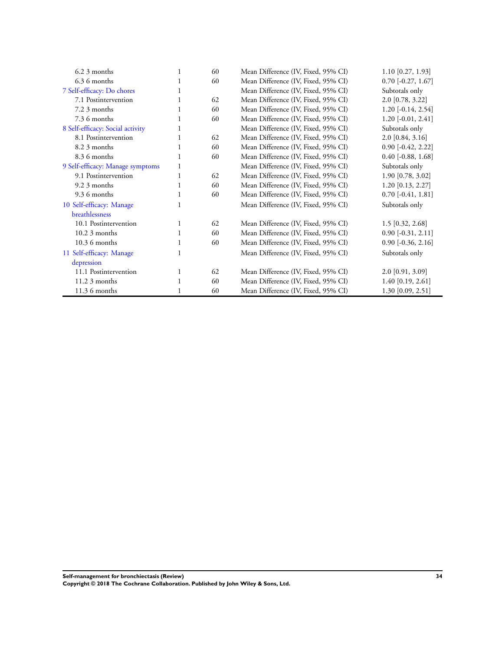| $6.2\beta$ months                |              | 60 | Mean Difference (IV, Fixed, 95% CI) | $1.10$ [0.27, 1.93]         |
|----------------------------------|--------------|----|-------------------------------------|-----------------------------|
| 6.3 6 months                     |              | 60 | Mean Difference (IV, Fixed, 95% CI) | $0.70$ [-0.27, 1.67]        |
| 7 Self-efficacy: Do chores       | 1            |    | Mean Difference (IV, Fixed, 95% CI) | Subtotals only              |
| 7.1 Postintervention             | 1            | 62 | Mean Difference (IV, Fixed, 95% CI) | 2.0 [0.78, 3.22]            |
| 7.2 3 months                     |              | 60 | Mean Difference (IV, Fixed, 95% CI) | $1.20$ [-0.14, 2.54]        |
| 7.3 6 months                     |              | 60 | Mean Difference (IV, Fixed, 95% CI) | $1.20$ [-0.01, 2.41]        |
| 8 Self-efficacy: Social activity |              |    | Mean Difference (IV, Fixed, 95% CI) | Subtotals only              |
| 8.1 Postintervention             |              | 62 | Mean Difference (IV, Fixed, 95% CI) | $2.0$ [0.84, 3.16]          |
| 8.2 3 months                     |              | 60 | Mean Difference (IV, Fixed, 95% CI) | $0.90$ [-0.42, 2.22]        |
| 8.3 6 months                     |              | 60 | Mean Difference (IV, Fixed, 95% CI) | $0.40$ [-0.88, 1.68]        |
| 9 Self-efficacy: Manage symptoms | 1            |    | Mean Difference (IV, Fixed, 95% CI) | Subtotals only              |
| 9.1 Postintervention             | 1            | 62 | Mean Difference (IV, Fixed, 95% CI) | 1.90 [0.78, 3.02]           |
| 9.2 3 months                     |              | 60 | Mean Difference (IV, Fixed, 95% CI) | $1.20$ [0.13, 2.27]         |
| 9.3 6 months                     | 1            | 60 | Mean Difference (IV, Fixed, 95% CI) | $0.70$ [-0.41, 1.81]        |
| 10 Self-efficacy: Manage         |              |    | Mean Difference (IV, Fixed, 95% CI) | Subtotals only              |
| breathlessness                   |              |    |                                     |                             |
| 10.1 Postintervention            | 1            | 62 | Mean Difference (IV, Fixed, 95% CI) | $1.5$ [0.32, 2.68]          |
| $10.23$ months                   | $\mathbf{1}$ | 60 | Mean Difference (IV, Fixed, 95% CI) | $0.90$ [ $-0.31$ , $2.11$ ] |
| 10.3 6 months                    | 1            | 60 | Mean Difference (IV, Fixed, 95% CI) | $0.90$ [ $-0.36$ , 2.16]    |
| 11 Self-efficacy: Manage         | 1            |    | Mean Difference (IV, Fixed, 95% CI) | Subtotals only              |
| depression                       |              |    |                                     |                             |
| 11.1 Postintervention            |              | 62 | Mean Difference (IV, Fixed, 95% CI) | $2.0$ [0.91, 3.09]          |
| 11.2 3 months                    |              | 60 | Mean Difference (IV, Fixed, 95% CI) | $1.40$ [0.19, 2.61]         |
| 11.3 6 months                    |              | 60 | Mean Difference (IV, Fixed, 95% CI) | $1.30$ [0.09, 2.51]         |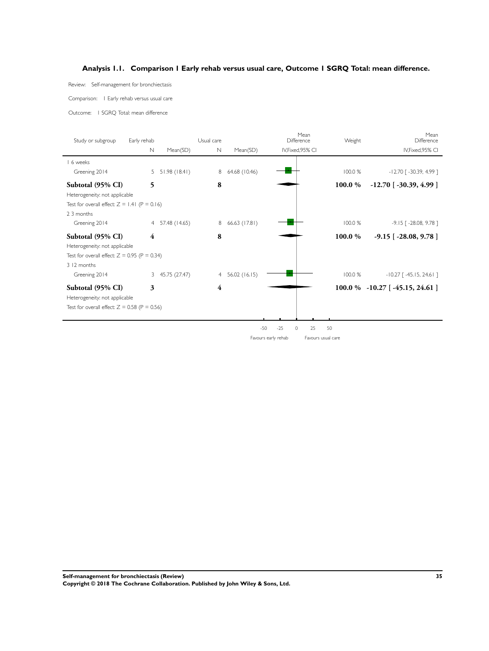## <span id="page-36-0"></span>**Analysis 1.1. Comparison 1 Early rehab versus usual care, Outcome 1 SGRQ Total: mean difference.**

Review: Self-management for bronchiectasis

Comparison: 1 Early rehab versus usual care

Outcome: 1 SGRQ Total: mean difference

| Study or subgroup                              | Early rehab |                     | Usual care  |               | Mean<br>Difference        | Weight             | Mean<br>Difference               |
|------------------------------------------------|-------------|---------------------|-------------|---------------|---------------------------|--------------------|----------------------------------|
|                                                | N           | Mean(SD)            | $\mathbb N$ | Mean(SD)      | IV, Fixed, 95% CI         |                    | IV, Fixed, 95% CI                |
| 6 weeks                                        |             |                     |             |               |                           |                    |                                  |
| Greening 2014                                  |             | $5$ $51.98$ (18.41) | 8           | 64.68 (10.46) |                           | 100.0 %            | $-12.70$ [ $-30.39$ , 4.99 ]     |
| Subtotal (95% CI)                              | 5           |                     | 8           |               |                           | 100.0%             | $-12.70$ [ $-30.39, 4.99$ ]      |
| Heterogeneity: not applicable                  |             |                     |             |               |                           |                    |                                  |
| Test for overall effect: $Z = 1.41$ (P = 0.16) |             |                     |             |               |                           |                    |                                  |
| 2 3 months                                     |             |                     |             |               |                           |                    |                                  |
| Greening 2014                                  |             | 4 57.48 (14.65)     | 8           | 66.63 (17.81) |                           | 100.0 %            | $-9.15$ [ $-28.08$ , $9.78$ ]    |
| Subtotal (95% CI)                              | 4           |                     | 8           |               |                           | 100.0%             | $-9.15$ [ $-28.08, 9.78$ ]       |
| Heterogeneity: not applicable                  |             |                     |             |               |                           |                    |                                  |
| Test for overall effect: $Z = 0.95$ (P = 0.34) |             |                     |             |               |                           |                    |                                  |
| 3 12 months                                    |             |                     |             |               |                           |                    |                                  |
| Greening 2014                                  |             | 3 45.75 (27.47)     | 4           | 56.02(16.15)  |                           | 100.0 %            | $-10.27$ [ $-45.15$ , 24.61 ]    |
| Subtotal (95% CI)                              | 3           |                     | 4           |               |                           |                    | $100.0\%$ -10.27 [-45.15, 24.61] |
| Heterogeneity: not applicable                  |             |                     |             |               |                           |                    |                                  |
| Test for overall effect: $Z = 0.58$ (P = 0.56) |             |                     |             |               |                           |                    |                                  |
|                                                |             |                     |             |               |                           |                    |                                  |
|                                                |             |                     |             |               | $-50$<br>$-25$<br>25<br>0 | 50                 |                                  |
|                                                |             |                     |             |               | Favours early rehab       | Favours usual care |                                  |
|                                                |             |                     |             |               |                           |                    |                                  |

**Self-management for bronchiectasis (Review) 35**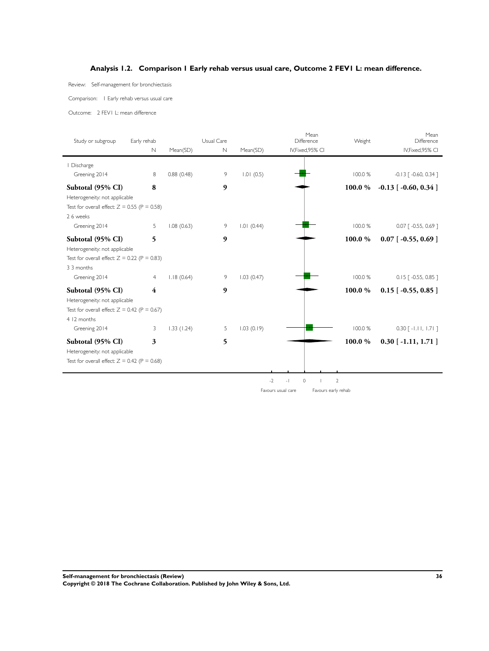## **Analysis 1.2. Comparison 1 Early rehab versus usual care, Outcome 2 FEV1 L: mean difference.**

<span id="page-37-0"></span>Review: Self-management for bronchiectasis

Comparison: 1 Early rehab versus usual care

Outcome: 2 FEV1 L: mean difference

| Early rehab<br>$\mathsf{N}$ | Mean(SD)                                                                                                                                                                                                                                                                                                                                                | Usual Care<br>$\mathbb N$ | Mean(SD)    | Mean<br>Difference<br>IV, Fixed, 95% CI | Weight                                | Mean<br>Difference<br>IV, Fixed, 95% CI        |
|-----------------------------|---------------------------------------------------------------------------------------------------------------------------------------------------------------------------------------------------------------------------------------------------------------------------------------------------------------------------------------------------------|---------------------------|-------------|-----------------------------------------|---------------------------------------|------------------------------------------------|
|                             |                                                                                                                                                                                                                                                                                                                                                         |                           |             |                                         |                                       |                                                |
| 8                           | 0.88(0.48)                                                                                                                                                                                                                                                                                                                                              | 9                         | 1.01(0.5)   |                                         | 100.0 %                               | $-0.13$ [ $-0.60$ , 0.34 ]                     |
| 8                           |                                                                                                                                                                                                                                                                                                                                                         | 9                         |             |                                         | 100.0 %                               | $-0.13$ [ $-0.60, 0.34$ ]                      |
|                             |                                                                                                                                                                                                                                                                                                                                                         |                           |             |                                         |                                       |                                                |
|                             |                                                                                                                                                                                                                                                                                                                                                         |                           |             |                                         |                                       | $0.07$ $[ -0.55, 0.69 ]$                       |
| 5                           |                                                                                                                                                                                                                                                                                                                                                         | 9                         |             |                                         | 100.0%                                | $0.07$ [ -0.55, 0.69 ]                         |
| $\overline{4}$              | 1.18(0.64)                                                                                                                                                                                                                                                                                                                                              | 9                         | 1.03(0.47)  |                                         | 100.0 %                               | $0.15$ $[-0.55, 0.85]$                         |
| 4                           |                                                                                                                                                                                                                                                                                                                                                         | 9                         |             |                                         | 100.0%                                | $0.15$ [ -0.55, 0.85 ]                         |
|                             |                                                                                                                                                                                                                                                                                                                                                         |                           |             |                                         |                                       |                                                |
|                             |                                                                                                                                                                                                                                                                                                                                                         |                           |             |                                         |                                       | $0.30$ [-1.11, 1.71]                           |
|                             |                                                                                                                                                                                                                                                                                                                                                         |                           |             |                                         |                                       | $0.30$ [ -1.11, 1.71 ]                         |
|                             | Heterogeneity: not applicable<br>Test for overall effect: $Z = 0.55$ (P = 0.58)<br>5<br>Heterogeneity: not applicable<br>Test for overall effect: $Z = 0.22$ (P = 0.83)<br>Heterogeneity: not applicable<br>Test for overall effect: $Z = 0.42$ (P = 0.67)<br>3<br>3<br>Heterogeneity: not applicable<br>Test for overall effect: $Z = 0.42$ (P = 0.68) | 1.08(0.63)<br>1.33(1.24)  | 9<br>5<br>5 | 1.01(0.44)<br>1.03(0.19)                | $-2$<br>$\overline{\phantom{a}}$<br>0 | 100.0 %<br>100.0 %<br>100.0%<br>$\overline{2}$ |

Favours usual care Favours early rehab

**Self-management for bronchiectasis (Review) 36**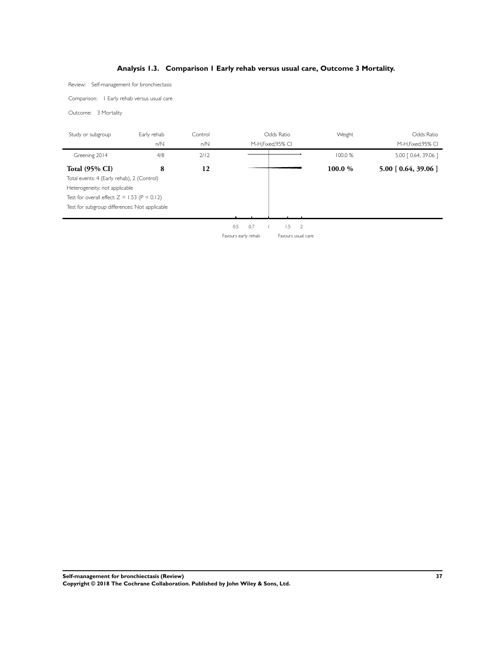## **Analysis 1.3. Comparison 1 Early rehab versus usual care, Outcome 3 Mortality.**

<span id="page-38-0"></span>Review: Self-management for bronchiectasis

Comparison: 1 Early rehab versus usual care

Outcome: 3 Mortality

| Study or subgroup                                                                                                                                                                                       | Early rehab<br>$n/N$ | Control<br>$n/N$ |                                       | Odds Ratio<br>M-H,Fixed,95% CI                | Weight     | Odds Ratio<br>M-H,Fixed,95% Cl |
|---------------------------------------------------------------------------------------------------------------------------------------------------------------------------------------------------------|----------------------|------------------|---------------------------------------|-----------------------------------------------|------------|--------------------------------|
| Greening 2014                                                                                                                                                                                           | $4/8$                | 2/12             |                                       |                                               | 100.0%     | 5.00 [ 0.64, 39.06 ]           |
| <b>Total (95% CI)</b><br>Total events: 4 (Early rehab), 2 (Control)<br>Heterogeneity: not applicable<br>Test for overall effect: $Z = 1.53$ (P = 0.12)<br>Test for subgroup differences: Not applicable | ${\bf 8}$            | 12               |                                       |                                               | $100.0~\%$ | 5.00 [0.64, 39.06]             |
|                                                                                                                                                                                                         |                      |                  |                                       |                                               |            |                                |
|                                                                                                                                                                                                         |                      |                  | $0.5\,$<br>0.7<br>Favours early rehab | $\perp 5$<br>$\sqrt{2}$<br>Favours usual care |            |                                |
|                                                                                                                                                                                                         |                      |                  |                                       |                                               |            |                                |
|                                                                                                                                                                                                         |                      |                  |                                       |                                               |            |                                |
|                                                                                                                                                                                                         |                      |                  |                                       |                                               |            |                                |
|                                                                                                                                                                                                         |                      |                  |                                       |                                               |            |                                |
|                                                                                                                                                                                                         |                      |                  |                                       |                                               |            |                                |
|                                                                                                                                                                                                         |                      |                  |                                       |                                               |            |                                |
|                                                                                                                                                                                                         |                      |                  |                                       |                                               |            |                                |
|                                                                                                                                                                                                         |                      |                  |                                       |                                               |            |                                |
|                                                                                                                                                                                                         |                      |                  |                                       |                                               |            |                                |
|                                                                                                                                                                                                         |                      |                  |                                       |                                               |            |                                |

**Self-management for bronchiectasis (Review) 37 Copyright © 2018 The Cochrane Collaboration. Published by John Wiley & Sons, Ltd.**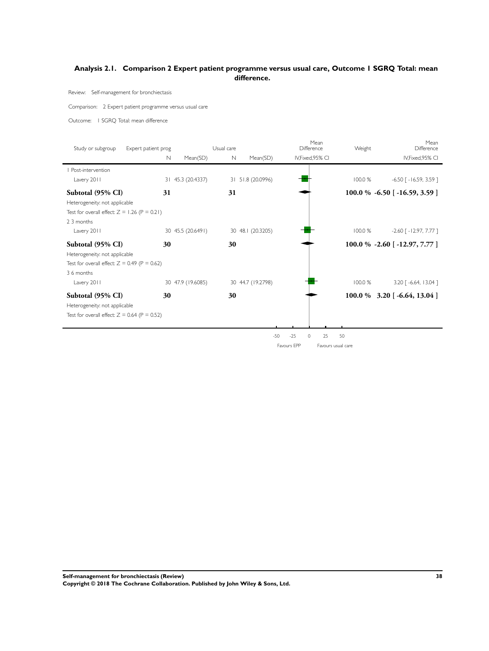## <span id="page-39-0"></span>**Analysis 2.1. Comparison 2 Expert patient programme versus usual care, Outcome 1 SGRQ Total: mean difference.**

Review: Self-management for bronchiectasis

Comparison: 2 Expert patient programme versus usual care

Outcome: 1 SGRQ Total: mean difference

| Study or subgroup                                                                                                                 | Expert patient prog<br>$\mathbb N$ | Mean(SD)          | Usual care<br>$\hbox{N}$ | Mean(SD)          | Mean<br>Difference<br>IV,Fixed,95% CI          | Weight                   | Mean<br>Difference<br>IV, Fixed, 95% CI                    |
|-----------------------------------------------------------------------------------------------------------------------------------|------------------------------------|-------------------|--------------------------|-------------------|------------------------------------------------|--------------------------|------------------------------------------------------------|
| I Post-intervention                                                                                                               |                                    |                   |                          |                   |                                                |                          |                                                            |
| Lavery 2011                                                                                                                       |                                    | 31 45.3 (20.4337) |                          | 31 51.8 (20.0996) |                                                | 100.0 %                  | $-6.50$ [ $-16.59$ , 3.59]                                 |
| Subtotal (95% CI)<br>Heterogeneity: not applicable<br>Test for overall effect: $Z = 1.26$ (P = 0.21)<br>2 3 months<br>Lavery 2011 | 31                                 | 30 45.5 (20.6491) | 31                       | 30 48.1 (20.3205) |                                                | 100.0 %                  | 100.0 % -6.50 [-16.59, 3.59]<br>$-2.60$ [ $-12.97, 7.77$ ] |
| Subtotal (95% CI)<br>Heterogeneity: not applicable<br>Test for overall effect: $Z = 0.49$ (P = 0.62)<br>36 months                 | 30                                 |                   | 30                       |                   |                                                |                          | 100.0 % -2.60 [ -12.97, 7.77 ]                             |
| Lavery 2011                                                                                                                       |                                    | 30 47.9 (19.6085) |                          | 30 44.7 (19.2798) |                                                | 100.0 %                  | 3.20 [-6.64, 13.04]                                        |
| Subtotal (95% CI)<br>Heterogeneity: not applicable<br>Test for overall effect: $Z = 0.64$ (P = 0.52)                              | 30                                 |                   | 30                       |                   |                                                |                          | 100.0 % 3.20 [-6.64, 13.04]                                |
|                                                                                                                                   |                                    |                   |                          |                   | $-25$<br>$\circ$<br>$-50$<br>25<br>Favours EPP | 50<br>Favours usual care |                                                            |

**Self-management for bronchiectasis (Review) 38**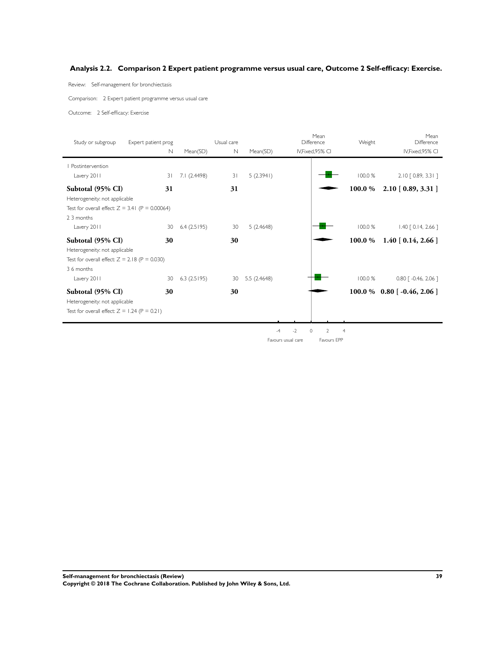## <span id="page-40-0"></span>**Analysis 2.2. Comparison 2 Expert patient programme versus usual care, Outcome 2 Self-efficacy: Exercise.**

Review: Self-management for bronchiectasis

Comparison: 2 Expert patient programme versus usual care

Outcome: 2 Self-efficacy: Exercise

| Study or subgroup                                 | Expert patient prog<br>$\mathbb N$ | Mean(SD)     | Usual care<br>$\mathbb N$ | Mean(SD)    |              | Mean<br>Difference<br>IV, Fixed, 95% CI | Weight         | Mean<br>Difference<br>IV, Fixed, 95% CI |
|---------------------------------------------------|------------------------------------|--------------|---------------------------|-------------|--------------|-----------------------------------------|----------------|-----------------------------------------|
| Postintervention                                  |                                    |              |                           |             |              |                                         |                |                                         |
| Lavery 2011                                       | 31                                 | 7.1 (2.4498) | 31                        | 5(2.3941)   |              |                                         | 100.0 %        | 2.10 [ 0.89, 3.31 ]                     |
| Subtotal (95% CI)                                 | 31                                 |              | 31                        |             |              |                                         | 100.0 %        | $2.10$ [ 0.89, 3.31 ]                   |
| Heterogeneity: not applicable                     |                                    |              |                           |             |              |                                         |                |                                         |
| Test for overall effect: $Z = 3.41$ (P = 0.00064) |                                    |              |                           |             |              |                                         |                |                                         |
| 2.3 months                                        |                                    |              |                           |             |              |                                         |                |                                         |
| Lavery 2011                                       | 30                                 | 6.4(2.5195)  | 30                        | 5(2.4648)   |              |                                         | 100.0 %        | $1.40$ $[0.14, 2.66]$                   |
| Subtotal (95% CI)                                 | 30                                 |              | 30                        |             |              |                                         | 100.0 %        | $1.40$ [ 0.14, 2.66 ]                   |
| Heterogeneity: not applicable                     |                                    |              |                           |             |              |                                         |                |                                         |
| Test for overall effect: $Z = 2.18$ (P = 0.030)   |                                    |              |                           |             |              |                                         |                |                                         |
| 3.6 months                                        |                                    |              |                           |             |              |                                         |                |                                         |
| Lavery 2011                                       | 30                                 | 6.3(2.5195)  | 30                        | 5.5(2.4648) |              |                                         | 100.0%         | $0.80$ $\lceil -0.46, 2.06 \rceil$      |
| Subtotal (95% CI)                                 | 30                                 |              | 30                        |             |              |                                         |                | $100.0\%$ 0.80 [-0.46, 2.06]            |
| Heterogeneity: not applicable                     |                                    |              |                           |             |              |                                         |                |                                         |
| Test for overall effect: $Z = 1.24$ (P = 0.21)    |                                    |              |                           |             |              |                                         |                |                                         |
|                                                   |                                    |              |                           |             |              |                                         |                |                                         |
|                                                   |                                    |              |                           |             | $-2$<br>$-4$ | $\overline{2}$<br>0                     | $\overline{4}$ |                                         |

Favours usual care Favours EPP

**Self-management for bronchiectasis (Review) 39**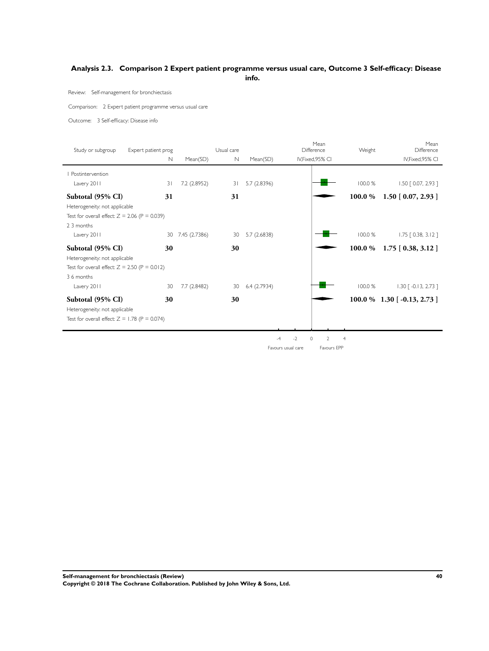## <span id="page-41-0"></span>**Analysis 2.3. Comparison 2 Expert patient programme versus usual care, Outcome 3 Self-efficacy: Disease info.**

Review: Self-management for bronchiectasis

Comparison: 2 Expert patient programme versus usual care

Outcome: 3 Self-efficacy: Disease info

| Study or subgroup                               | Expert patient prog |               | Usual care  |              |                    | Mean<br>Difference        | Weight         | Mean<br>Difference                 |
|-------------------------------------------------|---------------------|---------------|-------------|--------------|--------------------|---------------------------|----------------|------------------------------------|
|                                                 | N                   | Mean(SD)      | $\mathbb N$ | Mean(SD)     |                    | IV, Fixed, 95% CI         |                | IV, Fixed, 95% CI                  |
| Postintervention                                |                     |               |             |              |                    |                           |                |                                    |
| Lavery 2011                                     | 31                  | 7.2 (2.8952)  | 31          | 5.7 (2.8396) |                    |                           | 100.0 %        | $1.50$ $[0.07, 2.93]$              |
| Subtotal (95% CI)                               | 31                  |               | 31          |              |                    |                           | 100.0 %        | $1.50$ [ 0.07, 2.93 ]              |
| Heterogeneity: not applicable                   |                     |               |             |              |                    |                           |                |                                    |
| Test for overall effect: $Z = 2.06$ (P = 0.039) |                     |               |             |              |                    |                           |                |                                    |
| 2.3 months                                      |                     |               |             |              |                    |                           |                |                                    |
| Lavery 2011                                     | 30                  | 7.45 (2.7386) | 30          | 5.7(2.6838)  |                    |                           | 100.0 %        | $1.75$ $[0.38, 3.12]$              |
| Subtotal (95% CI)                               | 30                  |               | 30          |              |                    |                           | 100.0 %        | $1.75$ [ 0.38, 3.12 ]              |
| Heterogeneity: not applicable                   |                     |               |             |              |                    |                           |                |                                    |
| Test for overall effect: $Z = 2.50$ (P = 0.012) |                     |               |             |              |                    |                           |                |                                    |
| 3.6 months                                      |                     |               |             |              |                    |                           |                |                                    |
| Lavery 2011                                     | 30                  | 7.7 (2.8482)  | 30          | 6.4(2.7934)  |                    |                           | 100.0 %        | $1.30$ $\lceil -0.13, 2.73 \rceil$ |
| Subtotal (95% CI)                               | 30                  |               | 30          |              |                    |                           |                | $100.0\%$ 1.30 [-0.13, 2.73]       |
| Heterogeneity: not applicable                   |                     |               |             |              |                    |                           |                |                                    |
| Test for overall effect: $Z = 1.78$ (P = 0.074) |                     |               |             |              |                    |                           |                |                                    |
|                                                 |                     |               |             |              |                    |                           |                |                                    |
|                                                 |                     |               |             |              | $-2$<br>$-4$       | $\mathcal{D}$<br>$\Omega$ | $\overline{4}$ |                                    |
|                                                 |                     |               |             |              | Favours usual care | Favours EPP               |                |                                    |

**Self-management for bronchiectasis (Review) 40**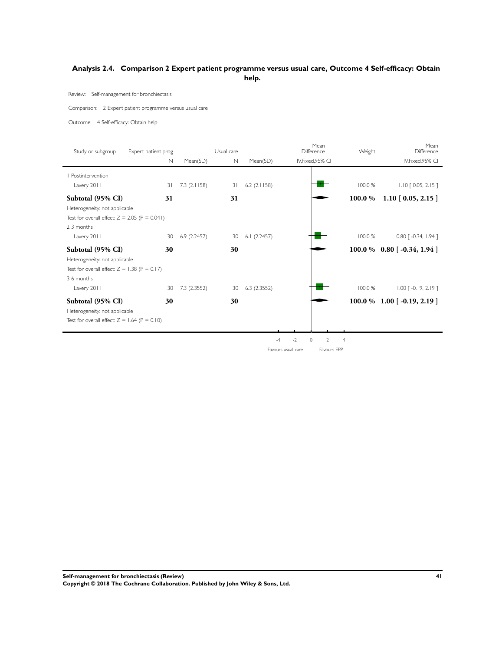## <span id="page-42-0"></span>**Analysis 2.4. Comparison 2 Expert patient programme versus usual care, Outcome 4 Self-efficacy: Obtain help.**

Review: Self-management for bronchiectasis

Comparison: 2 Expert patient programme versus usual care

Outcome: 4 Self-efficacy: Obtain help

| Study or subgroup                               | Expert patient prog |              | Usual care  |                | Mean<br>Difference | Weight  | Mean<br>Difference                 |
|-------------------------------------------------|---------------------|--------------|-------------|----------------|--------------------|---------|------------------------------------|
|                                                 | $\mathbb N$         | Mean(SD)     | $\mathbb N$ | Mean(SD)       | IV, Fixed, 95% CI  |         | IV, Fixed, 95% CI                  |
| Postintervention                                |                     |              |             |                |                    |         |                                    |
| Lavery 2011                                     | 31                  | 7.3(2.1158)  | 31          | $6.2$ (2.1158) |                    | 100.0 % | $1.10$ $[0.05, 2.15]$              |
| Subtotal (95% CI)                               | 31                  |              | 31          |                |                    | 100.0 % | $1.10$ [ 0.05, 2.15 ]              |
| Heterogeneity: not applicable                   |                     |              |             |                |                    |         |                                    |
| Test for overall effect: $Z = 2.05$ (P = 0.041) |                     |              |             |                |                    |         |                                    |
| 2 3 months                                      |                     |              |             |                |                    |         |                                    |
| Lavery 2011                                     | 30                  | 6.9(2.2457)  | 30          | 6.1(2.2457)    |                    | 100.0 % | $0.80$ $\lceil -0.34, 1.94 \rceil$ |
| Subtotal (95% CI)                               | 30                  |              | 30          |                |                    |         | $100.0\%$ 0.80 [-0.34, 1.94]       |
| Heterogeneity: not applicable                   |                     |              |             |                |                    |         |                                    |
| Test for overall effect: $Z = 1.38$ (P = 0.17)  |                     |              |             |                |                    |         |                                    |
| 3.6 months                                      |                     |              |             |                |                    |         |                                    |
| Lavery 2011                                     | 30                  | 7.3 (2.3552) | 30          | 6.3(2.3552)    |                    | 100.0 % | $1.00$ $[ -0.19, 2.19]$            |
| Subtotal (95% CI)                               | 30                  |              | 30          |                |                    |         | $100.0\%$ 1.00 [-0.19, 2.19]       |
| Heterogeneity: not applicable                   |                     |              |             |                |                    |         |                                    |
| Test for overall effect: $Z = 1.64$ (P = 0.10)  |                     |              |             |                |                    |         |                                    |
|                                                 |                     |              |             |                |                    |         |                                    |

 $-4$   $-2$  0 2 4

Favours usual care Favours EPP

**Self-management for bronchiectasis (Review) 41**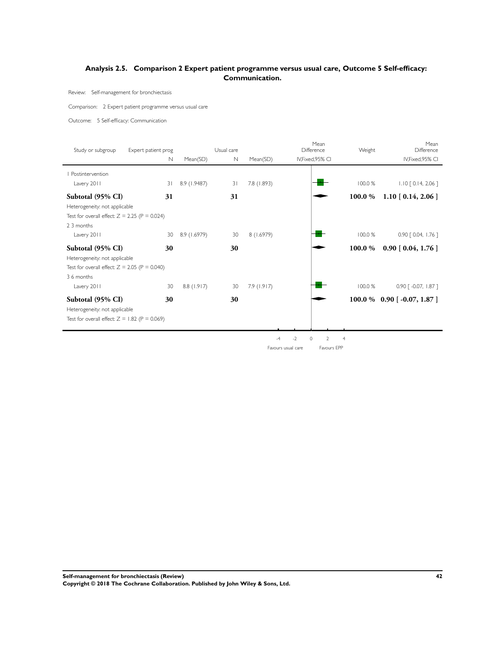## <span id="page-43-0"></span>**Analysis 2.5. Comparison 2 Expert patient programme versus usual care, Outcome 5 Self-efficacy: Communication.**

Review: Self-management for bronchiectasis

Comparison: 2 Expert patient programme versus usual care

Outcome: 5 Self-efficacy: Communication

| Study or subgroup                               | Expert patient prog |               | Usual care  |             |              | Mean<br>Difference | Weight         | Mean<br>Difference                 |
|-------------------------------------------------|---------------------|---------------|-------------|-------------|--------------|--------------------|----------------|------------------------------------|
|                                                 | $\mathbb N$         | Mean(SD)      | $\mathbb N$ | Mean(SD)    |              | IV, Fixed, 95% CI  |                | IV, Fixed, 95% CI                  |
| Postintervention                                |                     |               |             |             |              |                    |                |                                    |
| Lavery 2011                                     | 31                  | 8.9 (1.9487)  | 31          | 7.8 (1.893) |              |                    | 100.0%         | $1.10$ $[0.14, 2.06]$              |
| Subtotal (95% CI)                               | 31                  |               | 31          |             |              |                    | 100.0 %        | $1.10$ [ 0.14, 2.06 ]              |
| Heterogeneity: not applicable                   |                     |               |             |             |              |                    |                |                                    |
| Test for overall effect: $Z = 2.25$ (P = 0.024) |                     |               |             |             |              |                    |                |                                    |
| 2.3 months                                      |                     |               |             |             |              |                    |                |                                    |
| Lavery 2011                                     | 30                  | 8.9 (1.6979)  | 30          | 8 (1.6979)  |              |                    | 100.0%         | $0.90$ $[0.04, 1.76]$              |
| Subtotal (95% CI)                               | 30                  |               | 30          |             |              |                    | 100.0 %        | $0.90$ [ 0.04, 1.76 ]              |
| Heterogeneity: not applicable                   |                     |               |             |             |              |                    |                |                                    |
| Test for overall effect: $Z = 2.05$ (P = 0.040) |                     |               |             |             |              |                    |                |                                    |
| 3.6 months                                      |                     |               |             |             |              |                    |                |                                    |
| Lavery 2011                                     | 30                  | $8.8$ (1.917) | 30          | 7.9 (1.917) |              |                    | 100.0%         | $0.90$ $\lceil -0.07, 1.87 \rceil$ |
| Subtotal (95% CI)                               | 30                  |               | 30          |             |              |                    |                | $100.0\%$ 0.90 [-0.07, 1.87]       |
| Heterogeneity: not applicable                   |                     |               |             |             |              |                    |                |                                    |
| Test for overall effect: $Z = 1.82$ (P = 0.069) |                     |               |             |             |              |                    |                |                                    |
|                                                 |                     |               |             |             |              |                    |                |                                    |
|                                                 |                     |               |             |             | $-2$<br>$-4$ | $\overline{2}$     | $\overline{4}$ |                                    |

Favours usual care Favours EPP

**Self-management for bronchiectasis (Review) 42**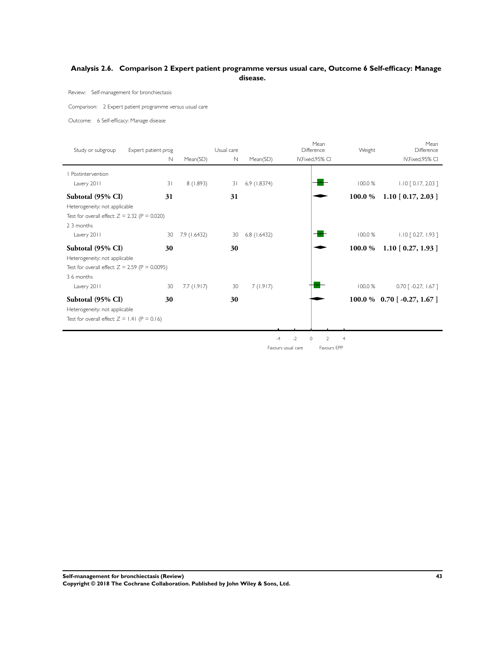## <span id="page-44-0"></span>**Analysis 2.6. Comparison 2 Expert patient programme versus usual care, Outcome 6 Self-efficacy: Manage disease.**

Review: Self-management for bronchiectasis

Comparison: 2 Expert patient programme versus usual care

Outcome: 6 Self-efficacy: Manage disease

| Study or subgroup                                | Expert patient prog |              | Usual care  |                | Mean<br>Difference | Weight         | Mean<br>Difference                 |
|--------------------------------------------------|---------------------|--------------|-------------|----------------|--------------------|----------------|------------------------------------|
|                                                  | $\mathbb N$         | Mean(SD)     | $\mathbb N$ | Mean(SD)       | IV, Fixed, 95% CI  |                | IV, Fixed, 95% CI                  |
| Postintervention                                 |                     |              |             |                |                    |                |                                    |
| Lavery 2011                                      | 31                  | 8(1.893)     | 31          | $6.9$ (1.8374) |                    | 100.0 %        | $1.10$ $[0.17, 2.03]$              |
| Subtotal (95% CI)                                | 31                  |              | 31          |                |                    | 100.0 %        | $1.10$ [ 0.17, 2.03 ]              |
| Heterogeneity: not applicable                    |                     |              |             |                |                    |                |                                    |
| Test for overall effect: $Z = 2.32$ (P = 0.020)  |                     |              |             |                |                    |                |                                    |
| 2.3 months                                       |                     |              |             |                |                    |                |                                    |
| Lavery 2011                                      | 30                  | 7.9 (1.6432) | 30          | $6.8$ (1.6432) |                    | 100.0 %        | $1.10$ $[0.27, 1.93]$              |
| Subtotal (95% CI)                                | 30                  |              | 30          |                |                    | 100.0 %        | $1.10$ [ 0.27, 1.93 ]              |
| Heterogeneity: not applicable                    |                     |              |             |                |                    |                |                                    |
| Test for overall effect: $Z = 2.59$ (P = 0.0095) |                     |              |             |                |                    |                |                                    |
| 3.6 months                                       |                     |              |             |                |                    |                |                                    |
| Lavery 2011                                      | 30                  | 7.7(1.917)   | 30          | 7(1.917)       |                    | 100.0%         | $0.70$ $\lceil -0.27, 1.67 \rceil$ |
| Subtotal (95% CI)                                | 30                  |              | 30          |                |                    |                | 100.0 % 0.70 [ $-0.27, 1.67$ ]     |
| Heterogeneity: not applicable                    |                     |              |             |                |                    |                |                                    |
| Test for overall effect: $Z = 1.41$ (P = 0.16)   |                     |              |             |                |                    |                |                                    |
|                                                  |                     |              |             |                |                    |                |                                    |
|                                                  |                     |              |             |                | $-2$<br>2<br>$-4$  | $\overline{4}$ |                                    |

Favours usual care Favours EPP

**Self-management for bronchiectasis (Review) 43**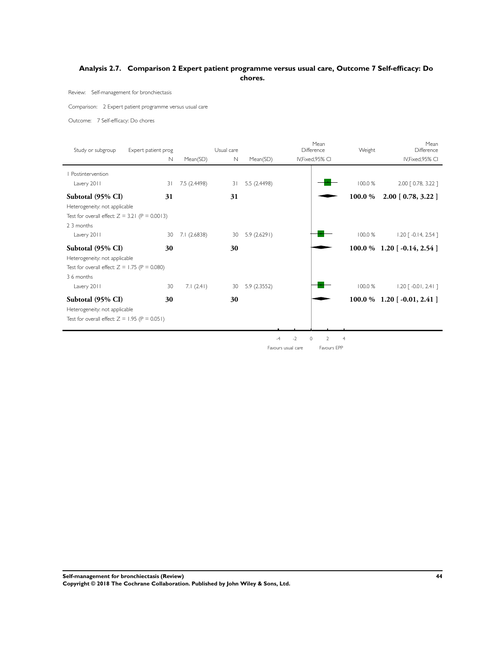## <span id="page-45-0"></span>**Analysis 2.7. Comparison 2 Expert patient programme versus usual care, Outcome 7 Self-efficacy: Do chores.**

Review: Self-management for bronchiectasis

Comparison: 2 Expert patient programme versus usual care

Outcome: 7 Self-efficacy: Do chores

| Study or subgroup                                | Expert patient prog |              | Usual care  |              | Mean<br>Difference | Weight                           | Mean<br>Difference                 |
|--------------------------------------------------|---------------------|--------------|-------------|--------------|--------------------|----------------------------------|------------------------------------|
|                                                  | $\mathbb N$         | Mean(SD)     | $\mathbb N$ | Mean(SD)     | IV, Fixed, 95% CI  |                                  | IV, Fixed, 95% CI                  |
| Postintervention                                 |                     |              |             |              |                    |                                  |                                    |
| Lavery 2011                                      | 31                  | 7.5 (2.4498) | 31          | 5.5 (2.4498) |                    | 100.0 %                          | 2.00 [ 0.78, 3.22 ]                |
| Subtotal (95% CI)                                | 31                  |              | 31          |              |                    | 100.0 %                          | 2.00 [0.78, 3.22]                  |
| Heterogeneity: not applicable                    |                     |              |             |              |                    |                                  |                                    |
| Test for overall effect: $Z = 3.21$ (P = 0.0013) |                     |              |             |              |                    |                                  |                                    |
| 2 3 months                                       |                     |              |             |              |                    |                                  |                                    |
| Lavery 2011                                      | 30                  | 7.1(2.6838)  | 30          | 5.9(2.6291)  |                    | 100.0 %                          | $1.20$ $\lceil -0.14, 2.54 \rceil$ |
| Subtotal (95% CI)                                | 30                  |              | 30          |              |                    |                                  | 100.0 % 1.20 [-0.14, 2.54]         |
| Heterogeneity: not applicable                    |                     |              |             |              |                    |                                  |                                    |
| Test for overall effect: $Z = 1.75$ (P = 0.080)  |                     |              |             |              |                    |                                  |                                    |
| 36 months                                        |                     |              |             |              |                    |                                  |                                    |
| Lavery 2011                                      | 30                  | 7.1(2.41)    | 30          | 5.9(2.3552)  |                    | 100.0 %                          | $1.20$ $\lceil -0.01, 2.41 \rceil$ |
| Subtotal (95% CI)                                | 30                  |              | 30          |              |                    |                                  | $100.0\%$ 1.20 [-0.01, 2.41]       |
| Heterogeneity: not applicable                    |                     |              |             |              |                    |                                  |                                    |
| Test for overall effect: $Z = 1.95$ (P = 0.051)  |                     |              |             |              |                    |                                  |                                    |
|                                                  |                     |              |             |              |                    |                                  |                                    |
|                                                  |                     |              |             |              | $-2$<br>$-4$<br>0  | $\overline{2}$<br>$\overline{4}$ |                                    |

Favours usual care Favours EPP

**Self-management for bronchiectasis (Review) 44**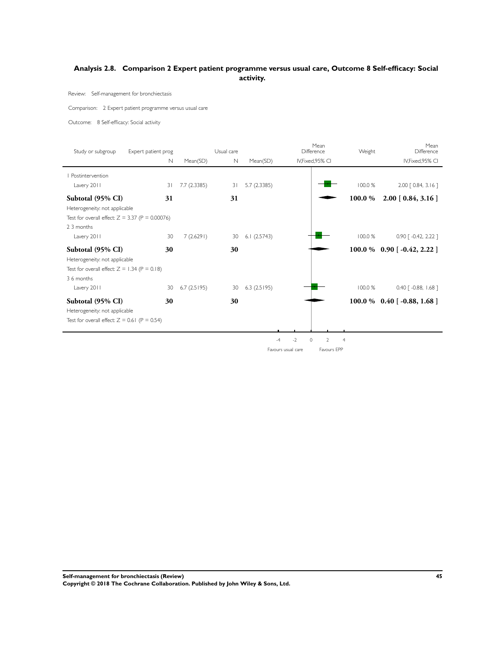## <span id="page-46-0"></span>**Analysis 2.8. Comparison 2 Expert patient programme versus usual care, Outcome 8 Self-efficacy: Social activity.**

Review: Self-management for bronchiectasis

Comparison: 2 Expert patient programme versus usual care

Outcome: 8 Self-efficacy: Social activity

| Study or subgroup                                 | Expert patient prog |             | Usual care  |             | Mean<br>Difference | Weight  | Mean<br>Difference                 |
|---------------------------------------------------|---------------------|-------------|-------------|-------------|--------------------|---------|------------------------------------|
|                                                   | $\mathbb N$         | Mean(SD)    | $\mathbb N$ | Mean(SD)    | IV, Fixed, 95% CI  |         | IV, Fixed, 95% CI                  |
| Postintervention                                  |                     |             |             |             |                    |         |                                    |
| Lavery 2011                                       | 31                  | 7.7(2.3385) | 31          | 5.7(2.3385) |                    | 100.0%  | $2.00$ $[0.84, 3.16]$              |
| Subtotal (95% CI)                                 | 31                  |             | 31          |             |                    | 100.0 % | $2.00 \; [ \; 0.84, \; 3.16 \; ]$  |
| Heterogeneity: not applicable                     |                     |             |             |             |                    |         |                                    |
| Test for overall effect: $Z = 3.37$ (P = 0.00076) |                     |             |             |             |                    |         |                                    |
| 2 3 months                                        |                     |             |             |             |                    |         |                                    |
| Lavery 2011                                       | 30                  | 7(2.6291)   | 30          | 6.1(2.5743) |                    | 100.0 % | $0.90$ $\lceil -0.42, 2.22 \rceil$ |
| Subtotal (95% CI)                                 | 30                  |             | 30          |             |                    |         | $100.0\%$ 0.90 [-0.42, 2.22 ]      |
| Heterogeneity: not applicable                     |                     |             |             |             |                    |         |                                    |
| Test for overall effect: $Z = 1.34$ (P = 0.18)    |                     |             |             |             |                    |         |                                    |
| 36 months                                         |                     |             |             |             |                    |         |                                    |
| Lavery 2011                                       | 30                  | 6.7(2.5195) | 30          | 6.3(2.5195) |                    | 100.0 % | $0.40$ $\lceil -0.88, 1.68 \rceil$ |
| Subtotal (95% CI)                                 | 30                  |             | 30          |             |                    |         | $100.0\%$ 0.40 [ -0.88, 1.68 ]     |
| Heterogeneity: not applicable                     |                     |             |             |             |                    |         |                                    |
| Test for overall effect: $Z = 0.61$ (P = 0.54)    |                     |             |             |             |                    |         |                                    |
|                                                   |                     |             |             |             |                    |         |                                    |

 $-4$   $-2$  0 2 4

Favours usual care Favours EPP

**Self-management for bronchiectasis (Review) 45**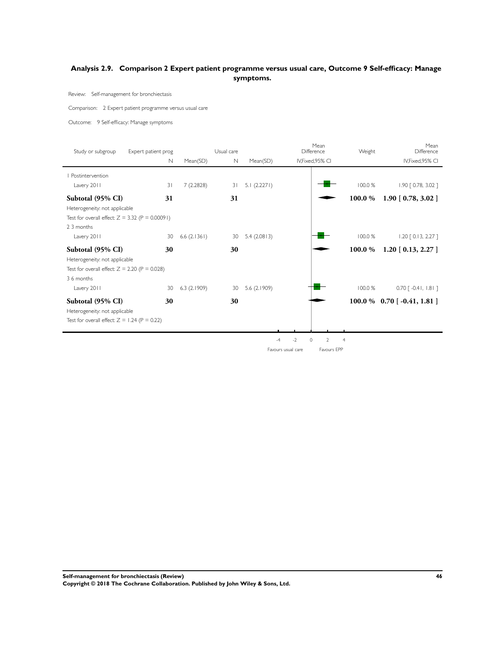## <span id="page-47-0"></span>**Analysis 2.9. Comparison 2 Expert patient programme versus usual care, Outcome 9 Self-efficacy: Manage symptoms.**

Review: Self-management for bronchiectasis

Comparison: 2 Expert patient programme versus usual care

Outcome: 9 Self-efficacy: Manage symptoms

| Study or subgroup                                 | Expert patient prog |             | Usual care  |              | Mean<br>Difference | Weight  | Mean<br>Difference            |
|---------------------------------------------------|---------------------|-------------|-------------|--------------|--------------------|---------|-------------------------------|
|                                                   | $\mathbb N$         | Mean(SD)    | $\mathbb N$ | Mean(SD)     | IV, Fixed, 95% CI  |         | IV, Fixed, 95% CI             |
| Postintervention                                  |                     |             |             |              |                    |         |                               |
| Lavery 2011                                       | 31                  | 7(2.2828)   | 31          | 5.1(2.2271)  |                    | 100.0 % | 1.90 [ 0.78, 3.02 ]           |
| Subtotal (95% CI)                                 | 31                  |             | 31          |              |                    | 100.0 % | $1.90 \mid 0.78, 3.02 \mid$   |
| Heterogeneity: not applicable                     |                     |             |             |              |                    |         |                               |
| Test for overall effect: $Z = 3.32$ (P = 0.00091) |                     |             |             |              |                    |         |                               |
| 2 3 months                                        |                     |             |             |              |                    |         |                               |
| Lavery 2011                                       | 30                  | 6.6(2.1361) | 30          | 5.4(2.0813)  |                    | 100.0 % | $1.20$ $[0.13, 2.27]$         |
| Subtotal (95% CI)                                 | 30                  |             | 30          |              |                    | 100.0 % | $1.20$ [ 0.13, 2.27 ]         |
| Heterogeneity: not applicable                     |                     |             |             |              |                    |         |                               |
| Test for overall effect: $Z = 2.20$ (P = 0.028)   |                     |             |             |              |                    |         |                               |
| 36 months                                         |                     |             |             |              |                    |         |                               |
| Lavery 2011                                       | 30                  | 6.3(2.1909) | 30          | 5.6 (2.1909) |                    | 100.0 % | $0.70$ [ -0.41, 1.81 ]        |
| Subtotal (95% CI)                                 | 30                  |             | 30          |              |                    |         | $100.0\%$ 0.70 [-0.41, 1.81 ] |
| Heterogeneity: not applicable                     |                     |             |             |              |                    |         |                               |
| Test for overall effect: $Z = 1.24$ (P = 0.22)    |                     |             |             |              |                    |         |                               |
|                                                   |                     |             |             |              |                    |         |                               |

 $-4$   $-2$  0 2 4

Favours usual care Favours EPP

**Self-management for bronchiectasis (Review) 46**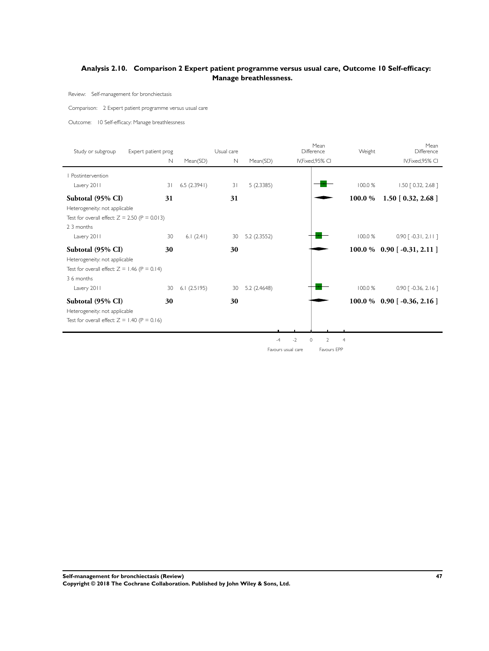## <span id="page-48-0"></span>**Analysis 2.10. Comparison 2 Expert patient programme versus usual care, Outcome 10 Self-efficacy: Manage breathlessness.**

Review: Self-management for bronchiectasis

Comparison: 2 Expert patient programme versus usual care

Outcome: 10 Self-efficacy: Manage breathlessness

| Study or subgroup                               | Expert patient prog |              | Usual care  |              | Mean<br>Difference | Weight  | Mean<br>Difference           |
|-------------------------------------------------|---------------------|--------------|-------------|--------------|--------------------|---------|------------------------------|
|                                                 | $\mathbb N$         | Mean(SD)     | $\mathbb N$ | Mean(SD)     | IV, Fixed, 95% CI  |         | IV, Fixed, 95% CI            |
| Postintervention                                |                     |              |             |              |                    |         |                              |
| Lavery 2011                                     | 31                  | 6.5(2.3941)  | 31          | 5(2.3385)    |                    | 100.0 % | $1.50$ $[0.32, 2.68]$        |
| Subtotal (95% CI)                               | 31                  |              | 31          |              |                    | 100.0 % | $1.50$ [ 0.32, 2.68 ]        |
| Heterogeneity: not applicable                   |                     |              |             |              |                    |         |                              |
| Test for overall effect: $Z = 2.50$ (P = 0.013) |                     |              |             |              |                    |         |                              |
| 2 3 months                                      |                     |              |             |              |                    |         |                              |
| Lavery 2011                                     | 30                  | 6.1 $(2.41)$ | 30          | 5.2 (2.3552) |                    | 100.0 % | $0.90$ [ -0.31, 2.11]        |
| Subtotal (95% CI)                               | 30                  |              | 30          |              |                    |         | $100.0\%$ 0.90 [-0.31, 2.11] |
| Heterogeneity: not applicable                   |                     |              |             |              |                    |         |                              |
| Test for overall effect: $Z = 1.46$ (P = 0.14)  |                     |              |             |              |                    |         |                              |
| 3.6 months                                      |                     |              |             |              |                    |         |                              |
| Lavery 2011                                     | 30                  | 6.1(2.5195)  | 30          | 5.2(2.4648)  |                    | 100.0 % | $0.90$ $[ -0.36, 2.16]$      |
| Subtotal (95% CI)                               | 30                  |              | 30          |              |                    |         | $100.0\%$ 0.90 [-0.36, 2.16] |
| Heterogeneity: not applicable                   |                     |              |             |              |                    |         |                              |
| Test for overall effect: $Z = 1.40$ (P = 0.16)  |                     |              |             |              |                    |         |                              |
|                                                 |                     |              |             |              |                    |         |                              |

 $-4$   $-2$  0 2 4

Favours usual care Favours EPP

**Self-management for bronchiectasis (Review) 47**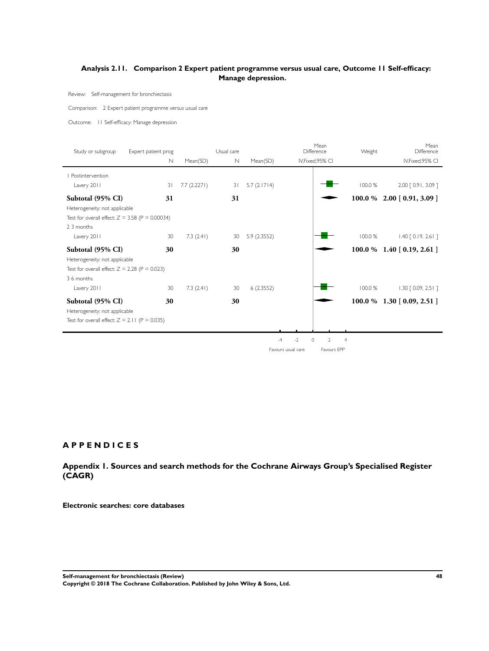## <span id="page-49-0"></span>**Analysis 2.11. Comparison 2 Expert patient programme versus usual care, Outcome 11 Self-efficacy: Manage depression.**

Review: Self-management for bronchiectasis

Comparison: 2 Expert patient programme versus usual care

Outcome: 11 Self-efficacy: Manage depression

| Study or subgroup                                                                                     | Expert patient prog |             | Usual care  |              | Mean<br>Difference | Weight  | Mean<br>Difference           |
|-------------------------------------------------------------------------------------------------------|---------------------|-------------|-------------|--------------|--------------------|---------|------------------------------|
|                                                                                                       | N                   | Mean(SD)    | $\mathbb N$ | Mean(SD)     | IV, Fixed, 95% CI  |         | IV, Fixed, 95% CI            |
| Postintervention                                                                                      |                     |             |             |              |                    |         |                              |
| Lavery 2011                                                                                           | 31                  | 7.7(2.2271) | 31          | 5.7(2.1714)  |                    | 100.0 % | 2.00 [ 0.91, 3.09 ]          |
| Subtotal (95% CI)<br>Heterogeneity: not applicable                                                    | 31                  |             | 31          |              |                    |         | $100.0 \%$ 2.00 [0.91, 3.09] |
| Test for overall effect: $Z = 3.58$ (P = 0.00034)<br>2.3 months                                       |                     |             |             |              |                    |         |                              |
| Lavery 2011                                                                                           | 30                  | 7.3(2.41)   | 30          | 5.9 (2.3552) |                    | 100.0 % | $1.40$ $[0.19, 2.61]$        |
| Subtotal (95% CI)<br>Heterogeneity: not applicable<br>Test for overall effect: $Z = 2.28$ (P = 0.023) | 30                  |             | 30          |              |                    |         | $100.0\%$ 1.40 [0.19, 2.61 ] |
| 36 months                                                                                             |                     |             |             |              |                    |         |                              |
| Lavery 2011                                                                                           | 30                  | 7.3(2.41)   | 30          | 6(2.3552)    |                    | 100.0 % | $1.30$ $[0.09, 2.51]$        |
| Subtotal (95% CI)<br>Heterogeneity: not applicable<br>Test for overall effect: $Z = 2.11$ (P = 0.035) | 30                  |             | 30          |              |                    |         | $100.0\%$ 1.30 [0.09, 2.51]  |

 $-4$   $-2$  0 2 4

Favours usual care Favours EPP

## **A P P E N D I C E S**

**Appendix 1. Sources and search methods for the Cochrane Airways Group's Specialised Register (CAGR)**

**Electronic searches: core databases**

**Self-management for bronchiectasis (Review) 48**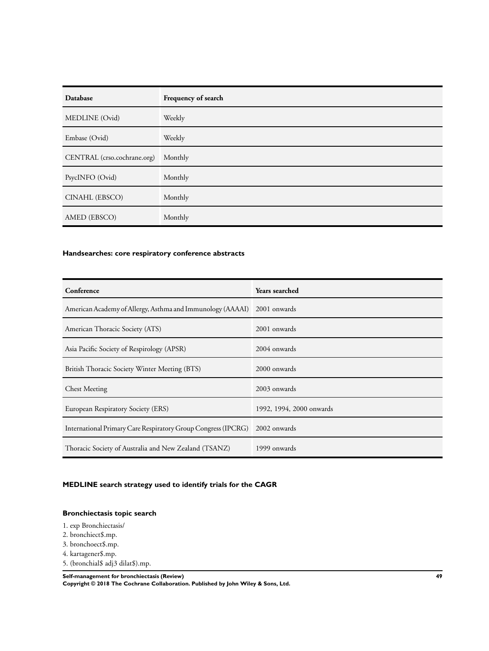| Database                    | Frequency of search |
|-----------------------------|---------------------|
| MEDLINE (Ovid)              | Weekly              |
| Embase (Ovid)               | Weekly              |
| CENTRAL (crso.cochrane.org) | Monthly             |
| PsycINFO (Ovid)             | Monthly             |
| CINAHL (EBSCO)              | Monthly             |
| AMED (EBSCO)                | Monthly             |

## **Handsearches: core respiratory conference abstracts**

| Conference                                                              | Years searched           |
|-------------------------------------------------------------------------|--------------------------|
| American Academy of Allergy, Asthma and Immunology (AAAAI) 2001 onwards |                          |
| American Thoracic Society (ATS)                                         | 2001 onwards             |
| Asia Pacific Society of Respirology (APSR)                              | 2004 onwards             |
| British Thoracic Society Winter Meeting (BTS)                           | 2000 onwards             |
| <b>Chest Meeting</b>                                                    | 2003 onwards             |
| European Respiratory Society (ERS)                                      | 1992, 1994, 2000 onwards |
| International Primary Care Respiratory Group Congress (IPCRG)           | 2002 onwards             |
| Thoracic Society of Australia and New Zealand (TSANZ)                   | 1999 onwards             |

## **MEDLINE search strategy used to identify trials for the CAGR**

## **Bronchiectasis topic search**

- 1. exp Bronchiectasis/
- 2. bronchiect\$.mp.
- 3. bronchoect\$.mp.
- 4. kartagener\$.mp.
- 5. (bronchial\$ adj3 dilat\$).mp.

**Self-management for bronchiectasis (Review) 49**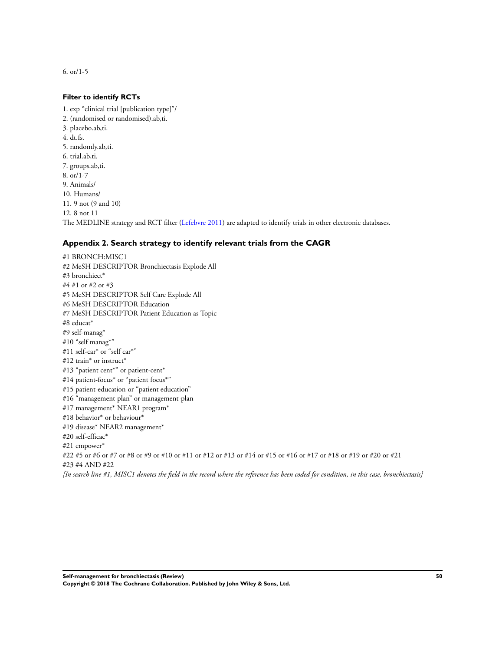<span id="page-51-0"></span>6. or/1-5

## **Filter to identify RCTs**

1. exp "clinical trial [publication type]"/ 2. (randomised or randomised).ab,ti. 3. placebo.ab,ti. 4. dt.fs. 5. randomly.ab,ti. 6. trial.ab,ti. 7. groups.ab,ti. 8. or/1-7 9. Animals/ 10. Humans/ 11. 9 not (9 and 10) 12. 8 not 11 The MEDLINE strategy and RCT filter ([Lefebvre 2011\)](#page-22-0) are adapted to identify trials in other electronic databases.

## **Appendix 2. Search strategy to identify relevant trials from the CAGR**

#1 BRONCH:MISC1 #2 MeSH DESCRIPTOR Bronchiectasis Explode All #3 bronchiect\* #4 #1 or #2 or #3 #5 MeSH DESCRIPTOR Self Care Explode All #6 MeSH DESCRIPTOR Education #7 MeSH DESCRIPTOR Patient Education as Topic #8 educat\* #9 self-manag\* #10 "self manag\*" #11 self-car\* or "self car\*" #12 train\* or instruct\* #13 "patient cent\*" or patient-cent\* #14 patient-focus\* or "patient focus\*" #15 patient-education or "patient education" #16 "management plan" or management-plan #17 management\* NEAR1 program\* #18 behavior\* or behaviour\* #19 disease\* NEAR2 management\* #20 self-efficac\* #21 empower\* #22 #5 or #6 or #7 or #8 or #9 or #10 or #11 or #12 or #13 or #14 or #15 or #16 or #17 or #18 or #19 or #20 or #21 #23 #4 AND #22 *[In search line #1, MISC1 denotes the field in the record where the reference has been coded for condition, in this case, bronchiectasis]*